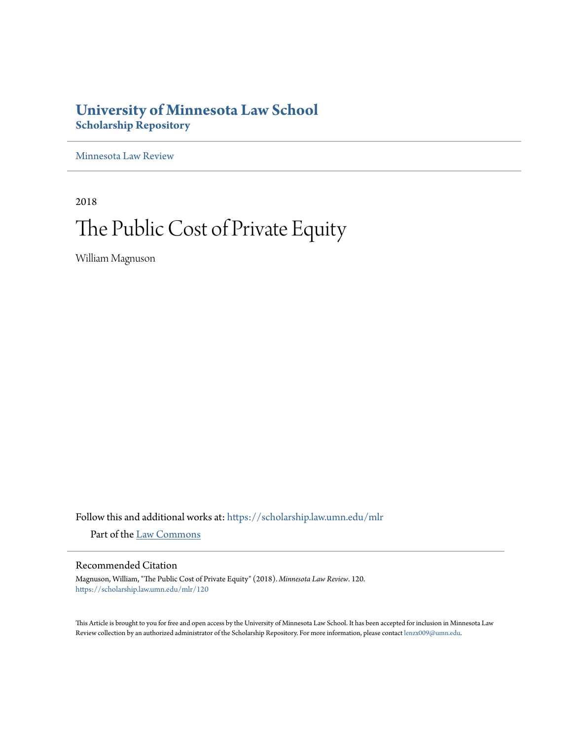## **University of Minnesota Law School [Scholarship Repository](https://scholarship.law.umn.edu?utm_source=scholarship.law.umn.edu%2Fmlr%2F120&utm_medium=PDF&utm_campaign=PDFCoverPages)**

[Minnesota Law Review](https://scholarship.law.umn.edu/mlr?utm_source=scholarship.law.umn.edu%2Fmlr%2F120&utm_medium=PDF&utm_campaign=PDFCoverPages)

2018

# The Public Cost of Private Equity

William Magnuson

Follow this and additional works at: [https://scholarship.law.umn.edu/mlr](https://scholarship.law.umn.edu/mlr?utm_source=scholarship.law.umn.edu%2Fmlr%2F120&utm_medium=PDF&utm_campaign=PDFCoverPages) Part of the [Law Commons](http://network.bepress.com/hgg/discipline/578?utm_source=scholarship.law.umn.edu%2Fmlr%2F120&utm_medium=PDF&utm_campaign=PDFCoverPages)

### Recommended Citation

Magnuson, William, "The Public Cost of Private Equity" (2018). *Minnesota Law Review*. 120. [https://scholarship.law.umn.edu/mlr/120](https://scholarship.law.umn.edu/mlr/120?utm_source=scholarship.law.umn.edu%2Fmlr%2F120&utm_medium=PDF&utm_campaign=PDFCoverPages)

This Article is brought to you for free and open access by the University of Minnesota Law School. It has been accepted for inclusion in Minnesota Law Review collection by an authorized administrator of the Scholarship Repository. For more information, please contact [lenzx009@umn.edu.](mailto:lenzx009@umn.edu)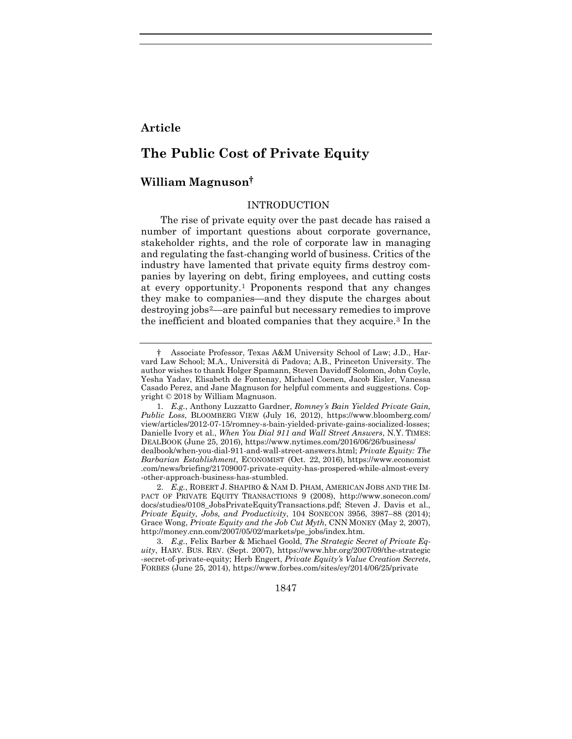## **Article**

## **The Public Cost of Private Equity**

#### **William Magnuson†**

#### <span id="page-1-3"></span>INTRODUCTION

The rise of private equity over the past decade has raised a number of important questions about corporate governance, stakeholder rights, and the role of corporate law in managing and regulating the fast-changing world of business. Critics of the industry have lamented that private equity firms destroy companies by layering on debt, firing employees, and cutting costs at every opportunity.[1](#page-1-0) Proponents respond that any changes they make to companies—and they dispute the charges about destroying jobs[2](#page-1-1)—are painful but necessary remedies to improve the inefficient and bloated companies that they acquire.[3](#page-1-2) In the

1847

<span id="page-1-4"></span><span id="page-1-0"></span><sup>†</sup> Associate Professor, Texas A&M University School of Law; J.D., Harvard Law School; M.A., Università di Padova; A.B., Princeton University. The author wishes to thank Holger Spamann, Steven Davidoff Solomon, John Coyle, Yesha Yadav, Elisabeth de Fontenay, Michael Coenen, Jacob Eisler, Vanessa Casado Perez, and Jane Magnuson for helpful comments and suggestions. Copyright © 2018 by William Magnuson.

<sup>1.</sup> *E.g.*, Anthony Luzzatto Gardner, *Romney's Bain Yielded Private Gain, Public Loss*, BLOOMBERG VIEW (July 16, 2012), https://www.bloomberg.com/ view/articles/2012-07-15/romney-s-bain-yielded-private-gains-socialized-losses; Danielle Ivory et al., *When You Dial 911 and Wall Street Answers*, N.Y. TIMES: DEALBOOK (June 25, 2016), https://www.nytimes.com/2016/06/26/business/

dealbook/when-you-dial-911-and-wall-street-answers.html; *Private Equity: The Barbarian Establishment*, ECONOMIST (Oct. 22, 2016), https://www.economist .com/news/briefing/21709007-private-equity-has-prospered-while-almost-every -other-approach-business-has-stumbled.

<span id="page-1-1"></span><sup>2.</sup> *E.g.*, ROBERT J. SHAPIRO & NAM D. PHAM, AMERICAN JOBS AND THE IM-PACT OF PRIVATE EQUITY TRANSACTIONS 9 (2008), http://www.sonecon.com/ docs/studies/0108\_JobsPrivateEquityTransactions.pdf; Steven J. Davis et al., *Private Equity, Jobs, and Productivity*, 104 SONECON 3956, 3987–88 (2014); Grace Wong, *Private Equity and the Job Cut Myth*, CNN MONEY (May 2, 2007), http://money.cnn.com/2007/05/02/markets/pe\_jobs/index.htm.

<span id="page-1-2"></span><sup>3.</sup> *E.g.*, Felix Barber & Michael Goold, *The Strategic Secret of Private Equity*, HARV. BUS. REV. (Sept. 2007), https://www.hbr.org/2007/09/the-strategic -secret-of-private-equity; Herb Engert, *Private Equity's Value Creation Secrets*, FORBES (June 25, 2014), https://www.forbes.com/sites/ey/2014/06/25/private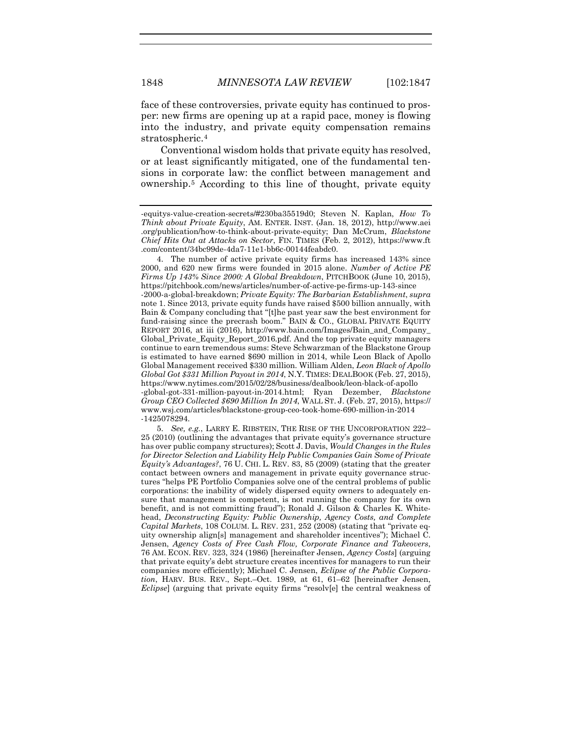face of these controversies, private equity has continued to prosper: new firms are opening up at a rapid pace, money is flowing into the industry, and private equity compensation remains stratospheric.[4](#page-2-0)

<span id="page-2-4"></span><span id="page-2-3"></span><span id="page-2-2"></span>Conventional wisdom holds that private equity has resolved, or at least significantly mitigated, one of the fundamental tensions in corporate law: the conflict between management and ownership.[5](#page-2-1) According to this line of thought, private equity

<span id="page-2-0"></span>4. The number of active private equity firms has increased 143% since 2000, and 620 new firms were founded in 2015 alone. *Number of Active PE Firms Up 143% Since 2000: A Global Breakdown*, PITCHBOOK (June 10, 2015), https://pitchbook.com/news/articles/number-of-active-pe-firms-up-143-since

-2000-a-global-breakdown; *Private Equity: The Barbarian Establishment*, *supra*  not[e 1.](#page-1-3) Since 2013, private equity funds have raised \$500 billion annually, with Bain & Company concluding that "[t]he past year saw the best environment for fund-raising since the precrash boom." BAIN & CO., GLOBAL PRIVATE EQUITY REPORT 2016, at iii (2016), http://www.bain.com/Images/Bain\_and\_Company\_ Global\_Private\_Equity\_Report\_2016.pdf. And the top private equity managers continue to earn tremendous sums: Steve Schwarzman of the Blackstone Group is estimated to have earned \$690 million in 2014, while Leon Black of Apollo Global Management received \$330 million. William Alden, *Leon Black of Apollo Global Got \$331 Million Payout in 2014*, N.Y. TIMES: DEALBOOK (Feb. 27, 2015), https://www.nytimes.com/2015/02/28/business/dealbook/leon-black-of-apollo -global-got-331-million-payout-in-2014.html; Ryan Dezember, *Blackstone Group CEO Collected \$690 Million In 2014*, WALL ST. J. (Feb. 27, 2015), https:// www.wsj.com/articles/blackstone-group-ceo-took-home-690-million-in-2014 -1425078294.

<span id="page-2-1"></span>5. *See, e.g.*, LARRY E. RIBSTEIN, THE RISE OF THE UNCORPORATION 222– 25 (2010) (outlining the advantages that private equity's governance structure has over public company structures); Scott J. Davis, *Would Changes in the Rules for Director Selection and Liability Help Public Companies Gain Some of Private Equity's Advantages?*, 76 U. CHI. L. REV. 83, 85 (2009) (stating that the greater contact between owners and management in private equity governance structures "helps PE Portfolio Companies solve one of the central problems of public corporations: the inability of widely dispersed equity owners to adequately ensure that management is competent, is not running the company for its own benefit, and is not committing fraud"); Ronald J. Gilson & Charles K. Whitehead, *Deconstructing Equity: Public Ownership, Agency Costs, and Complete Capital Markets*, 108 COLUM. L. REV. 231, 252 (2008) (stating that "private equity ownership align[s] management and shareholder incentives"); Michael C. Jensen, *Agency Costs of Free Cash Flow, Corporate Finance and Takeovers*, 76 AM. ECON. REV. 323, 324 (1986) [hereinafter Jensen, *Agency Costs*] (arguing that private equity's debt structure creates incentives for managers to run their companies more efficiently); Michael C. Jensen, *Eclipse of the Public Corporation*, HARV. BUS. REV., Sept.–Oct. 1989, at 61, 61–62 [hereinafter Jensen, *Eclipse*] (arguing that private equity firms "resolv[e] the central weakness of

<sup>-</sup>equitys-value-creation-secrets/#230ba35519d0; Steven N. Kaplan, *How To Think about Private Equity*, AM. ENTER. INST. (Jan. 18, 2012), http://www.aei .org/publication/how-to-think-about-private-equity; Dan McCrum, *Blackstone Chief Hits Out at Attacks on Sector*, FIN. TIMES (Feb. 2, 2012), https://www.ft .com/content/34bc99de-4da7-11e1-bb6c-00144feabdc0.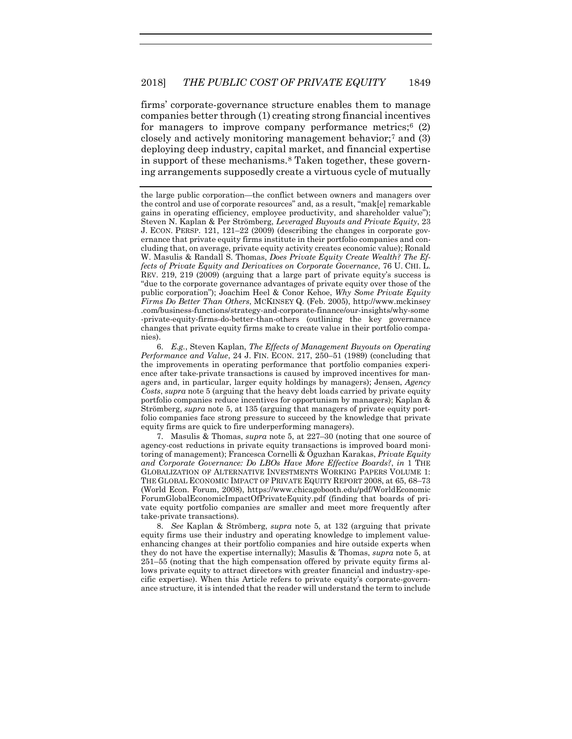<span id="page-3-4"></span><span id="page-3-3"></span>firms' corporate-governance structure enables them to manage companies better through (1) creating strong financial incentives for managers to improve company performance metrics; $6(2)$  $6(2)$ closely and actively monitoring management behavior;[7](#page-3-1) and (3) deploying deep industry, capital market, and financial expertise in support of these mechanisms.[8](#page-3-2) Taken together, these governing arrangements supposedly create a virtuous cycle of mutually

<span id="page-3-0"></span>6. *E.g.*, Steven Kaplan, *The Effects of Management Buyouts on Operating Performance and Value*, 24 J. FIN. ECON. 217, 250–51 (1989) (concluding that the improvements in operating performance that portfolio companies experience after take-private transactions is caused by improved incentives for managers and, in particular, larger equity holdings by managers); Jensen, *Agency Costs*, *supra* not[e 5](#page-2-2) (arguing that the heavy debt loads carried by private equity portfolio companies reduce incentives for opportunism by managers); Kaplan & Strömberg, *supra* note [5,](#page-2-2) at 135 (arguing that managers of private equity portfolio companies face strong pressure to succeed by the knowledge that private equity firms are quick to fire underperforming managers).

<span id="page-3-1"></span>7. Masulis & Thomas, *supra* note [5,](#page-2-2) at 227–30 (noting that one source of agency-cost reductions in private equity transactions is improved board monitoring of management); Francesca Cornelli & Ōguzhan Karakas, *Private Equity and Corporate Governance: Do LBOs Have More Effective Boards?*, *in* 1 THE GLOBALIZATION OF ALTERNATIVE INVESTMENTS WORKING PAPERS VOLUME 1: THE GLOBAL ECONOMIC IMPACT OF PRIVATE EQUITY REPORT 2008, at 65, 68–73 (World Econ. Forum, 2008), https://www.chicagobooth.edu/pdf/WorldEconomic ForumGlobalEconomicImpactOfPrivateEquity.pdf (finding that boards of private equity portfolio companies are smaller and meet more frequently after take-private transactions).

<span id="page-3-2"></span>8. *See* Kaplan & Strömberg, *supra* note [5,](#page-2-2) at 132 (arguing that private equity firms use their industry and operating knowledge to implement valueenhancing changes at their portfolio companies and hire outside experts when they do not have the expertise internally); Masulis & Thomas, *supra* note [5,](#page-2-2) at 251–55 (noting that the high compensation offered by private equity firms allows private equity to attract directors with greater financial and industry-specific expertise). When this Article refers to private equity's corporate-governance structure, it is intended that the reader will understand the term to include

the large public corporation—the conflict between owners and managers over the control and use of corporate resources" and, as a result, "mak[e] remarkable gains in operating efficiency, employee productivity, and shareholder value"); Steven N. Kaplan & Per Strömberg, *Leveraged Buyouts and Private Equity*, 23 J. ECON. PERSP. 121, 121–22 (2009) (describing the changes in corporate governance that private equity firms institute in their portfolio companies and concluding that, on average, private equity activity creates economic value); Ronald W. Masulis & Randall S. Thomas, *Does Private Equity Create Wealth? The Effects of Private Equity and Derivatives on Corporate Governance*, 76 U. CHI. L. REV. 219, 219 (2009) (arguing that a large part of private equity's success is "due to the corporate governance advantages of private equity over those of the public corporation"); Joachim Heel & Conor Kehoe, *Why Some Private Equity Firms Do Better Than Others*, MCKINSEY Q. (Feb. 2005), http://www.mckinsey .com/business-functions/strategy-and-corporate-finance/our-insights/why-some -private-equity-firms-do-better-than-others (outlining the key governance changes that private equity firms make to create value in their portfolio companies).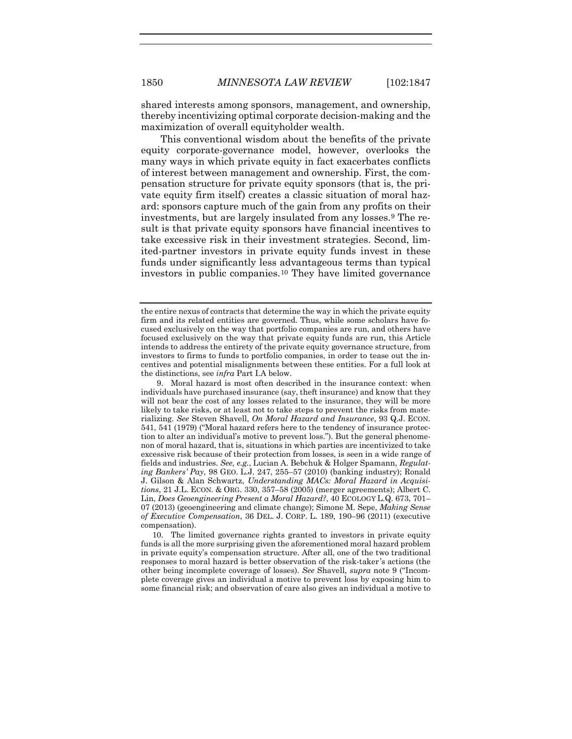shared interests among sponsors, management, and ownership, thereby incentivizing optimal corporate decision-making and the maximization of overall equityholder wealth.

<span id="page-4-0"></span>This conventional wisdom about the benefits of the private equity corporate-governance model, however, overlooks the many ways in which private equity in fact exacerbates conflicts of interest between management and ownership. First, the compensation structure for private equity sponsors (that is, the private equity firm itself) creates a classic situation of moral hazard: sponsors capture much of the gain from any profits on their investments, but are largely insulated from any losses.[9](#page-4-1) The result is that private equity sponsors have financial incentives to take excessive risk in their investment strategies. Second, limited-partner investors in private equity funds invest in these funds under significantly less advantageous terms than typical investors in public companies.[10](#page-4-2) They have limited governance

the entire nexus of contracts that determine the way in which the private equity firm and its related entities are governed. Thus, while some scholars have focused exclusively on the way that portfolio companies are run, and others have focused exclusively on the way that private equity funds are run, this Article intends to address the entirety of the private equity governance structure, from investors to firms to funds to portfolio companies, in order to tease out the incentives and potential misalignments between these entities. For a full look at the distinctions, see *infra* Part I.A below.

<span id="page-4-1"></span><sup>9.</sup> Moral hazard is most often described in the insurance context: when individuals have purchased insurance (say, theft insurance) and know that they will not bear the cost of any losses related to the insurance, they will be more likely to take risks, or at least not to take steps to prevent the risks from materializing. *See* Steven Shavell, *On Moral Hazard and Insurance*, 93 Q.J. ECON. 541, 541 (1979) ("Moral hazard refers here to the tendency of insurance protection to alter an individual's motive to prevent loss."). But the general phenomenon of moral hazard, that is, situations in which parties are incentivized to take excessive risk because of their protection from losses, is seen in a wide range of fields and industries. *See, e.g.*, Lucian A. Bebchuk & Holger Spamann, *Regulating Bankers' Pay*, 98 GEO. L.J. 247, 255–57 (2010) (banking industry); Ronald J. Gilson & Alan Schwartz, *Understanding MACs: Moral Hazard in Acquisitions*, 21 J.L. ECON. & ORG. 330, 357–58 (2005) (merger agreements); Albert C. Lin, *Does Geoengineering Present a Moral Hazard?*, 40 ECOLOGY L.Q. 673, 701– 07 (2013) (geoengineering and climate change); Simone M. Sepe, *Making Sense of Executive Compensation*, 36 DEL. J. CORP. L. 189, 190–96 (2011) (executive compensation).

<span id="page-4-2"></span><sup>10.</sup> The limited governance rights granted to investors in private equity funds is all the more surprising given the aforementioned moral hazard problem in private equity's compensation structure. After all, one of the two traditional responses to moral hazard is better observation of the risk-taker 's actions (the other being incomplete coverage of losses). *See* Shavell, *supra* note [9](#page-4-0) ("Incomplete coverage gives an individual a motive to prevent loss by exposing him to some financial risk; and observation of care also gives an individual a motive to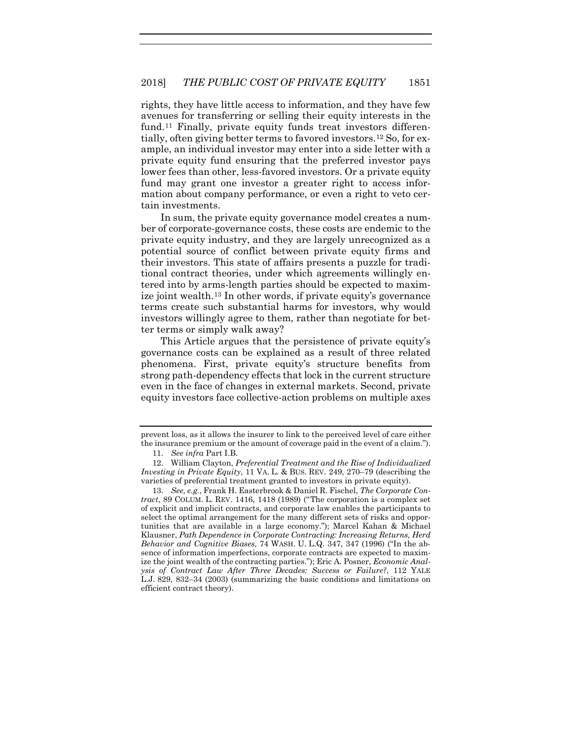<span id="page-5-3"></span>rights, they have little access to information, and they have few avenues for transferring or selling their equity interests in the fund.<sup>[11](#page-5-0)</sup> Finally, private equity funds treat investors differentially, often giving better terms to favored investors.[12](#page-5-1) So, for example, an individual investor may enter into a side letter with a private equity fund ensuring that the preferred investor pays lower fees than other, less-favored investors. Or a private equity fund may grant one investor a greater right to access information about company performance, or even a right to veto certain investments.

In sum, the private equity governance model creates a number of corporate-governance costs, these costs are endemic to the private equity industry, and they are largely unrecognized as a potential source of conflict between private equity firms and their investors. This state of affairs presents a puzzle for traditional contract theories, under which agreements willingly entered into by arms-length parties should be expected to maximize joint wealth[.13](#page-5-2) In other words, if private equity's governance terms create such substantial harms for investors, why would investors willingly agree to them, rather than negotiate for better terms or simply walk away?

<span id="page-5-4"></span>This Article argues that the persistence of private equity's governance costs can be explained as a result of three related phenomena. First, private equity's structure benefits from strong path-dependency effects that lock in the current structure even in the face of changes in external markets. Second, private equity investors face collective-action problems on multiple axes

prevent loss, as it allows the insurer to link to the perceived level of care either the insurance premium or the amount of coverage paid in the event of a claim.").

<sup>11.</sup> *See infra* Part I.B.

<span id="page-5-1"></span><span id="page-5-0"></span><sup>12.</sup> William Clayton, *Preferential Treatment and the Rise of Individualized Investing in Private Equity*, 11 VA. L. & BUS. REV. 249, 270–79 (describing the varieties of preferential treatment granted to investors in private equity).

<span id="page-5-2"></span><sup>13.</sup> *See, e.g.*, Frank H. Easterbrook & Daniel R. Fischel, *The Corporate Contract*, 89 COLUM. L. REV. 1416, 1418 (1989) ("The corporation is a complex set of explicit and implicit contracts, and corporate law enables the participants to select the optimal arrangement for the many different sets of risks and opportunities that are available in a large economy."); Marcel Kahan & Michael Klausner, *Path Dependence in Corporate Contracting: Increasing Returns, Herd Behavior and Cognitive Biases*, 74 WASH. U. L.Q. 347, 347 (1996) ("In the absence of information imperfections, corporate contracts are expected to maximize the joint wealth of the contracting parties."); Eric A. Posner, *Economic Analysis of Contract Law After Three Decades: Success or Failure?*, 112 YALE L.J. 829, 832–34 (2003) (summarizing the basic conditions and limitations on efficient contract theory).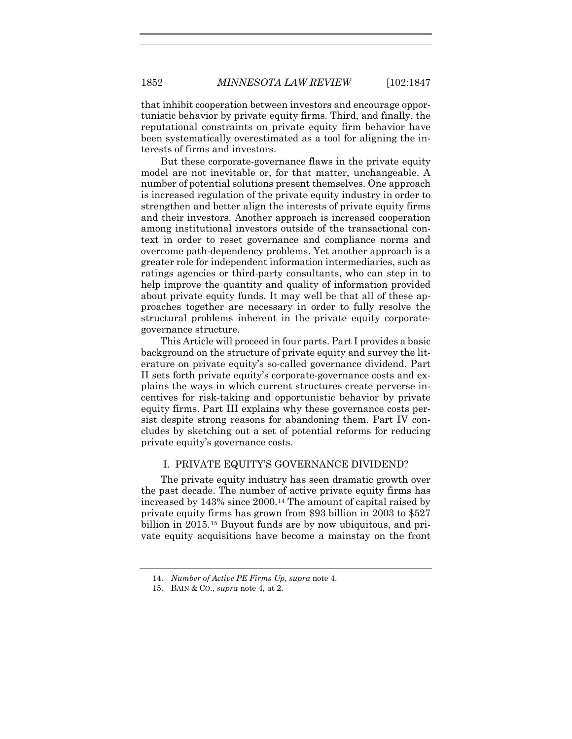that inhibit cooperation between investors and encourage opportunistic behavior by private equity firms. Third, and finally, the reputational constraints on private equity firm behavior have been systematically overestimated as a tool for aligning the interests of firms and investors.

But these corporate-governance flaws in the private equity model are not inevitable or, for that matter, unchangeable. A number of potential solutions present themselves. One approach is increased regulation of the private equity industry in order to strengthen and better align the interests of private equity firms and their investors. Another approach is increased cooperation among institutional investors outside of the transactional context in order to reset governance and compliance norms and overcome path-dependency problems. Yet another approach is a greater role for independent information intermediaries, such as ratings agencies or third-party consultants, who can step in to help improve the quantity and quality of information provided about private equity funds. It may well be that all of these approaches together are necessary in order to fully resolve the structural problems inherent in the private equity corporategovernance structure.

This Article will proceed in four parts. Part I provides a basic background on the structure of private equity and survey the literature on private equity's so-called governance dividend. Part II sets forth private equity's corporate-governance costs and explains the ways in which current structures create perverse incentives for risk-taking and opportunistic behavior by private equity firms. Part III explains why these governance costs persist despite strong reasons for abandoning them. Part IV concludes by sketching out a set of potential reforms for reducing private equity's governance costs.

#### I. PRIVATE EQUITY'S GOVERNANCE DIVIDEND?

The private equity industry has seen dramatic growth over the past decade. The number of active private equity firms has increased by 143% since 2000[.14](#page-6-0) The amount of capital raised by private equity firms has grown from \$93 billion in 2003 to \$527 billion in 2015.[15](#page-6-1) Buyout funds are by now ubiquitous, and private equity acquisitions have become a mainstay on the front

<span id="page-6-0"></span><sup>14.</sup> *Number of Active PE Firms Up*, *supra* note [4.](#page-2-3)

<span id="page-6-1"></span><sup>15.</sup> BAIN & CO., *supra* not[e 4,](#page-2-3) at 2.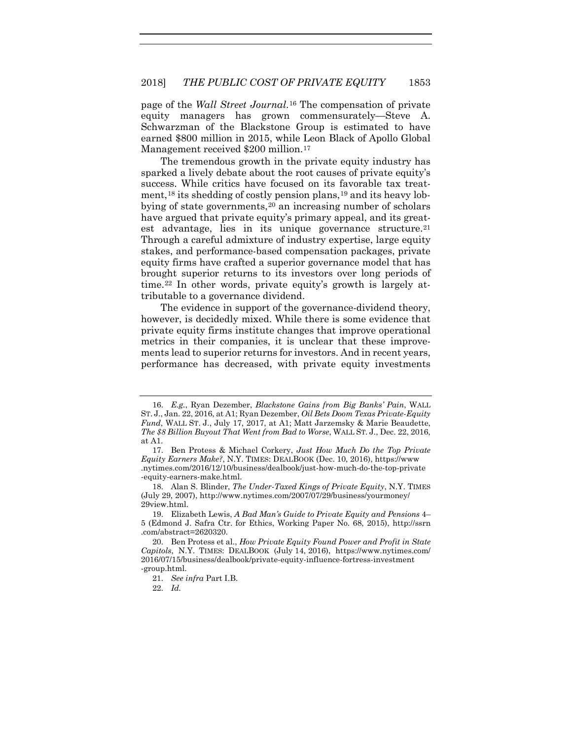page of the *Wall Street Journal*.[16](#page-7-0) The compensation of private equity managers has grown commensurately—Steve A. Schwarzman of the Blackstone Group is estimated to have earned \$800 million in 2015, while Leon Black of Apollo Global Management received \$200 million.[17](#page-7-1)

The tremendous growth in the private equity industry has sparked a lively debate about the root causes of private equity's success. While critics have focused on its favorable tax treat-ment,<sup>[18](#page-7-2)</sup> its shedding of costly pension plans,<sup>19</sup> and its heavy lobbying of state governments, $20$  an increasing number of scholars have argued that private equity's primary appeal, and its great-est advantage, lies in its unique governance structure.<sup>[21](#page-7-5)</sup> Through a careful admixture of industry expertise, large equity stakes, and performance-based compensation packages, private equity firms have crafted a superior governance model that has brought superior returns to its investors over long periods of time.[22](#page-7-6) In other words, private equity's growth is largely attributable to a governance dividend.

The evidence in support of the governance-dividend theory, however, is decidedly mixed. While there is some evidence that private equity firms institute changes that improve operational metrics in their companies, it is unclear that these improvements lead to superior returns for investors. And in recent years, performance has decreased, with private equity investments

<span id="page-7-0"></span><sup>16.</sup> *E.g.*, Ryan Dezember, *Blackstone Gains from Big Banks' Pain*, WALL ST. J., Jan. 22, 2016, at A1; Ryan Dezember, *Oil Bets Doom Texas Private-Equity Fund*, WALL ST. J., July 17, 2017, at A1; Matt Jarzemsky & Marie Beaudette, *The \$8 Billion Buyout That Went from Bad to Worse*, WALL ST. J., Dec. 22, 2016, at A1.

<span id="page-7-1"></span><sup>17.</sup> Ben Protess & Michael Corkery, *Just How Much Do the Top Private Equity Earners Make?*, N.Y. TIMES: DEALBOOK (Dec. 10, 2016), https://www .nytimes.com/2016/12/10/business/dealbook/just-how-much-do-the-top-private -equity-earners-make.html.

<span id="page-7-2"></span><sup>18.</sup> Alan S. Blinder, *The Under-Taxed Kings of Private Equity*, N.Y. TIMES (July 29, 2007), http://www.nytimes.com/2007/07/29/business/yourmoney/ 29view.html.

<span id="page-7-3"></span><sup>19.</sup> Elizabeth Lewis, *A Bad Man's Guide to Private Equity and Pensions* 4– 5 (Edmond J. Safra Ctr. for Ethics, Working Paper No. 68, 2015), http://ssrn .com/abstract=2620320.

<span id="page-7-6"></span><span id="page-7-5"></span><span id="page-7-4"></span><sup>20.</sup> Ben Protess et al., *How Private Equity Found Power and Profit in State Capitols*, N.Y. TIMES: DEALBOOK (July 14, 2016), https://www.nytimes.com/ 2016/07/15/business/dealbook/private-equity-influence-fortress-investment -group.html.

<sup>21.</sup> *See infra* Part I.B.

<sup>22.</sup> *Id.*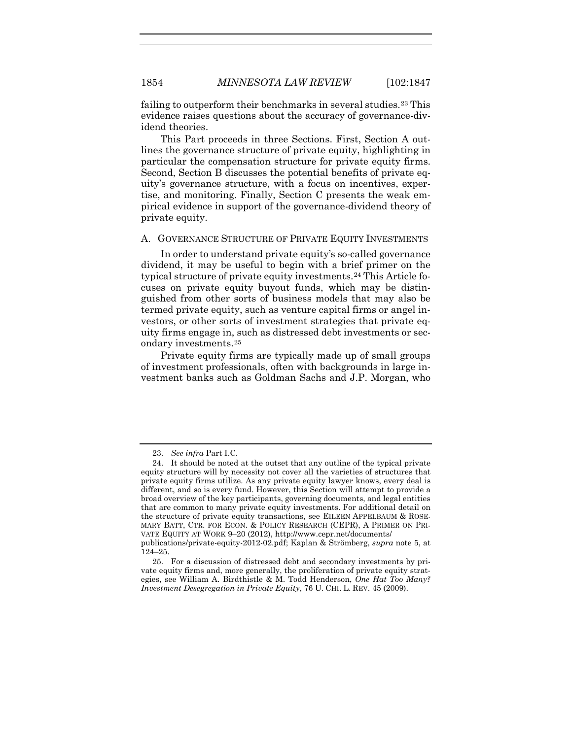failing to outperform their benchmarks in several studies.[23](#page-8-0) This evidence raises questions about the accuracy of governance-dividend theories.

This Part proceeds in three Sections. First, Section A outlines the governance structure of private equity, highlighting in particular the compensation structure for private equity firms. Second, Section B discusses the potential benefits of private equity's governance structure, with a focus on incentives, expertise, and monitoring. Finally, Section C presents the weak empirical evidence in support of the governance-dividend theory of private equity.

#### A. GOVERNANCE STRUCTURE OF PRIVATE EQUITY INVESTMENTS

In order to understand private equity's so-called governance dividend, it may be useful to begin with a brief primer on the typical structure of private equity investments.[24](#page-8-1) This Article focuses on private equity buyout funds, which may be distinguished from other sorts of business models that may also be termed private equity, such as venture capital firms or angel investors, or other sorts of investment strategies that private equity firms engage in, such as distressed debt investments or secondary investments.[25](#page-8-2)

<span id="page-8-3"></span>Private equity firms are typically made up of small groups of investment professionals, often with backgrounds in large investment banks such as Goldman Sachs and J.P. Morgan, who

<sup>23.</sup> *See infra* Part I.C.

<span id="page-8-1"></span><span id="page-8-0"></span><sup>24.</sup> It should be noted at the outset that any outline of the typical private equity structure will by necessity not cover all the varieties of structures that private equity firms utilize. As any private equity lawyer knows, every deal is different, and so is every fund. However, this Section will attempt to provide a broad overview of the key participants, governing documents, and legal entities that are common to many private equity investments. For additional detail on the structure of private equity transactions, see EILEEN APPELBAUM & ROSE-MARY BATT, CTR. FOR ECON. & POLICY RESEARCH (CEPR), A PRIMER ON PRI-VATE EQUITY AT WORK 9–20 (2012), http://www.cepr.net/documents/

publications/private-equity-2012-02.pdf; Kaplan & Strömberg, *supra* note [5,](#page-2-2) at 124–25.

<span id="page-8-2"></span><sup>25.</sup> For a discussion of distressed debt and secondary investments by private equity firms and, more generally, the proliferation of private equity strategies, see William A. Birdthistle & M. Todd Henderson, *One Hat Too Many? Investment Desegregation in Private Equity*, 76 U. CHI. L. REV. 45 (2009).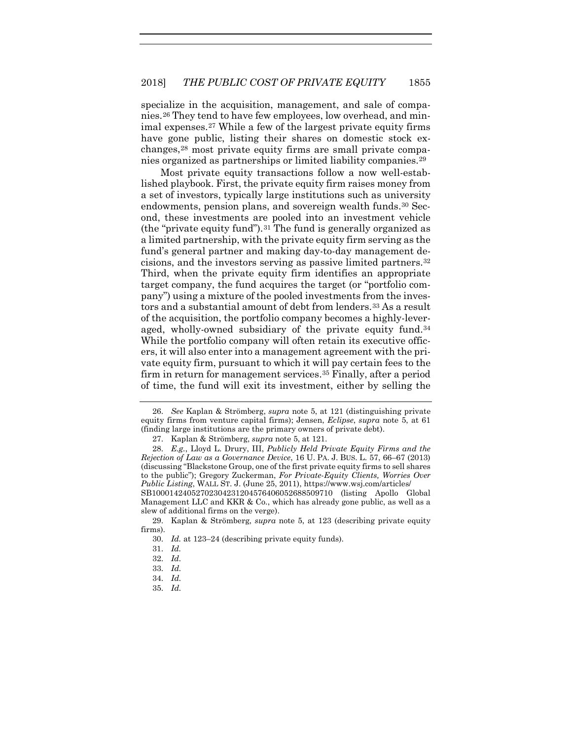specialize in the acquisition, management, and sale of companies.[26](#page-9-0) They tend to have few employees, low overhead, and minimal expenses.[27](#page-9-1) While a few of the largest private equity firms have gone public, listing their shares on domestic stock exchanges[,28](#page-9-2) most private equity firms are small private companies organized as partnerships or limited liability companies.[29](#page-9-3)

<span id="page-9-10"></span>Most private equity transactions follow a now well-established playbook. First, the private equity firm raises money from a set of investors, typically large institutions such as university endowments, pension plans, and sovereign wealth funds.[30](#page-9-4) Second, these investments are pooled into an investment vehicle (the "private equity fund").  $31$  The fund is generally organized as a limited partnership, with the private equity firm serving as the fund's general partner and making day-to-day management decisions, and the investors serving as passive limited partners.[32](#page-9-6) Third, when the private equity firm identifies an appropriate target company, the fund acquires the target (or "portfolio company") using a mixture of the pooled investments from the inves-tors and a substantial amount of debt from lenders.<sup>[33](#page-9-7)</sup> As a result of the acquisition, the portfolio company becomes a highly-leveraged, wholly-owned subsidiary of the private equity fund.[34](#page-9-8) While the portfolio company will often retain its executive officers, it will also enter into a management agreement with the private equity firm, pursuant to which it will pay certain fees to the firm in return for management services.[35](#page-9-9) Finally, after a period of time, the fund will exit its investment, either by selling the

<span id="page-9-0"></span><sup>26.</sup> *See* Kaplan & Strömberg, *supra* note [5,](#page-2-4) at 121 (distinguishing private equity firms from venture capital firms); Jensen, *Eclipse*, *supra* note [5,](#page-2-4) at 61 (finding large institutions are the primary owners of private debt).

<sup>27.</sup> Kaplan & Strömberg, *supra* note [5,](#page-2-2) at 121.

<span id="page-9-2"></span><span id="page-9-1"></span><sup>28.</sup> *E.g.*, Lloyd L. Drury, III, *Publicly Held Private Equity Firms and the Rejection of Law as a Governance Device*, 16 U. PA. J. BUS. L. 57, 66–67 (2013) (discussing "Blackstone Group, one of the first private equity firms to sell shares to the public"); Gregory Zuckerman, *For Private-Equity Clients, Worries Over Public Listing*, WALL ST. J. (June 25, 2011), https://www.wsj.com/articles/ SB10001424052702304231204576406052688509710 (listing Apollo Global

Management LLC and KKR & Co., which has already gone public, as well as a slew of additional firms on the verge).

<span id="page-9-8"></span><span id="page-9-7"></span><span id="page-9-6"></span><span id="page-9-5"></span><span id="page-9-4"></span><span id="page-9-3"></span><sup>29.</sup> Kaplan & Strömberg, *supra* note [5,](#page-2-2) at 123 (describing private equity firms).

<sup>30.</sup> *Id.* at 123–24 (describing private equity funds).

<sup>31.</sup> *Id.*

<sup>32.</sup> *Id.*

<sup>33.</sup> *Id.*

<sup>34.</sup> *Id.*

<span id="page-9-9"></span><sup>35.</sup> *Id.*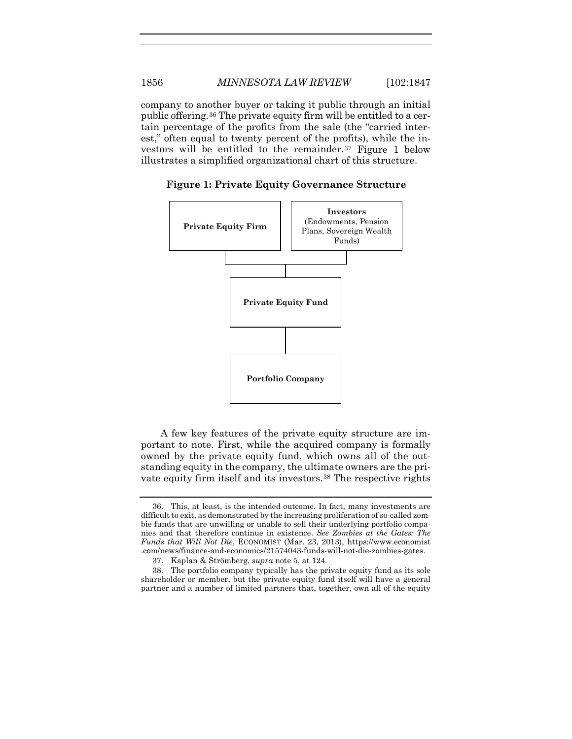company to another buyer or taking it public through an initial public offering.[36](#page-10-0) The private equity firm will be entitled to a certain percentage of the profits from the sale (the "carried interest," often equal to twenty percent of the profits), while the investors will be entitled to the remainder.[37](#page-10-1) Figure 1 below illustrates a simplified organizational chart of this structure.



**Figure 1: Private Equity Governance Structure**

A few key features of the private equity structure are important to note. First, while the acquired company is formally owned by the private equity fund, which owns all of the outstanding equity in the company, the ultimate owners are the private equity firm itself and its investors.[38](#page-10-2) The respective rights

<span id="page-10-0"></span><sup>36.</sup> This, at least, is the intended outcome. In fact, many investments are difficult to exit, as demonstrated by the increasing proliferation of so-called zombie funds that are unwilling or unable to sell their underlying portfolio companies and that therefore continue in existence. *See Zombies at the Gates: The Funds that Will Not Die*, ECONOMIST (Mar. 23, 2013), https://www.economist .com/news/finance-and-economics/21574043-funds-will-not-die-zombies-gates.

<sup>37.</sup> Kaplan & Strömberg, *supra* note [5,](#page-2-2) at 124.

<span id="page-10-2"></span><span id="page-10-1"></span><sup>38.</sup> The portfolio company typically has the private equity fund as its sole shareholder or member, but the private equity fund itself will have a general partner and a number of limited partners that, together, own all of the equity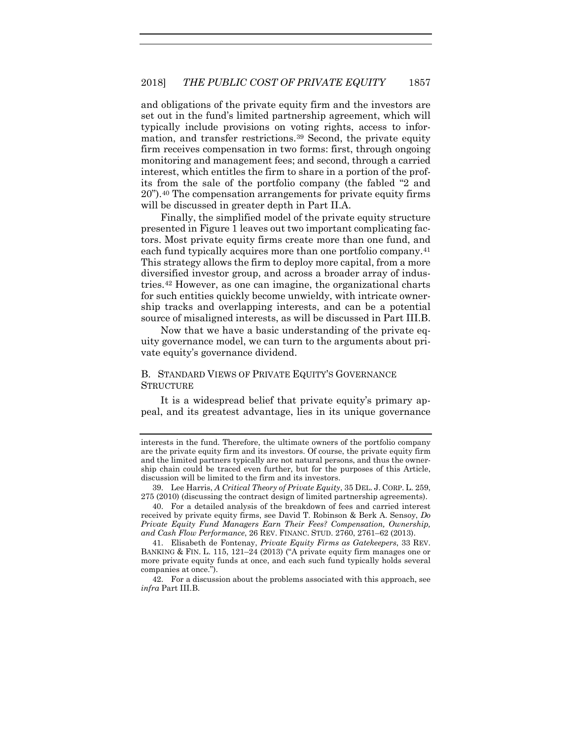and obligations of the private equity firm and the investors are set out in the fund's limited partnership agreement, which will typically include provisions on voting rights, access to information, and transfer restrictions.[39](#page-11-0) Second, the private equity firm receives compensation in two forms: first, through ongoing monitoring and management fees; and second, through a carried interest, which entitles the firm to share in a portion of the profits from the sale of the portfolio company (the fabled "2 and 20").[40](#page-11-1) The compensation arrangements for private equity firms will be discussed in greater depth in Part II.A.

<span id="page-11-4"></span>Finally, the simplified model of the private equity structure presented in Figure 1 leaves out two important complicating factors. Most private equity firms create more than one fund, and each fund typically acquires more than one portfolio company.<sup>[41](#page-11-2)</sup> This strategy allows the firm to deploy more capital, from a more diversified investor group, and across a broader array of industries.[42](#page-11-3) However, as one can imagine, the organizational charts for such entities quickly become unwieldy, with intricate ownership tracks and overlapping interests, and can be a potential source of misaligned interests, as will be discussed in Part III.B.

Now that we have a basic understanding of the private equity governance model, we can turn to the arguments about private equity's governance dividend.

#### B. STANDARD VIEWS OF PRIVATE EQUITY'S GOVERNANCE **STRUCTURE**

It is a widespread belief that private equity's primary appeal, and its greatest advantage, lies in its unique governance

<span id="page-11-0"></span>39. Lee Harris, *A Critical Theory of Private Equity*, 35 DEL. J. CORP. L. 259, 275 (2010) (discussing the contract design of limited partnership agreements).

<span id="page-11-1"></span>40. For a detailed analysis of the breakdown of fees and carried interest received by private equity firms, see David T. Robinson & Berk A. Sensoy, *Do Private Equity Fund Managers Earn Their Fees? Compensation, Ownership, and Cash Flow Performance*, 26 REV. FINANC. STUD. 2760, 2761–62 (2013).

<span id="page-11-2"></span>41. Elisabeth de Fontenay, *Private Equity Firms as Gatekeepers*, 33 REV. BANKING & FIN. L. 115, 121–24 (2013) ("A private equity firm manages one or more private equity funds at once, and each such fund typically holds several companies at once.").

<span id="page-11-3"></span>42. For a discussion about the problems associated with this approach, see *infra* Part III.B.

interests in the fund. Therefore, the ultimate owners of the portfolio company are the private equity firm and its investors. Of course, the private equity firm and the limited partners typically are not natural persons, and thus the ownership chain could be traced even further, but for the purposes of this Article, discussion will be limited to the firm and its investors.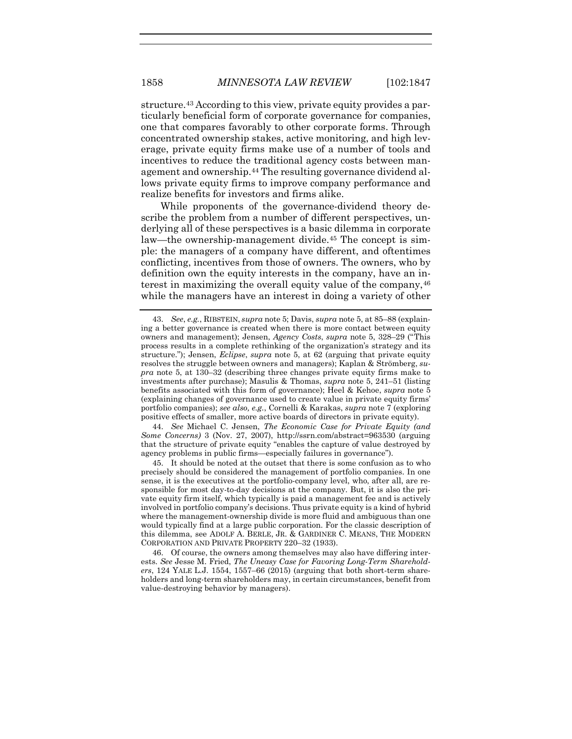structure[.43](#page-12-0) According to this view, private equity provides a particularly beneficial form of corporate governance for companies, one that compares favorably to other corporate forms. Through concentrated ownership stakes, active monitoring, and high leverage, private equity firms make use of a number of tools and incentives to reduce the traditional agency costs between management and ownership[.44](#page-12-1) The resulting governance dividend allows private equity firms to improve company performance and realize benefits for investors and firms alike.

While proponents of the governance-dividend theory describe the problem from a number of different perspectives, underlying all of these perspectives is a basic dilemma in corporate law—the ownership-management divide.[45](#page-12-2) The concept is simple: the managers of a company have different, and oftentimes conflicting, incentives from those of owners. The owners, who by definition own the equity interests in the company, have an interest in maximizing the overall equity value of the company,  $46$ while the managers have an interest in doing a variety of other

<span id="page-12-1"></span>44. *See* Michael C. Jensen, *The Economic Case for Private Equity (and Some Concerns)* 3 (Nov. 27, 2007), http://ssrn.com/abstract=963530 (arguing that the structure of private equity "enables the capture of value destroyed by agency problems in public firms—especially failures in governance").

<span id="page-12-2"></span>45. It should be noted at the outset that there is some confusion as to who precisely should be considered the management of portfolio companies. In one sense, it is the executives at the portfolio-company level, who, after all, are responsible for most day-to-day decisions at the company. But, it is also the private equity firm itself, which typically is paid a management fee and is actively involved in portfolio company's decisions. Thus private equity is a kind of hybrid where the management-ownership divide is more fluid and ambiguous than one would typically find at a large public corporation. For the classic description of this dilemma, see ADOLF A. BERLE, JR. & GARDINER C. MEANS, THE MODERN CORPORATION AND PRIVATE PROPERTY 220–32 (1933).

<span id="page-12-3"></span>46. Of course, the owners among themselves may also have differing interests. *See* Jesse M. Fried, *The Uneasy Case for Favoring Long-Term Shareholders*, 124 YALE L.J. 1554, 1557–66 (2015) (arguing that both short-term shareholders and long-term shareholders may, in certain circumstances, benefit from value-destroying behavior by managers).

<span id="page-12-4"></span><span id="page-12-0"></span><sup>43.</sup> *See*, *e.g.*, RIBSTEIN, *supra* not[e 5;](#page-2-2) Davis, *supra* not[e 5,](#page-2-4) at 85–88 (explaining a better governance is created when there is more contact between equity owners and management); Jensen, *Agency Costs*, *supra* note [5,](#page-2-4) 328–29 ("This process results in a complete rethinking of the organization's strategy and its structure."); Jensen, *Eclipse*, *supra* note [5,](#page-2-4) at 62 (arguing that private equity resolves the struggle between owners and managers); Kaplan & Strömberg, *supra* note [5,](#page-2-2) at 130–32 (describing three changes private equity firms make to investments after purchase); Masulis & Thomas, *supra* note [5,](#page-2-4) 241–51 (listing benefits associated with this form of governance); Heel & Kehoe, *supra* note [5](#page-2-4) (explaining changes of governance used to create value in private equity firms' portfolio companies); *see also, e.g.*, Cornelli & Karakas, *supra* note [7](#page-3-3) (exploring positive effects of smaller, more active boards of directors in private equity).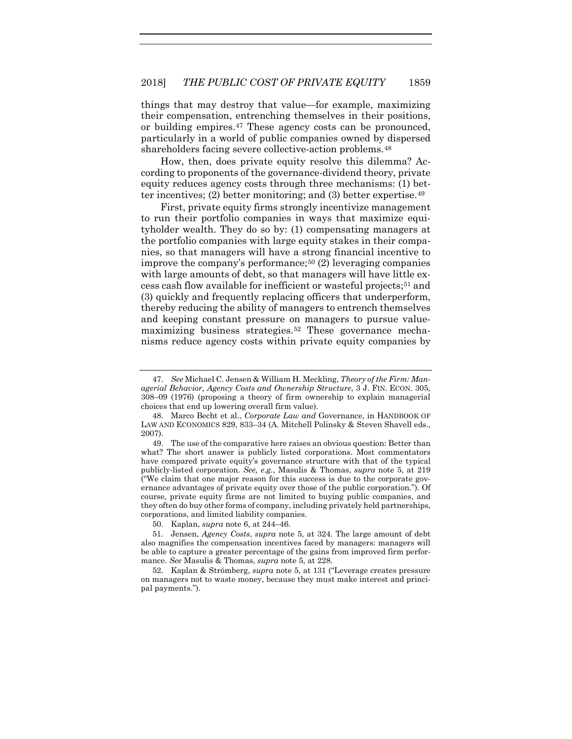<span id="page-13-6"></span>things that may destroy that value—for example, maximizing their compensation, entrenching themselves in their positions, or building empires[.47](#page-13-0) These agency costs can be pronounced, particularly in a world of public companies owned by dispersed shareholders facing severe collective-action problems.<sup>48</sup>

How, then, does private equity resolve this dilemma? According to proponents of the governance-dividend theory, private equity reduces agency costs through three mechanisms: (1) better incentives; (2) better monitoring; and (3) better expertise.[49](#page-13-2)

First, private equity firms strongly incentivize management to run their portfolio companies in ways that maximize equityholder wealth. They do so by: (1) compensating managers at the portfolio companies with large equity stakes in their companies, so that managers will have a strong financial incentive to improve the company's performance;<sup>[50](#page-13-3)</sup> (2) leveraging companies with large amounts of debt, so that managers will have little excess cash flow available for inefficient or wasteful projects;[51](#page-13-4) and (3) quickly and frequently replacing officers that underperform, thereby reducing the ability of managers to entrench themselves and keeping constant pressure on managers to pursue valuemaximizing business strategies.[52](#page-13-5) These governance mechanisms reduce agency costs within private equity companies by

<span id="page-13-0"></span><sup>47.</sup> *See* Michael C. Jensen & William H. Meckling, *Theory of the Firm: Managerial Behavior, Agency Costs and Ownership Structure*, 3 J. FIN. ECON. 305, 308–09 (1976) (proposing a theory of firm ownership to explain managerial choices that end up lowering overall firm value).

<span id="page-13-1"></span><sup>48.</sup> Marco Becht et al., *Corporate Law and* Governance, in HANDBOOK OF LAW AND ECONOMICS 829, 833–34 (A. Mitchell Polinsky & Steven Shavell eds., 2007).

<span id="page-13-2"></span><sup>49.</sup> The use of the comparative here raises an obvious question: Better than what? The short answer is publicly listed corporations. Most commentators have compared private equity's governance structure with that of the typical publicly-listed corporation. *See, e.g.*, Masulis & Thomas, *supra* note [5,](#page-2-4) at 219 ("We claim that one major reason for this success is due to the corporate governance advantages of private equity over those of the public corporation."). Of course, private equity firms are not limited to buying public companies, and they often do buy other forms of company, including privately held partnerships, corporations, and limited liability companies.

<sup>50.</sup> Kaplan, *supra* note [6,](#page-3-4) at 244–46.

<span id="page-13-4"></span><span id="page-13-3"></span><sup>51.</sup> Jensen, *Agency Costs*, *supra* note [5,](#page-2-4) at 324. The large amount of debt also magnifies the compensation incentives faced by managers: managers will be able to capture a greater percentage of the gains from improved firm performance. *See* Masulis & Thomas, *supra* note [5,](#page-2-4) at 228.

<span id="page-13-5"></span><sup>52.</sup> Kaplan & Strömberg, *supra* note [5,](#page-2-2) at 131 ("Leverage creates pressure on managers not to waste money, because they must make interest and principal payments.").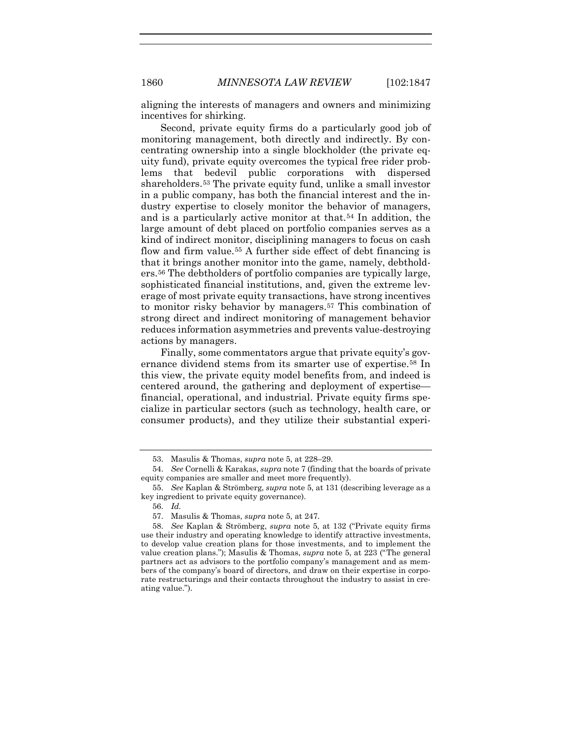aligning the interests of managers and owners and minimizing incentives for shirking.

Second, private equity firms do a particularly good job of monitoring management, both directly and indirectly. By concentrating ownership into a single blockholder (the private equity fund), private equity overcomes the typical free rider problems that bedevil public corporations with dispersed shareholders.[53](#page-14-0) The private equity fund, unlike a small investor in a public company, has both the financial interest and the industry expertise to closely monitor the behavior of managers, and is a particularly active monitor at that.[54](#page-14-1) In addition, the large amount of debt placed on portfolio companies serves as a kind of indirect monitor, disciplining managers to focus on cash flow and firm value.<sup>[55](#page-14-2)</sup> A further side effect of debt financing is that it brings another monitor into the game, namely, debtholders.[56](#page-14-3) The debtholders of portfolio companies are typically large, sophisticated financial institutions, and, given the extreme leverage of most private equity transactions, have strong incentives to monitor risky behavior by managers.[57](#page-14-4) This combination of strong direct and indirect monitoring of management behavior reduces information asymmetries and prevents value-destroying actions by managers.

Finally, some commentators argue that private equity's governance dividend stems from its smarter use of expertise.<sup>58</sup> In this view, the private equity model benefits from, and indeed is centered around, the gathering and deployment of expertise financial, operational, and industrial. Private equity firms specialize in particular sectors (such as technology, health care, or consumer products), and they utilize their substantial experi-

<sup>53.</sup> Masulis & Thomas, *supra* note [5,](#page-2-4) at 228–29.

<span id="page-14-0"></span><sup>54.</sup> *See* Cornelli & Karakas, *supra* not[e 7](#page-3-3) (finding that the boards of private equity companies are smaller and meet more frequently).

<span id="page-14-3"></span><span id="page-14-2"></span><span id="page-14-1"></span><sup>55.</sup> *See* Kaplan & Strömberg, *supra* not[e 5,](#page-2-2) at 131 (describing leverage as a key ingredient to private equity governance).

<sup>56.</sup> *Id.*

<sup>57.</sup> Masulis & Thomas, *supra* note [5,](#page-2-4) at 247.

<span id="page-14-5"></span><span id="page-14-4"></span><sup>58.</sup> *See* Kaplan & Strömberg, *supra* note [5,](#page-2-2) at 132 ("Private equity firms use their industry and operating knowledge to identify attractive investments, to develop value creation plans for those investments, and to implement the value creation plans."); Masulis & Thomas, *supra* note [5,](#page-2-4) at 223 ("The general partners act as advisors to the portfolio company's management and as members of the company's board of directors, and draw on their expertise in corporate restructurings and their contacts throughout the industry to assist in creating value.").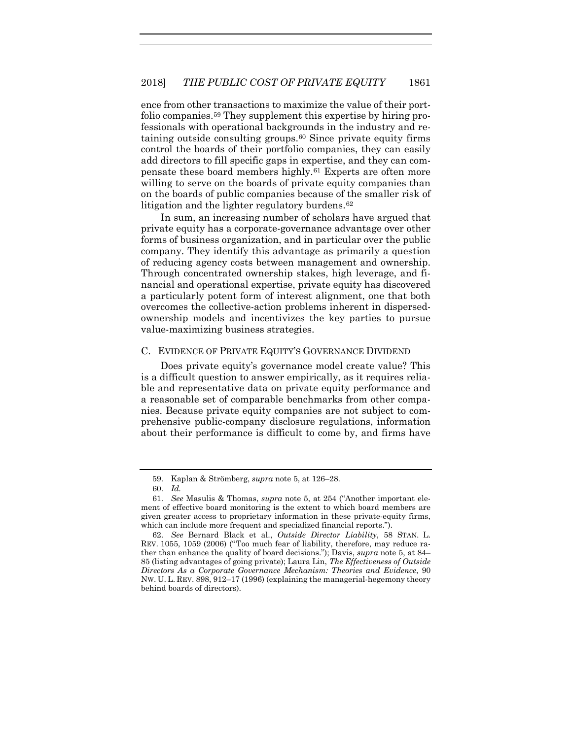ence from other transactions to maximize the value of their portfolio companies.[59](#page-15-0) They supplement this expertise by hiring professionals with operational backgrounds in the industry and retaining outside consulting groups.[60](#page-15-1) Since private equity firms control the boards of their portfolio companies, they can easily add directors to fill specific gaps in expertise, and they can compensate these board members highly.[61](#page-15-2) Experts are often more willing to serve on the boards of private equity companies than on the boards of public companies because of the smaller risk of litigation and the lighter regulatory burdens[.62](#page-15-3)

In sum, an increasing number of scholars have argued that private equity has a corporate-governance advantage over other forms of business organization, and in particular over the public company. They identify this advantage as primarily a question of reducing agency costs between management and ownership. Through concentrated ownership stakes, high leverage, and financial and operational expertise, private equity has discovered a particularly potent form of interest alignment, one that both overcomes the collective-action problems inherent in dispersedownership models and incentivizes the key parties to pursue value-maximizing business strategies.

#### C. EVIDENCE OF PRIVATE EQUITY'S GOVERNANCE DIVIDEND

Does private equity's governance model create value? This is a difficult question to answer empirically, as it requires reliable and representative data on private equity performance and a reasonable set of comparable benchmarks from other companies. Because private equity companies are not subject to comprehensive public-company disclosure regulations, information about their performance is difficult to come by, and firms have

<sup>59.</sup> Kaplan & Strömberg, *supra* note [5,](#page-2-2) at 126–28.

<sup>60.</sup> *Id.*

<span id="page-15-2"></span><span id="page-15-1"></span><span id="page-15-0"></span><sup>61.</sup> *See* Masulis & Thomas, *supra* note [5,](#page-2-4) at 254 ("Another important element of effective board monitoring is the extent to which board members are given greater access to proprietary information in these private-equity firms, which can include more frequent and specialized financial reports.").

<span id="page-15-3"></span><sup>62.</sup> *See* Bernard Black et al., *Outside Director Liability*, 58 STAN. L. REV. 1055, 1059 (2006) ("Too much fear of liability, therefore, may reduce rather than enhance the quality of board decisions."); Davis, *supra* not[e 5,](#page-2-4) at 84– 85 (listing advantages of going private); Laura Lin, *The Effectiveness of Outside Directors As a Corporate Governance Mechanism: Theories and Evidence*, 90 NW. U. L. REV. 898, 912–17 (1996) (explaining the managerial-hegemony theory behind boards of directors).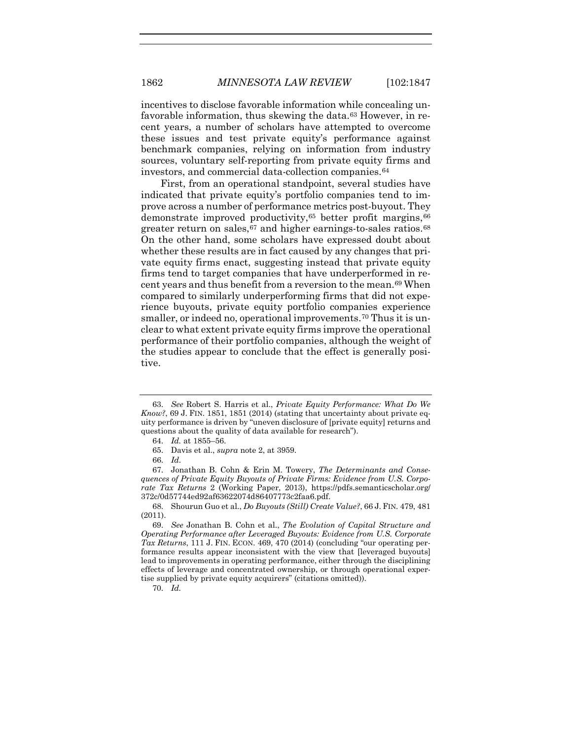1862 *MINNESOTA LAW REVIEW* [102:1847

<span id="page-16-8"></span>incentives to disclose favorable information while concealing unfavorable information, thus skewing the data.[63](#page-16-0) However, in recent years, a number of scholars have attempted to overcome these issues and test private equity's performance against benchmark companies, relying on information from industry sources, voluntary self-reporting from private equity firms and investors, and commercial data-collection companies.[64](#page-16-1)

First, from an operational standpoint, several studies have indicated that private equity's portfolio companies tend to improve across a number of performance metrics post-buyout. They demonstrate improved productivity,<sup>65</sup> better profit margins,<sup>[66](#page-16-3)</sup> greater return on sales,  $67$  and higher earnings-to-sales ratios.  $68$ On the other hand, some scholars have expressed doubt about whether these results are in fact caused by any changes that private equity firms enact, suggesting instead that private equity firms tend to target companies that have underperformed in re-cent years and thus benefit from a reversion to the mean.<sup>[69](#page-16-6)</sup> When compared to similarly underperforming firms that did not experience buyouts, private equity portfolio companies experience smaller, or indeed no, operational improvements.<sup>[70](#page-16-7)</sup> Thus it is unclear to what extent private equity firms improve the operational performance of their portfolio companies, although the weight of the studies appear to conclude that the effect is generally positive.

<span id="page-16-7"></span>70. *Id.*

<span id="page-16-0"></span><sup>63.</sup> *See* Robert S. Harris et al., *Private Equity Performance: What Do We Know?*, 69 J. FIN. 1851, 1851 (2014) (stating that uncertainty about private equity performance is driven by "uneven disclosure of [private equity] returns and questions about the quality of data available for research").

<sup>64.</sup> *Id.* at 1855–56.

<sup>65.</sup> Davis et al., *supra* not[e 2,](#page-1-4) at 3959.

<sup>66.</sup> *Id.*

<span id="page-16-4"></span><span id="page-16-3"></span><span id="page-16-2"></span><span id="page-16-1"></span><sup>67.</sup> Jonathan B. Cohn & Erin M. Towery, *The Determinants and Consequences of Private Equity Buyouts of Private Firms: Evidence from U.S. Corporate Tax Returns* 2 (Working Paper, 2013), https://pdfs.semanticscholar.org/ 372c/0d57744ed92af63622074d86407773c2faa6.pdf.

<span id="page-16-5"></span><sup>68.</sup> Shourun Guo et al., *Do Buyouts (Still) Create Value?*, 66 J. FIN. 479, 481 (2011).

<span id="page-16-6"></span><sup>69.</sup> *See* Jonathan B. Cohn et al., *The Evolution of Capital Structure and Operating Performance after Leveraged Buyouts: Evidence from U.S. Corporate Tax Returns*, 111 J. FIN. ECON. 469, 470 (2014) (concluding "our operating performance results appear inconsistent with the view that [leveraged buyouts] lead to improvements in operating performance, either through the disciplining effects of leverage and concentrated ownership, or through operational expertise supplied by private equity acquirers" (citations omitted)).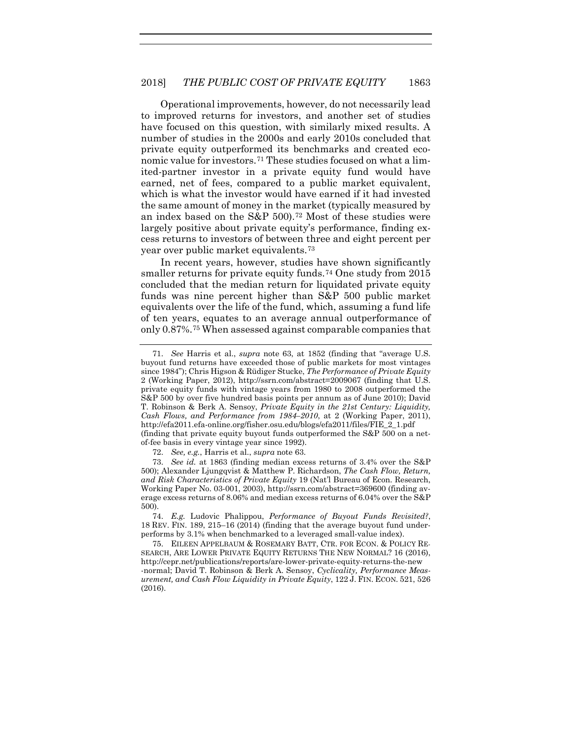Operational improvements, however, do not necessarily lead to improved returns for investors, and another set of studies have focused on this question, with similarly mixed results. A number of studies in the 2000s and early 2010s concluded that private equity outperformed its benchmarks and created economic value for investors.[71](#page-17-0) These studies focused on what a limited-partner investor in a private equity fund would have earned, net of fees, compared to a public market equivalent, which is what the investor would have earned if it had invested the same amount of money in the market (typically measured by an index based on the S&P 500).[72](#page-17-1) Most of these studies were largely positive about private equity's performance, finding excess returns to investors of between three and eight percent per year over public market equivalents.[73](#page-17-2)

In recent years, however, studies have shown significantly smaller returns for private equity funds.<sup>[74](#page-17-3)</sup> One study from 2015 concluded that the median return for liquidated private equity funds was nine percent higher than S&P 500 public market equivalents over the life of the fund, which, assuming a fund life of ten years, equates to an average annual outperformance of only 0.87%.[75](#page-17-4) When assessed against comparable companies that

72. *See, e.g.*, Harris et al., *supra* not[e 63.](#page-16-8)

<span id="page-17-5"></span><span id="page-17-0"></span><sup>71.</sup> *See* Harris et al., *supra* note [63,](#page-16-8) at 1852 (finding that "average U.S. buyout fund returns have exceeded those of public markets for most vintages since 1984"); Chris Higson & Rüdiger Stucke, *The Performance of Private Equity* 2 (Working Paper, 2012), http://ssrn.com/abstract=2009067 (finding that U.S. private equity funds with vintage years from 1980 to 2008 outperformed the S&P 500 by over five hundred basis points per annum as of June 2010); David T. Robinson & Berk A. Sensoy, *Private Equity in the 21st Century: Liquidity, Cash Flows, and Performance from 1984–2010*, at 2 (Working Paper, 2011), http://efa2011.efa-online.org/fisher.osu.edu/blogs/efa2011/files/FIE\_2\_1.pdf (finding that private equity buyout funds outperformed the S&P 500 on a net-

of-fee basis in every vintage year since 1992).

<span id="page-17-2"></span><span id="page-17-1"></span><sup>73.</sup> *See id.* at 1863 (finding median excess returns of 3.4% over the S&P 500); Alexander Ljungqvist & Matthew P. Richardson, *The Cash Flow, Return, and Risk Characteristics of Private Equity* 19 (Nat'l Bureau of Econ. Research, Working Paper No. 03-001, 2003), http://ssrn.com/abstract=369600 (finding average excess returns of 8.06% and median excess returns of 6.04% over the S&P 500).

<span id="page-17-3"></span><sup>74.</sup> *E.g.* Ludovic Phalippou, *Performance of Buyout Funds Revisited?*, 18 REV. FIN. 189, 215–16 (2014) (finding that the average buyout fund underperforms by 3.1% when benchmarked to a leveraged small-value index).

<span id="page-17-4"></span><sup>75.</sup> EILEEN APPELBAUM & ROSEMARY BATT, CTR. FOR ECON. & POLICY RE-SEARCH, ARE LOWER PRIVATE EQUITY RETURNS THE NEW NORMAL? 16 (2016), http://cepr.net/publications/reports/are-lower-private-equity-returns-the-new -normal; David T. Robinson & Berk A. Sensoy, *Cyclicality, Performance Measurement, and Cash Flow Liquidity in Private Equity*, 122 J. FIN. ECON. 521, 526 (2016).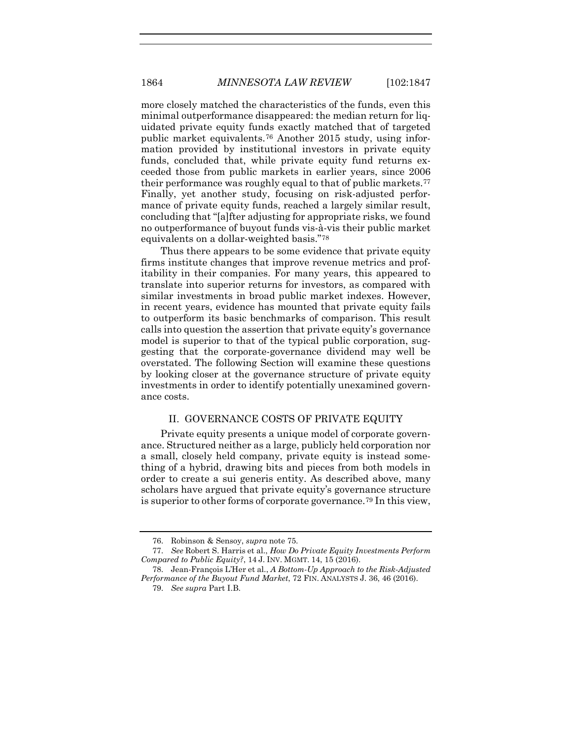more closely matched the characteristics of the funds, even this minimal outperformance disappeared: the median return for liquidated private equity funds exactly matched that of targeted public market equivalents.[76](#page-18-0) Another 2015 study, using information provided by institutional investors in private equity funds, concluded that, while private equity fund returns exceeded those from public markets in earlier years, since 2006 their performance was roughly equal to that of public markets.[77](#page-18-1) Finally, yet another study, focusing on risk-adjusted performance of private equity funds, reached a largely similar result, concluding that "[a]fter adjusting for appropriate risks, we found no outperformance of buyout funds vis-à-vis their public market equivalents on a dollar-weighted basis."[78](#page-18-2)

Thus there appears to be some evidence that private equity firms institute changes that improve revenue metrics and profitability in their companies. For many years, this appeared to translate into superior returns for investors, as compared with similar investments in broad public market indexes. However, in recent years, evidence has mounted that private equity fails to outperform its basic benchmarks of comparison. This result calls into question the assertion that private equity's governance model is superior to that of the typical public corporation, suggesting that the corporate-governance dividend may well be overstated. The following Section will examine these questions by looking closer at the governance structure of private equity investments in order to identify potentially unexamined governance costs.

#### II. GOVERNANCE COSTS OF PRIVATE EQUITY

Private equity presents a unique model of corporate governance. Structured neither as a large, publicly held corporation nor a small, closely held company, private equity is instead something of a hybrid, drawing bits and pieces from both models in order to create a sui generis entity. As described above, many scholars have argued that private equity's governance structure is superior to other forms of corporate governance[.79](#page-18-3) In this view,

<sup>76.</sup> Robinson & Sensoy, *supra* not[e 75.](#page-17-5)

<span id="page-18-1"></span><span id="page-18-0"></span><sup>77.</sup> *See* Robert S. Harris et al., *How Do Private Equity Investments Perform Compared to Public Equity?*, 14 J. INV. MGMT. 14, 15 (2016).

<span id="page-18-3"></span><span id="page-18-2"></span><sup>78.</sup> Jean-François L'Her et al., *A Bottom-Up Approach to the Risk-Adjusted Performance of the Buyout Fund Market*, 72 FIN. ANALYSTS J. 36, 46 (2016).

<sup>79.</sup> *See supra* Part I.B.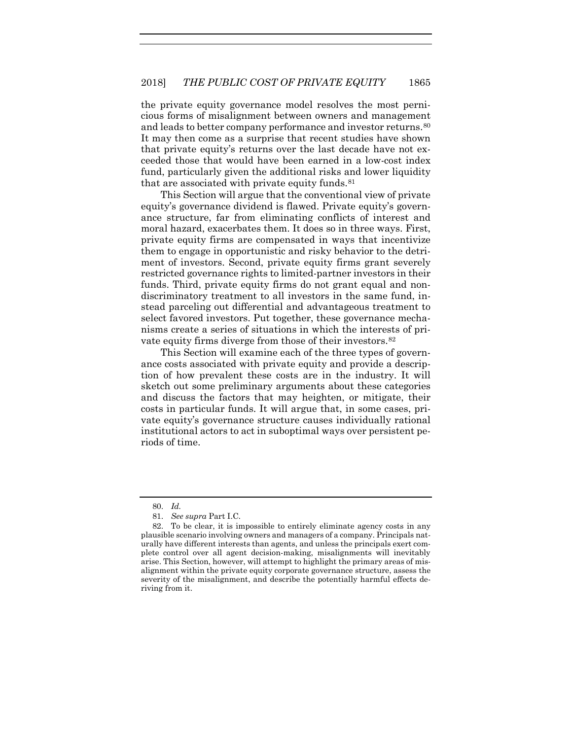the private equity governance model resolves the most pernicious forms of misalignment between owners and management and leads to better company performance and investor returns.[80](#page-19-0) It may then come as a surprise that recent studies have shown that private equity's returns over the last decade have not exceeded those that would have been earned in a low-cost index fund, particularly given the additional risks and lower liquidity that are associated with private equity funds.[81](#page-19-1)

This Section will argue that the conventional view of private equity's governance dividend is flawed. Private equity's governance structure, far from eliminating conflicts of interest and moral hazard, exacerbates them. It does so in three ways. First, private equity firms are compensated in ways that incentivize them to engage in opportunistic and risky behavior to the detriment of investors. Second, private equity firms grant severely restricted governance rights to limited-partner investors in their funds. Third, private equity firms do not grant equal and nondiscriminatory treatment to all investors in the same fund, instead parceling out differential and advantageous treatment to select favored investors. Put together, these governance mechanisms create a series of situations in which the interests of private equity firms diverge from those of their investors.[82](#page-19-2)

This Section will examine each of the three types of governance costs associated with private equity and provide a description of how prevalent these costs are in the industry. It will sketch out some preliminary arguments about these categories and discuss the factors that may heighten, or mitigate, their costs in particular funds. It will argue that, in some cases, private equity's governance structure causes individually rational institutional actors to act in suboptimal ways over persistent periods of time.

<sup>80.</sup> *Id.*

<sup>81.</sup> *See supra* Part I.C.

<span id="page-19-2"></span><span id="page-19-1"></span><span id="page-19-0"></span><sup>82.</sup> To be clear, it is impossible to entirely eliminate agency costs in any plausible scenario involving owners and managers of a company. Principals naturally have different interests than agents, and unless the principals exert complete control over all agent decision-making, misalignments will inevitably arise. This Section, however, will attempt to highlight the primary areas of misalignment within the private equity corporate governance structure, assess the severity of the misalignment, and describe the potentially harmful effects deriving from it.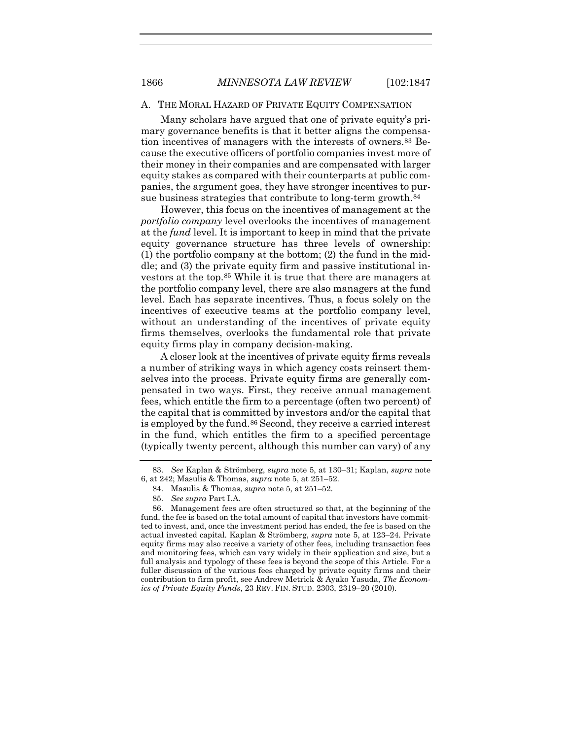#### A. THE MORAL HAZARD OF PRIVATE EQUITY COMPENSATION

Many scholars have argued that one of private equity's primary governance benefits is that it better aligns the compensation incentives of managers with the interests of owners.[83](#page-20-0) Because the executive officers of portfolio companies invest more of their money in their companies and are compensated with larger equity stakes as compared with their counterparts at public companies, the argument goes, they have stronger incentives to pursue business strategies that contribute to long-term growth.<sup>84</sup>

However, this focus on the incentives of management at the *portfolio company* level overlooks the incentives of management at the *fund* level. It is important to keep in mind that the private equity governance structure has three levels of ownership: (1) the portfolio company at the bottom; (2) the fund in the middle; and (3) the private equity firm and passive institutional investors at the top.[85](#page-20-2) While it is true that there are managers at the portfolio company level, there are also managers at the fund level. Each has separate incentives. Thus, a focus solely on the incentives of executive teams at the portfolio company level, without an understanding of the incentives of private equity firms themselves, overlooks the fundamental role that private equity firms play in company decision-making.

A closer look at the incentives of private equity firms reveals a number of striking ways in which agency costs reinsert themselves into the process. Private equity firms are generally compensated in two ways. First, they receive annual management fees, which entitle the firm to a percentage (often two percent) of the capital that is committed by investors and/or the capital that is employed by the fund.[86](#page-20-3) Second, they receive a carried interest in the fund, which entitles the firm to a specified percentage (typically twenty percent, although this number can vary) of any

<span id="page-20-4"></span><span id="page-20-0"></span><sup>83.</sup> *See* Kaplan & Strömberg, *supra* note [5,](#page-2-2) at 130–31; Kaplan, *supra* note [6,](#page-3-4) at 242; Masulis & Thomas, *supra* note [5,](#page-2-4) at 251–52.

<sup>84.</sup> Masulis & Thomas, *supra* note [5,](#page-2-4) at 251–52.

<sup>85.</sup> *See supra* Part I.A.

<span id="page-20-3"></span><span id="page-20-2"></span><span id="page-20-1"></span><sup>86.</sup> Management fees are often structured so that, at the beginning of the fund, the fee is based on the total amount of capital that investors have committed to invest, and, once the investment period has ended, the fee is based on the actual invested capital. Kaplan & Strömberg, *supra* note [5,](#page-2-2) at 123–24. Private equity firms may also receive a variety of other fees, including transaction fees and monitoring fees, which can vary widely in their application and size, but a full analysis and typology of these fees is beyond the scope of this Article. For a fuller discussion of the various fees charged by private equity firms and their contribution to firm profit, see Andrew Metrick & Ayako Yasuda, *The Economics of Private Equity Funds*, 23 REV. FIN. STUD. 2303, 2319–20 (2010).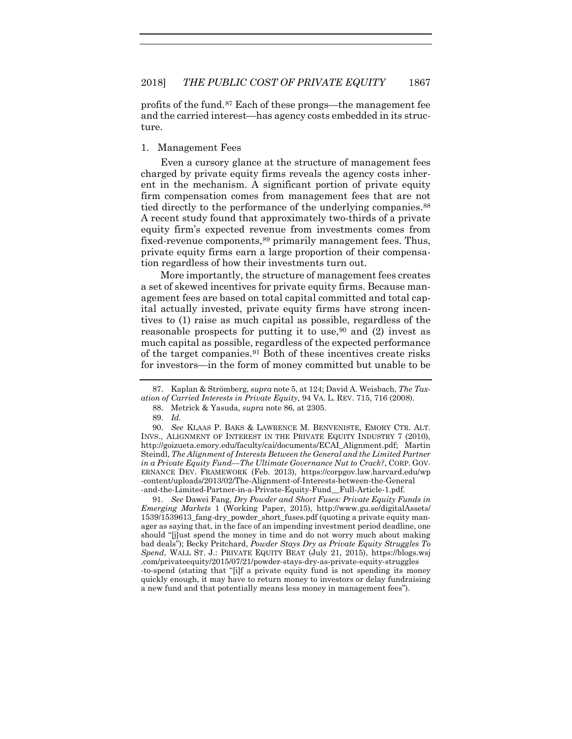<span id="page-21-5"></span>profits of the fund.[87](#page-21-0) Each of these prongs—the management fee and the carried interest—has agency costs embedded in its structure.

#### 1. Management Fees

Even a cursory glance at the structure of management fees charged by private equity firms reveals the agency costs inherent in the mechanism. A significant portion of private equity firm compensation comes from management fees that are not tied directly to the performance of the underlying companies.<sup>[88](#page-21-1)</sup> A recent study found that approximately two-thirds of a private equity firm's expected revenue from investments comes from fixed-revenue components,<sup>[89](#page-21-2)</sup> primarily management fees. Thus, private equity firms earn a large proportion of their compensation regardless of how their investments turn out.

More importantly, the structure of management fees creates a set of skewed incentives for private equity firms. Because management fees are based on total capital committed and total capital actually invested, private equity firms have strong incentives to (1) raise as much capital as possible, regardless of the reasonable prospects for putting it to use,  $90$  and (2) invest as much capital as possible, regardless of the expected performance of the target companies[.91](#page-21-4) Both of these incentives create risks for investors—in the form of money committed but unable to be

<span id="page-21-4"></span>91. *See* Dawei Fang, *Dry Powder and Short Fuses: Private Equity Funds in Emerging Markets* 1 (Working Paper, 2015), http://www.gu.se/digitalAssets/ 1539/1539613\_fang-dry\_powder\_short\_fuses.pdf (quoting a private equity manager as saying that, in the face of an impending investment period deadline, one should "[j]ust spend the money in time and do not worry much about making bad deals"); Becky Pritchard, *Powder Stays Dry as Private Equity Struggles To Spend*, WALL ST. J.: PRIVATE EQUITY BEAT (July 21, 2015), https://blogs.wsj .com/privateequity/2015/07/21/powder-stays-dry-as-private-equity-struggles -to-spend (stating that "[i]f a private equity fund is not spending its money quickly enough, it may have to return money to investors or delay fundraising a new fund and that potentially means less money in management fees").

<span id="page-21-1"></span><span id="page-21-0"></span><sup>87.</sup> Kaplan & Strömberg, *supra* not[e 5,](#page-2-2) at 124; David A. Weisbach, *The Taxation of Carried Interests in Private Equity*, 94 VA. L. REV. 715, 716 (2008).

<span id="page-21-6"></span><sup>88.</sup> Metrick & Yasuda, *supra* note [86,](#page-20-4) at 2305.

<sup>89.</sup> *Id.*

<span id="page-21-3"></span><span id="page-21-2"></span><sup>90.</sup> *See* KLAAS P. BAKS & LAWRENCE M. BENVENISTE, EMORY CTR. ALT. INVS., ALIGNMENT OF INTEREST IN THE PRIVATE EQUITY INDUSTRY 7 (2010), http://goizueta.emory.edu/faculty/cai/documents/ECAI\_Alignment.pdf; Martin Steindl, *The Alignment of Interests Between the General and the Limited Partner in a Private Equity Fund—The Ultimate Governance Nut to Crack?*, CORP. GOV-ERNANCE DEV. FRAMEWORK (Feb. 2013), https://corpgov.law.harvard.edu/wp -content/uploads/2013/02/The-Alignment-of-Interests-between-the-General -and-the-Limited-Partner-in-a-Private-Equity-Fund\_\_Full-Article-1.pdf.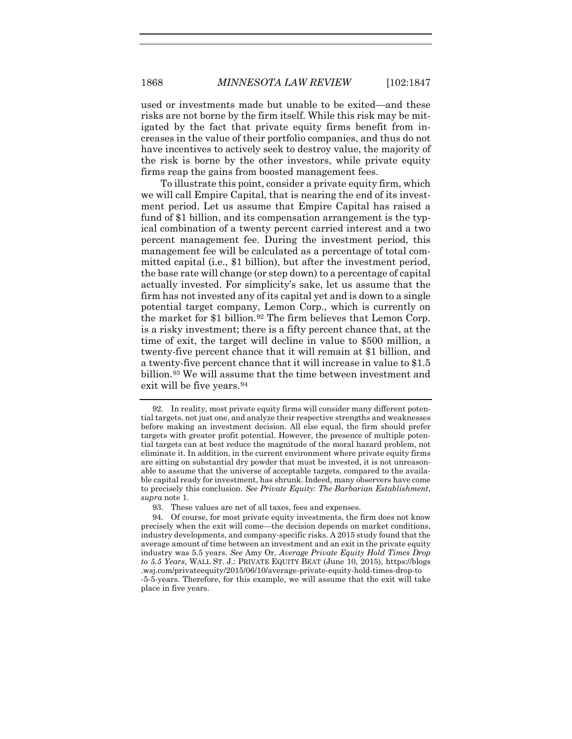used or investments made but unable to be exited—and these risks are not borne by the firm itself. While this risk may be mitigated by the fact that private equity firms benefit from increases in the value of their portfolio companies, and thus do not have incentives to actively seek to destroy value, the majority of the risk is borne by the other investors, while private equity firms reap the gains from boosted management fees.

To illustrate this point, consider a private equity firm, which we will call Empire Capital, that is nearing the end of its investment period. Let us assume that Empire Capital has raised a fund of \$1 billion, and its compensation arrangement is the typical combination of a twenty percent carried interest and a two percent management fee. During the investment period, this management fee will be calculated as a percentage of total committed capital (i.e., \$1 billion), but after the investment period, the base rate will change (or step down) to a percentage of capital actually invested. For simplicity's sake, let us assume that the firm has not invested any of its capital yet and is down to a single potential target company, Lemon Corp., which is currently on the market for \$1 billion.<sup>[92](#page-22-0)</sup> The firm believes that Lemon Corp. is a risky investment; there is a fifty percent chance that, at the time of exit, the target will decline in value to \$500 million, a twenty-five percent chance that it will remain at \$1 billion, and a twenty-five percent chance that it will increase in value to \$1.5 billion.[93](#page-22-1) We will assume that the time between investment and exit will be five years.<sup>[94](#page-22-2)</sup>

<span id="page-22-0"></span><sup>92.</sup> In reality, most private equity firms will consider many different potential targets, not just one, and analyze their respective strengths and weaknesses before making an investment decision. All else equal, the firm should prefer targets with greater profit potential. However, the presence of multiple potential targets can at best reduce the magnitude of the moral hazard problem, not eliminate it. In addition, in the current environment where private equity firms are sitting on substantial dry powder that must be invested, it is not unreasonable to assume that the universe of acceptable targets, compared to the available capital ready for investment, has shrunk. Indeed, many observers have come to precisely this conclusion. *See Private Equity: The Barbarian Establishment*, *supra* note [1.](#page-1-3)

<sup>93.</sup> These values are net of all taxes, fees and expenses.

<span id="page-22-2"></span><span id="page-22-1"></span><sup>94.</sup> Of course, for most private equity investments, the firm does not know precisely when the exit will come—the decision depends on market conditions, industry developments, and company-specific risks. A 2015 study found that the average amount of time between an investment and an exit in the private equity industry was 5.5 years. *See* Amy Or, *Average Private Equity Hold Times Drop to 5.5 Years*, WALL ST. J.: PRIVATE EQUITY BEAT (June 10, 2015), https://blogs .wsj.com/privateequity/2015/06/10/average-private-equity-hold-times-drop-to -5-5-years. Therefore, for this example, we will assume that the exit will take place in five years.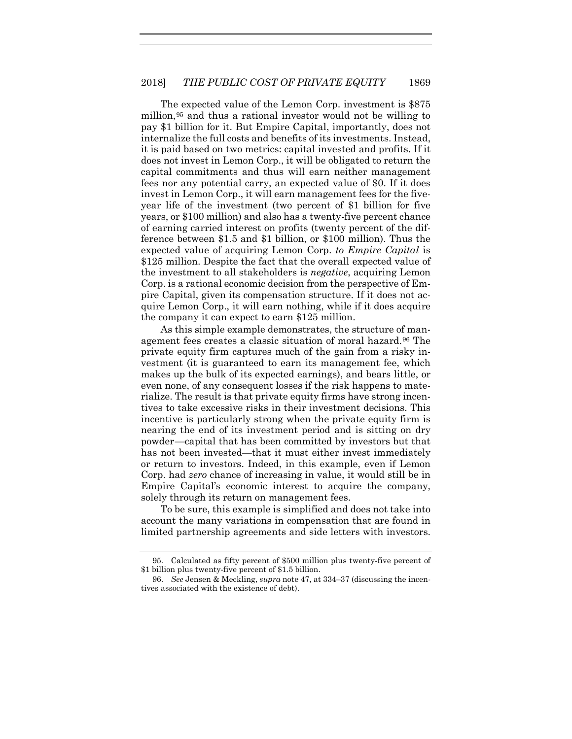The expected value of the Lemon Corp. investment is \$875 million,[95](#page-23-0) and thus a rational investor would not be willing to pay \$1 billion for it. But Empire Capital, importantly, does not internalize the full costs and benefits of its investments. Instead, it is paid based on two metrics: capital invested and profits. If it does not invest in Lemon Corp., it will be obligated to return the capital commitments and thus will earn neither management fees nor any potential carry, an expected value of \$0. If it does invest in Lemon Corp., it will earn management fees for the fiveyear life of the investment (two percent of \$1 billion for five years, or \$100 million) and also has a twenty-five percent chance of earning carried interest on profits (twenty percent of the difference between \$1.5 and \$1 billion, or \$100 million). Thus the expected value of acquiring Lemon Corp. *to Empire Capital* is \$125 million. Despite the fact that the overall expected value of the investment to all stakeholders is *negative*, acquiring Lemon Corp. is a rational economic decision from the perspective of Empire Capital, given its compensation structure. If it does not acquire Lemon Corp., it will earn nothing, while if it does acquire the company it can expect to earn \$125 million.

As this simple example demonstrates, the structure of management fees creates a classic situation of moral hazard.[96](#page-23-1) The private equity firm captures much of the gain from a risky investment (it is guaranteed to earn its management fee, which makes up the bulk of its expected earnings), and bears little, or even none, of any consequent losses if the risk happens to materialize. The result is that private equity firms have strong incentives to take excessive risks in their investment decisions. This incentive is particularly strong when the private equity firm is nearing the end of its investment period and is sitting on dry powder—capital that has been committed by investors but that has not been invested—that it must either invest immediately or return to investors. Indeed, in this example, even if Lemon Corp. had *zero* chance of increasing in value, it would still be in Empire Capital's economic interest to acquire the company, solely through its return on management fees.

To be sure, this example is simplified and does not take into account the many variations in compensation that are found in limited partnership agreements and side letters with investors.

<span id="page-23-0"></span><sup>95.</sup> Calculated as fifty percent of \$500 million plus twenty-five percent of \$1 billion plus twenty-five percent of \$1.5 billion.

<span id="page-23-1"></span><sup>96.</sup> *See* Jensen & Meckling, *supra* not[e 47,](#page-13-6) at 334–37 (discussing the incentives associated with the existence of debt).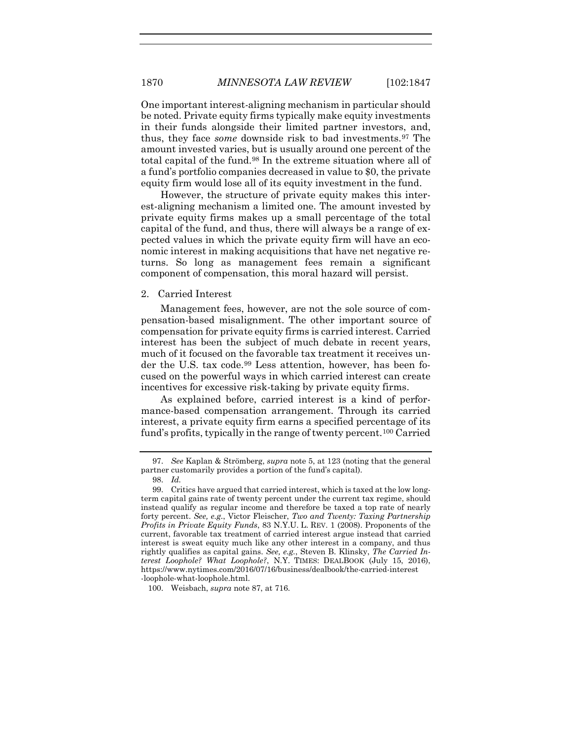One important interest-aligning mechanism in particular should be noted. Private equity firms typically make equity investments in their funds alongside their limited partner investors, and, thus, they face *some* downside risk to bad investments.[97](#page-24-0) The amount invested varies, but is usually around one percent of the total capital of the fund.[98](#page-24-1) In the extreme situation where all of a fund's portfolio companies decreased in value to \$0, the private equity firm would lose all of its equity investment in the fund.

However, the structure of private equity makes this interest-aligning mechanism a limited one. The amount invested by private equity firms makes up a small percentage of the total capital of the fund, and thus, there will always be a range of expected values in which the private equity firm will have an economic interest in making acquisitions that have net negative returns. So long as management fees remain a significant component of compensation, this moral hazard will persist.

#### 2. Carried Interest

Management fees, however, are not the sole source of compensation-based misalignment. The other important source of compensation for private equity firms is carried interest. Carried interest has been the subject of much debate in recent years, much of it focused on the favorable tax treatment it receives under the U.S. tax code[.99](#page-24-2) Less attention, however, has been focused on the powerful ways in which carried interest can create incentives for excessive risk-taking by private equity firms.

As explained before, carried interest is a kind of performance-based compensation arrangement. Through its carried interest, a private equity firm earns a specified percentage of its fund's profits, typically in the range of twenty percent.[100](#page-24-3) Carried

<span id="page-24-0"></span><sup>97.</sup> *See* Kaplan & Strömberg, *supra* note [5,](#page-2-2) at 123 (noting that the general partner customarily provides a portion of the fund's capital).

<sup>98.</sup> *Id.*

<span id="page-24-2"></span><span id="page-24-1"></span><sup>99.</sup> Critics have argued that carried interest, which is taxed at the low longterm capital gains rate of twenty percent under the current tax regime, should instead qualify as regular income and therefore be taxed a top rate of nearly forty percent. *See, e.g.*, Victor Fleischer, *Two and Twenty: Taxing Partnership Profits in Private Equity Funds*, 83 N.Y.U. L. REV. 1 (2008). Proponents of the current, favorable tax treatment of carried interest argue instead that carried interest is sweat equity much like any other interest in a company, and thus rightly qualifies as capital gains. *See, e.g.*, Steven B. Klinsky, *The Carried Interest Loophole? What Loophole?*, N.Y. TIMES: DEALBOOK (July 15, 2016), https://www.nytimes.com/2016/07/16/business/dealbook/the-carried-interest -loophole-what-loophole.html.

<span id="page-24-3"></span><sup>100.</sup> Weisbach, *supra* not[e 87,](#page-21-5) at 716.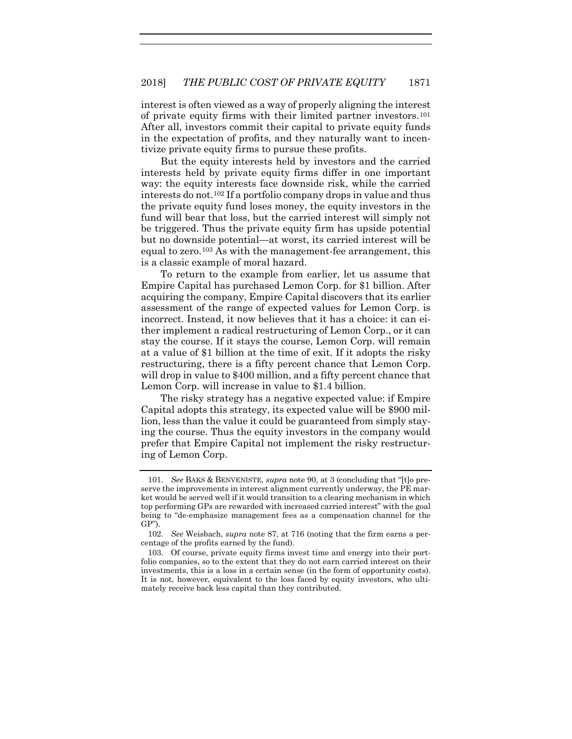interest is often viewed as a way of properly aligning the interest of private equity firms with their limited partner investors.[101](#page-25-0) After all, investors commit their capital to private equity funds in the expectation of profits, and they naturally want to incentivize private equity firms to pursue these profits.

But the equity interests held by investors and the carried interests held by private equity firms differ in one important way: the equity interests face downside risk, while the carried interests do not.[102](#page-25-1) If a portfolio company drops in value and thus the private equity fund loses money, the equity investors in the fund will bear that loss, but the carried interest will simply not be triggered. Thus the private equity firm has upside potential but no downside potential—at worst, its carried interest will be equal to zero.[103](#page-25-2) As with the management-fee arrangement, this is a classic example of moral hazard.

To return to the example from earlier, let us assume that Empire Capital has purchased Lemon Corp. for \$1 billion. After acquiring the company, Empire Capital discovers that its earlier assessment of the range of expected values for Lemon Corp. is incorrect. Instead, it now believes that it has a choice: it can either implement a radical restructuring of Lemon Corp., or it can stay the course. If it stays the course, Lemon Corp. will remain at a value of \$1 billion at the time of exit. If it adopts the risky restructuring, there is a fifty percent chance that Lemon Corp. will drop in value to \$400 million, and a fifty percent chance that Lemon Corp. will increase in value to \$1.4 billion.

The risky strategy has a negative expected value: if Empire Capital adopts this strategy, its expected value will be \$900 million, less than the value it could be guaranteed from simply staying the course. Thus the equity investors in the company would prefer that Empire Capital not implement the risky restructuring of Lemon Corp.

<span id="page-25-0"></span><sup>101.</sup> *See* BAKS & BENVENISTE, *supra* note [90,](#page-21-6) at 3 (concluding that "[t]o preserve the improvements in interest alignment currently underway, the PE market would be served well if it would transition to a clearing mechanism in which top performing GPs are rewarded with increased carried interest" with the goal being to "de-emphasize management fees as a compensation channel for the GP").

<span id="page-25-1"></span><sup>102.</sup> *See* Weisbach, *supra* note [87,](#page-21-5) at 716 (noting that the firm earns a percentage of the profits earned by the fund).

<span id="page-25-2"></span><sup>103.</sup> Of course, private equity firms invest time and energy into their portfolio companies, so to the extent that they do not earn carried interest on their investments, this is a loss in a certain sense (in the form of opportunity costs). It is not, however, equivalent to the loss faced by equity investors, who ultimately receive back less capital than they contributed.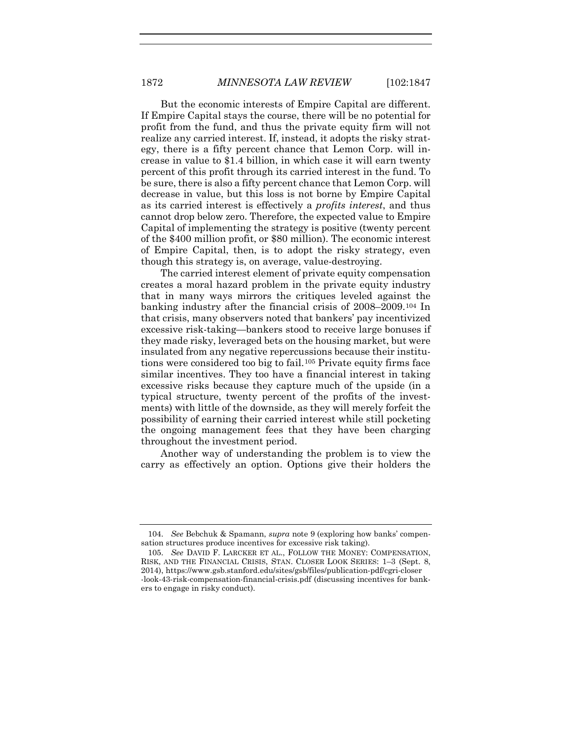But the economic interests of Empire Capital are different. If Empire Capital stays the course, there will be no potential for profit from the fund, and thus the private equity firm will not realize any carried interest. If, instead, it adopts the risky strategy, there is a fifty percent chance that Lemon Corp. will increase in value to \$1.4 billion, in which case it will earn twenty percent of this profit through its carried interest in the fund. To be sure, there is also a fifty percent chance that Lemon Corp. will decrease in value, but this loss is not borne by Empire Capital as its carried interest is effectively a *profits interest*, and thus cannot drop below zero. Therefore, the expected value to Empire Capital of implementing the strategy is positive (twenty percent of the \$400 million profit, or \$80 million). The economic interest of Empire Capital, then, is to adopt the risky strategy, even though this strategy is, on average, value-destroying.

The carried interest element of private equity compensation creates a moral hazard problem in the private equity industry that in many ways mirrors the critiques leveled against the banking industry after the financial crisis of 2008–2009.[104](#page-26-0) In that crisis, many observers noted that bankers' pay incentivized excessive risk-taking—bankers stood to receive large bonuses if they made risky, leveraged bets on the housing market, but were insulated from any negative repercussions because their institutions were considered too big to fail.[105](#page-26-1) Private equity firms face similar incentives. They too have a financial interest in taking excessive risks because they capture much of the upside (in a typical structure, twenty percent of the profits of the investments) with little of the downside, as they will merely forfeit the possibility of earning their carried interest while still pocketing the ongoing management fees that they have been charging throughout the investment period.

Another way of understanding the problem is to view the carry as effectively an option. Options give their holders the

<span id="page-26-0"></span><sup>104.</sup> *See* Bebchuk & Spamann, *supra* note [9](#page-4-0) (exploring how banks' compensation structures produce incentives for excessive risk taking).

<span id="page-26-1"></span><sup>105.</sup> *See* DAVID F. LARCKER ET AL., FOLLOW THE MONEY: COMPENSATION, RISK, AND THE FINANCIAL CRISIS, STAN. CLOSER LOOK SERIES: 1–3 (Sept. 8, 2014), https://www.gsb.stanford.edu/sites/gsb/files/publication-pdf/cgri-closer -look-43-risk-compensation-financial-crisis.pdf (discussing incentives for bankers to engage in risky conduct).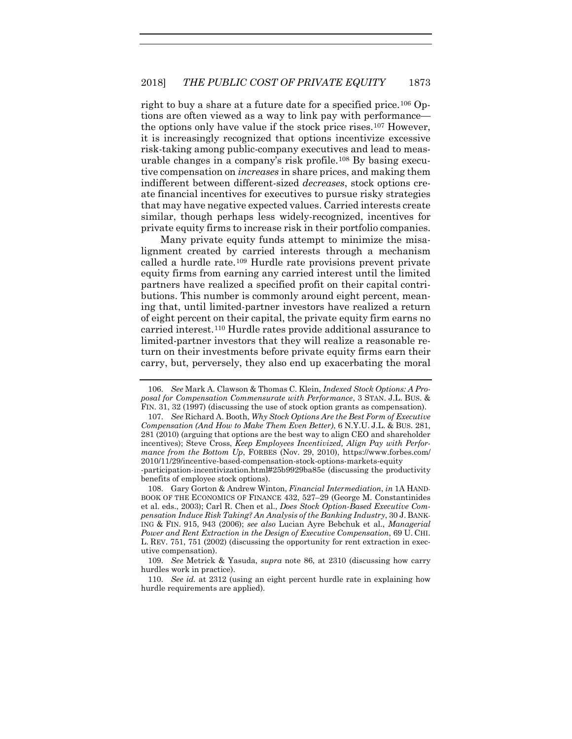right to buy a share at a future date for a specified price.[106](#page-27-0) Options are often viewed as a way to link pay with performance the options only have value if the stock price rises.[107](#page-27-1) However, it is increasingly recognized that options incentivize excessive risk-taking among public-company executives and lead to measurable changes in a company's risk profile.[108](#page-27-2) By basing executive compensation on *increases* in share prices, and making them indifferent between different-sized *decreases*, stock options create financial incentives for executives to pursue risky strategies that may have negative expected values. Carried interests create similar, though perhaps less widely-recognized, incentives for private equity firms to increase risk in their portfolio companies.

Many private equity funds attempt to minimize the misalignment created by carried interests through a mechanism called a hurdle rate.[109](#page-27-3) Hurdle rate provisions prevent private equity firms from earning any carried interest until the limited partners have realized a specified profit on their capital contributions. This number is commonly around eight percent, meaning that, until limited-partner investors have realized a return of eight percent on their capital, the private equity firm earns no carried interest.[110](#page-27-4) Hurdle rates provide additional assurance to limited-partner investors that they will realize a reasonable return on their investments before private equity firms earn their carry, but, perversely, they also end up exacerbating the moral

<span id="page-27-0"></span><sup>106.</sup> *See* Mark A. Clawson & Thomas C. Klein, *Indexed Stock Options: A Proposal for Compensation Commensurate with Performance*, 3 STAN. J.L. BUS. & FIN. 31, 32 (1997) (discussing the use of stock option grants as compensation).

<span id="page-27-1"></span><sup>107.</sup> *See* Richard A. Booth, *Why Stock Options Are the Best Form of Executive Compensation (And How to Make Them Even Better)*, 6 N.Y.U. J.L. & BUS. 281, 281 (2010) (arguing that options are the best way to align CEO and shareholder incentives); Steve Cross, *Keep Employees Incentivized, Align Pay with Performance from the Bottom Up*, FORBES (Nov. 29, 2010), https://www.forbes.com/ 2010/11/29/incentive-based-compensation-stock-options-markets-equity

<sup>-</sup>participation-incentivization.html#25b9929ba85e (discussing the productivity benefits of employee stock options).

<span id="page-27-2"></span><sup>108.</sup> Gary Gorton & Andrew Winton, *Financial Intermediation*, *in* 1A HAND-BOOK OF THE ECONOMICS OF FINANCE 432, 527–29 (George M. Constantinides et al. eds., 2003); Carl R. Chen et al., *Does Stock Option-Based Executive Compensation Induce Risk Taking? An Analysis of the Banking Industry*, 30 J. BANK-ING & FIN. 915, 943 (2006); *see also* Lucian Ayre Bebchuk et al., *Managerial Power and Rent Extraction in the Design of Executive Compensation*, 69 U. CHI. L. REV. 751, 751 (2002) (discussing the opportunity for rent extraction in executive compensation).

<span id="page-27-3"></span><sup>109.</sup> *See* Metrick & Yasuda, *supra* note [86,](#page-20-4) at 2310 (discussing how carry hurdles work in practice).

<span id="page-27-4"></span><sup>110.</sup> *See id.* at 2312 (using an eight percent hurdle rate in explaining how hurdle requirements are applied).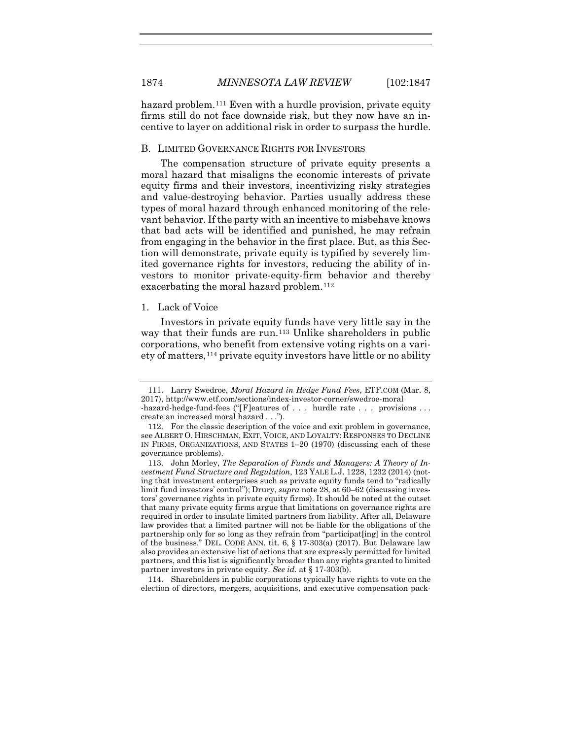hazard problem.<sup>[111](#page-28-0)</sup> Even with a hurdle provision, private equity firms still do not face downside risk, but they now have an incentive to layer on additional risk in order to surpass the hurdle.

#### B. LIMITED GOVERNANCE RIGHTS FOR INVESTORS

The compensation structure of private equity presents a moral hazard that misaligns the economic interests of private equity firms and their investors, incentivizing risky strategies and value-destroying behavior. Parties usually address these types of moral hazard through enhanced monitoring of the relevant behavior. If the party with an incentive to misbehave knows that bad acts will be identified and punished, he may refrain from engaging in the behavior in the first place. But, as this Section will demonstrate, private equity is typified by severely limited governance rights for investors, reducing the ability of investors to monitor private-equity-firm behavior and thereby exacerbating the moral hazard problem.[112](#page-28-1)

#### 1. Lack of Voice

<span id="page-28-4"></span>Investors in private equity funds have very little say in the way that their funds are run.<sup>113</sup> Unlike shareholders in public corporations, who benefit from extensive voting rights on a variety of matters,[114](#page-28-3) private equity investors have little or no ability

<span id="page-28-3"></span>114. Shareholders in public corporations typically have rights to vote on the election of directors, mergers, acquisitions, and executive compensation pack-

<span id="page-28-0"></span><sup>111.</sup> Larry Swedroe, *Moral Hazard in Hedge Fund Fees*, ETF.COM (Mar. 8, 2017), http://www.etf.com/sections/index-investor-corner/swedroe-moral -hazard-hedge-fund-fees ("[F]eatures of . . . hurdle rate . . . provisions . . . create an increased moral hazard . . .").

<span id="page-28-1"></span><sup>112.</sup> For the classic description of the voice and exit problem in governance, see ALBERT O. HIRSCHMAN, EXIT, VOICE, AND LOYALTY: RESPONSES TO DECLINE IN FIRMS, ORGANIZATIONS, AND STATES 1–20 (1970) (discussing each of these governance problems).

<span id="page-28-2"></span><sup>113.</sup> John Morley, *The Separation of Funds and Managers: A Theory of Investment Fund Structure and Regulation*, 123 YALE L.J. 1228, 1232 (2014) (noting that investment enterprises such as private equity funds tend to "radically limit fund investors' control"); Drury, *supra* note [28,](#page-9-10) at 60–62 (discussing investors' governance rights in private equity firms). It should be noted at the outset that many private equity firms argue that limitations on governance rights are required in order to insulate limited partners from liability. After all, Delaware law provides that a limited partner will not be liable for the obligations of the partnership only for so long as they refrain from "participat[ing] in the control of the business." DEL. CODE ANN. tit. 6, § 17-303(a) (2017). But Delaware law also provides an extensive list of actions that are expressly permitted for limited partners, and this list is significantly broader than any rights granted to limited partner investors in private equity. *See id.* at § 17-303(b).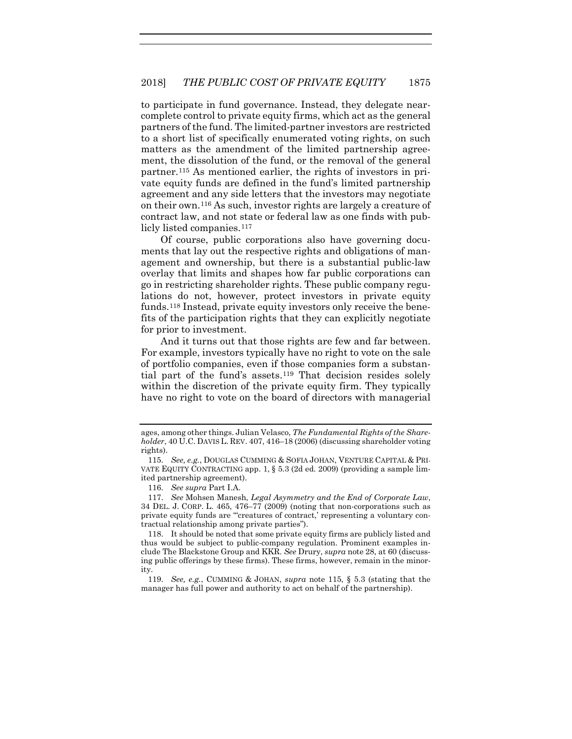<span id="page-29-0"></span>to participate in fund governance. Instead, they delegate nearcomplete control to private equity firms, which act as the general partners of the fund. The limited-partner investors are restricted to a short list of specifically enumerated voting rights, on such matters as the amendment of the limited partnership agreement, the dissolution of the fund, or the removal of the general partner.[115](#page-29-1) As mentioned earlier, the rights of investors in private equity funds are defined in the fund's limited partnership agreement and any side letters that the investors may negotiate on their own.[116](#page-29-2) As such, investor rights are largely a creature of contract law, and not state or federal law as one finds with pub-licly listed companies.<sup>[117](#page-29-3)</sup>

<span id="page-29-6"></span>Of course, public corporations also have governing documents that lay out the respective rights and obligations of management and ownership, but there is a substantial public-law overlay that limits and shapes how far public corporations can go in restricting shareholder rights. These public company regulations do not, however, protect investors in private equity funds.[118](#page-29-4) Instead, private equity investors only receive the benefits of the participation rights that they can explicitly negotiate for prior to investment.

And it turns out that those rights are few and far between. For example, investors typically have no right to vote on the sale of portfolio companies, even if those companies form a substantial part of the fund's assets.[119](#page-29-5) That decision resides solely within the discretion of the private equity firm. They typically have no right to vote on the board of directors with managerial

ages, among other things. Julian Velasco, *The Fundamental Rights of the Shareholder*, 40 U.C. DAVIS L. REV. 407, 416–18 (2006) (discussing shareholder voting rights).

<span id="page-29-1"></span><sup>115.</sup> *See, e.g.*, DOUGLAS CUMMING & SOFIA JOHAN, VENTURE CAPITAL & PRI-VATE EQUITY CONTRACTING app. 1, § 5.3 (2d ed. 2009) (providing a sample limited partnership agreement).

<sup>116.</sup> *See supra* Part I.A.

<span id="page-29-3"></span><span id="page-29-2"></span><sup>117.</sup> *See* Mohsen Manesh, *Legal Asymmetry and the End of Corporate Law*, 34 DEL. J. CORP. L. 465, 476–77 (2009) (noting that non-corporations such as private equity funds are "'creatures of contract,' representing a voluntary contractual relationship among private parties").

<span id="page-29-4"></span><sup>118.</sup> It should be noted that some private equity firms are publicly listed and thus would be subject to public-company regulation. Prominent examples include The Blackstone Group and KKR. *See* Drury, *supra* not[e 28,](#page-9-10) at 60 (discussing public offerings by these firms). These firms, however, remain in the minority.

<span id="page-29-5"></span><sup>119.</sup> *See, e.g.*, CUMMING & JOHAN, *supra* note [115,](#page-29-0) § 5.3 (stating that the manager has full power and authority to act on behalf of the partnership).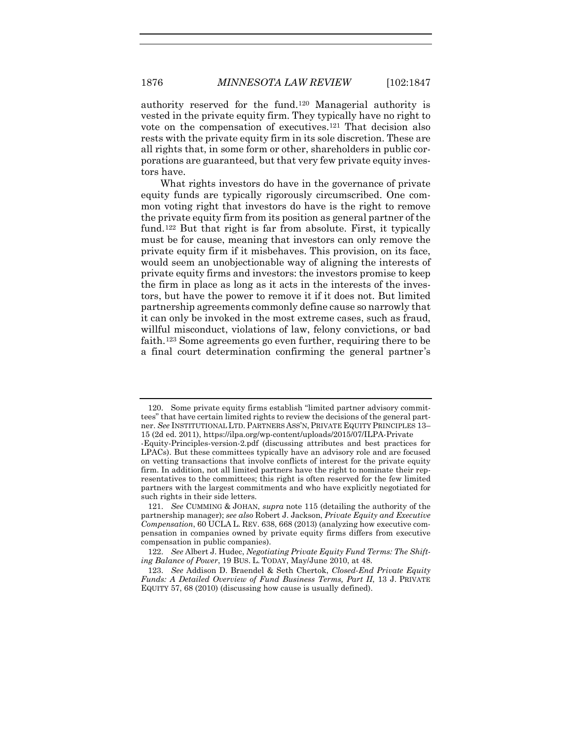authority reserved for the fund.[120](#page-30-0) Managerial authority is vested in the private equity firm. They typically have no right to vote on the compensation of executives.[121](#page-30-1) That decision also rests with the private equity firm in its sole discretion. These are all rights that, in some form or other, shareholders in public corporations are guaranteed, but that very few private equity investors have.

<span id="page-30-4"></span>What rights investors do have in the governance of private equity funds are typically rigorously circumscribed. One common voting right that investors do have is the right to remove the private equity firm from its position as general partner of the fund.[122](#page-30-2) But that right is far from absolute. First, it typically must be for cause, meaning that investors can only remove the private equity firm if it misbehaves. This provision, on its face, would seem an unobjectionable way of aligning the interests of private equity firms and investors: the investors promise to keep the firm in place as long as it acts in the interests of the investors, but have the power to remove it if it does not. But limited partnership agreements commonly define cause so narrowly that it can only be invoked in the most extreme cases, such as fraud, willful misconduct, violations of law, felony convictions, or bad faith[.123](#page-30-3) Some agreements go even further, requiring there to be a final court determination confirming the general partner's

<span id="page-30-0"></span><sup>120.</sup> Some private equity firms establish "limited partner advisory committees" that have certain limited rights to review the decisions of the general partner. *See* INSTITUTIONAL LTD. PARTNERS ASS'N, PRIVATE EQUITY PRINCIPLES 13– 15 (2d ed. 2011), https://ilpa.org/wp-content/uploads/2015/07/ILPA-Private

<sup>-</sup>Equity-Principles-version-2.pdf (discussing attributes and best practices for LPACs). But these committees typically have an advisory role and are focused on vetting transactions that involve conflicts of interest for the private equity firm. In addition, not all limited partners have the right to nominate their representatives to the committees; this right is often reserved for the few limited partners with the largest commitments and who have explicitly negotiated for such rights in their side letters.

<span id="page-30-1"></span><sup>121.</sup> *See* CUMMING & JOHAN, *supra* note [115](#page-29-0) (detailing the authority of the partnership manager); *see also* Robert J. Jackson, *Private Equity and Executive Compensation*, 60 UCLA L. REV. 638, 668 (2013) (analyzing how executive compensation in companies owned by private equity firms differs from executive compensation in public companies).

<span id="page-30-2"></span><sup>122.</sup> *See* Albert J. Hudec, *Negotiating Private Equity Fund Terms: The Shifting Balance of Power*, 19 BUS. L. TODAY, May/June 2010, at 48.

<span id="page-30-3"></span><sup>123.</sup> *See* Addison D. Braendel & Seth Chertok, *Closed-End Private Equity Funds: A Detailed Overview of Fund Business Terms, Part II*, 13 J. PRIVATE EQUITY 57, 68 (2010) (discussing how cause is usually defined).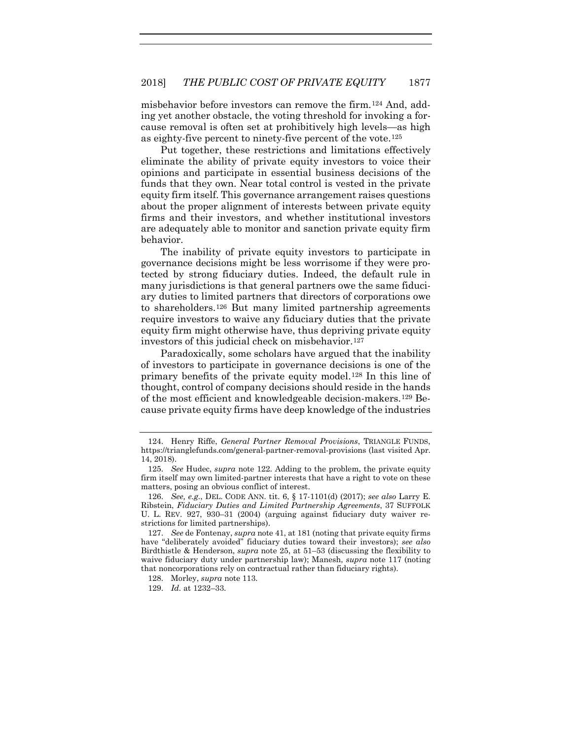misbehavior before investors can remove the firm.[124](#page-31-0) And, adding yet another obstacle, the voting threshold for invoking a forcause removal is often set at prohibitively high levels—as high as eighty-five percent to ninety-five percent of the vote.[125](#page-31-1)

Put together, these restrictions and limitations effectively eliminate the ability of private equity investors to voice their opinions and participate in essential business decisions of the funds that they own. Near total control is vested in the private equity firm itself. This governance arrangement raises questions about the proper alignment of interests between private equity firms and their investors, and whether institutional investors are adequately able to monitor and sanction private equity firm behavior.

The inability of private equity investors to participate in governance decisions might be less worrisome if they were protected by strong fiduciary duties. Indeed, the default rule in many jurisdictions is that general partners owe the same fiduciary duties to limited partners that directors of corporations owe to shareholders.[126](#page-31-2) But many limited partnership agreements require investors to waive any fiduciary duties that the private equity firm might otherwise have, thus depriving private equity investors of this judicial check on misbehavior.[127](#page-31-3)

Paradoxically, some scholars have argued that the inability of investors to participate in governance decisions is one of the primary benefits of the private equity model.[128](#page-31-4) In this line of thought, control of company decisions should reside in the hands of the most efficient and knowledgeable decision-makers.[129](#page-31-5) Because private equity firms have deep knowledge of the industries

<span id="page-31-0"></span><sup>124.</sup> Henry Riffe, *General Partner Removal Provisions*, TRIANGLE FUNDS, https://trianglefunds.com/general-partner-removal-provisions (last visited Apr. 14, 2018).

<span id="page-31-1"></span><sup>125.</sup> *See* Hudec, *supra* note [122.](#page-30-4) Adding to the problem, the private equity firm itself may own limited-partner interests that have a right to vote on these matters, posing an obvious conflict of interest.

<span id="page-31-2"></span><sup>126.</sup> *See, e.g.*, DEL. CODE ANN. tit. 6, § 17-1101(d) (2017); *see also* Larry E. Ribstein, *Fiduciary Duties and Limited Partnership Agreements*, 37 SUFFOLK U. L. REV. 927, 930–31 (2004) (arguing against fiduciary duty waiver restrictions for limited partnerships).

<span id="page-31-4"></span><span id="page-31-3"></span><sup>127.</sup> *See* de Fontenay, *supra* not[e 41,](#page-11-4) at 181 (noting that private equity firms have "deliberately avoided" fiduciary duties toward their investors); *see also* Birdthistle & Henderson, *supra* note [25,](#page-8-3) at 51–53 (discussing the flexibility to waive fiduciary duty under partnership law); Manesh, *supra* note [117](#page-29-6) (noting that noncorporations rely on contractual rather than fiduciary rights).

<sup>128.</sup> Morley, *supra* not[e 113.](#page-28-4)

<span id="page-31-5"></span><sup>129.</sup> *Id.* at 1232–33.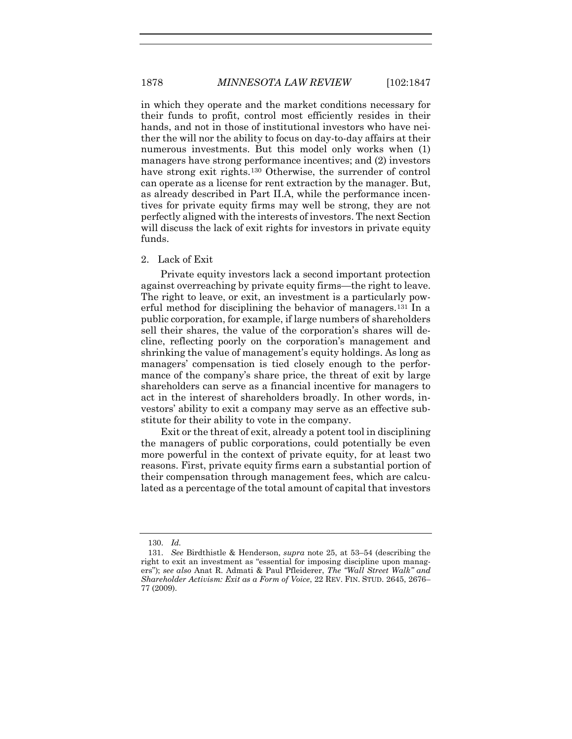in which they operate and the market conditions necessary for their funds to profit, control most efficiently resides in their hands, and not in those of institutional investors who have neither the will nor the ability to focus on day-to-day affairs at their numerous investments. But this model only works when (1) managers have strong performance incentives; and (2) investors have strong exit rights.<sup>[130](#page-32-0)</sup> Otherwise, the surrender of control can operate as a license for rent extraction by the manager. But, as already described in Part II.A, while the performance incentives for private equity firms may well be strong, they are not perfectly aligned with the interests of investors. The next Section will discuss the lack of exit rights for investors in private equity funds.

#### 2. Lack of Exit

Private equity investors lack a second important protection against overreaching by private equity firms—the right to leave. The right to leave, or exit, an investment is a particularly powerful method for disciplining the behavior of managers.[131](#page-32-1) In a public corporation, for example, if large numbers of shareholders sell their shares, the value of the corporation's shares will decline, reflecting poorly on the corporation's management and shrinking the value of management's equity holdings. As long as managers' compensation is tied closely enough to the performance of the company's share price, the threat of exit by large shareholders can serve as a financial incentive for managers to act in the interest of shareholders broadly. In other words, investors' ability to exit a company may serve as an effective substitute for their ability to vote in the company.

Exit or the threat of exit, already a potent tool in disciplining the managers of public corporations, could potentially be even more powerful in the context of private equity, for at least two reasons. First, private equity firms earn a substantial portion of their compensation through management fees, which are calculated as a percentage of the total amount of capital that investors

<sup>130.</sup> *Id.*

<span id="page-32-1"></span><span id="page-32-0"></span><sup>131.</sup> *See* Birdthistle & Henderson, *supra* note [25,](#page-8-3) at 53–54 (describing the right to exit an investment as "essential for imposing discipline upon managers"); *see also* Anat R. Admati & Paul Pfleiderer, *The "Wall Street Walk" and Shareholder Activism: Exit as a Form of Voice*, 22 REV. FIN. STUD. 2645, 2676– 77 (2009).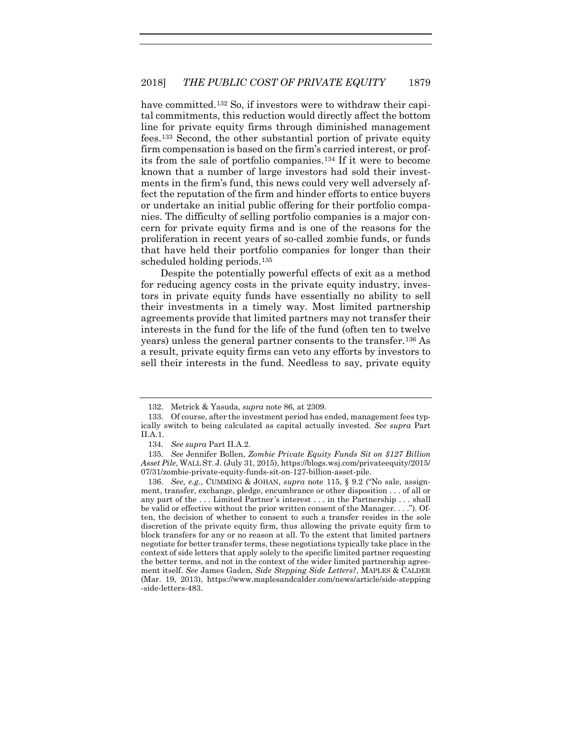have committed.<sup>[132](#page-33-0)</sup> So, if investors were to withdraw their capital commitments, this reduction would directly affect the bottom line for private equity firms through diminished management fees.[133](#page-33-1) Second, the other substantial portion of private equity firm compensation is based on the firm's carried interest, or profits from the sale of portfolio companies.[134](#page-33-2) If it were to become known that a number of large investors had sold their investments in the firm's fund, this news could very well adversely affect the reputation of the firm and hinder efforts to entice buyers or undertake an initial public offering for their portfolio companies. The difficulty of selling portfolio companies is a major concern for private equity firms and is one of the reasons for the proliferation in recent years of so-called zombie funds, or funds that have held their portfolio companies for longer than their scheduled holding periods.[135](#page-33-3)

Despite the potentially powerful effects of exit as a method for reducing agency costs in the private equity industry, investors in private equity funds have essentially no ability to sell their investments in a timely way. Most limited partnership agreements provide that limited partners may not transfer their interests in the fund for the life of the fund (often ten to twelve years) unless the general partner consents to the transfer.[136](#page-33-4) As a result, private equity firms can veto any efforts by investors to sell their interests in the fund. Needless to say, private equity

<sup>132.</sup> Metrick & Yasuda, *supra* note [86,](#page-20-4) at 2309.

<span id="page-33-1"></span><span id="page-33-0"></span><sup>133.</sup> Of course, after the investment period has ended, management fees typically switch to being calculated as capital actually invested. *See supra* Part II.A.1.

<sup>134.</sup> *See supra* Part II.A.2.

<span id="page-33-3"></span><span id="page-33-2"></span><sup>135.</sup> *See* Jennifer Bollen, *Zombie Private Equity Funds Sit on \$127 Billion Asset Pile*, WALL ST. J. (July 31, 2015), https://blogs.wsj.com/privateequity/2015/ 07/31/zombie-private-equity-funds-sit-on-127-billion-asset-pile.

<span id="page-33-4"></span><sup>136.</sup> *See, e.g.*, CUMMING & JOHAN, *supra* note [115,](#page-29-0) § 9.2 ("No sale, assignment, transfer, exchange, pledge, encumbrance or other disposition . . . of all or any part of the . . . Limited Partner 's interest . . . in the Partnership . . . shall be valid or effective without the prior written consent of the Manager. . . ."). Often, the decision of whether to consent to such a transfer resides in the sole discretion of the private equity firm, thus allowing the private equity firm to block transfers for any or no reason at all. To the extent that limited partners negotiate for better transfer terms, these negotiations typically take place in the context of side letters that apply solely to the specific limited partner requesting the better terms, and not in the context of the wider limited partnership agreement itself. *See* James Gaden, *Side Stepping Side Letters?*, MAPLES & CALDER (Mar. 19, 2013), https://www.maplesandcalder.com/news/article/side-stepping -side-letters-483.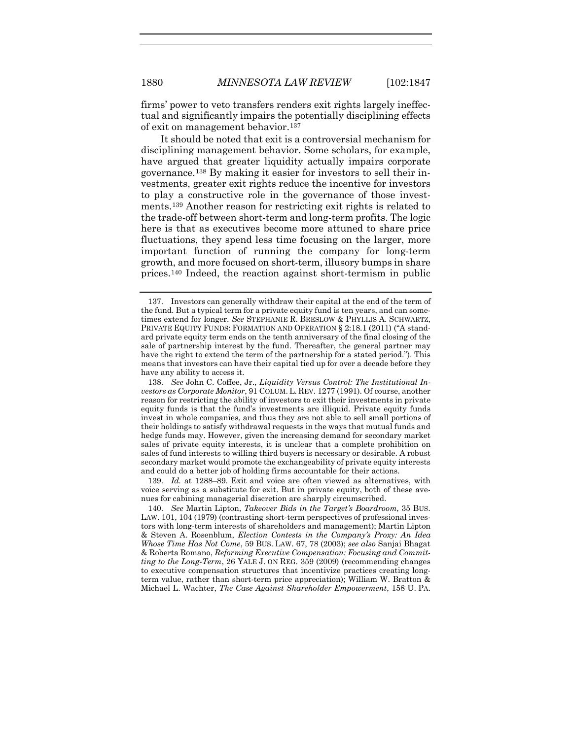firms' power to veto transfers renders exit rights largely ineffectual and significantly impairs the potentially disciplining effects of exit on management behavior[.137](#page-34-0)

<span id="page-34-4"></span>It should be noted that exit is a controversial mechanism for disciplining management behavior. Some scholars, for example, have argued that greater liquidity actually impairs corporate governance[.138](#page-34-1) By making it easier for investors to sell their investments, greater exit rights reduce the incentive for investors to play a constructive role in the governance of those investments[.139](#page-34-2) Another reason for restricting exit rights is related to the trade-off between short-term and long-term profits. The logic here is that as executives become more attuned to share price fluctuations, they spend less time focusing on the larger, more important function of running the company for long-term growth, and more focused on short-term, illusory bumps in share prices.[140](#page-34-3) Indeed, the reaction against short-termism in public

<span id="page-34-2"></span>139. *Id.* at 1288–89. Exit and voice are often viewed as alternatives, with voice serving as a substitute for exit. But in private equity, both of these avenues for cabining managerial discretion are sharply circumscribed.

<span id="page-34-3"></span>140. *See* Martin Lipton, *Takeover Bids in the Target's Boardroom*, 35 BUS. LAW. 101, 104 (1979) (contrasting short-term perspectives of professional investors with long-term interests of shareholders and management); Martin Lipton & Steven A. Rosenblum, *Election Contests in the Company's Proxy: An Idea Whose Time Has Not Come*, 59 BUS. LAW. 67, 78 (2003); *see also* Sanjai Bhagat & Roberta Romano, *Reforming Executive Compensation: Focusing and Committing to the Long-Term*, 26 YALE J. ON REG. 359 (2009) (recommending changes to executive compensation structures that incentivize practices creating longterm value, rather than short-term price appreciation); William W. Bratton & Michael L. Wachter, *The Case Against Shareholder Empowerment*, 158 U. PA.

<span id="page-34-0"></span><sup>137.</sup> Investors can generally withdraw their capital at the end of the term of the fund. But a typical term for a private equity fund is ten years, and can sometimes extend for longer. *See* STEPHANIE R. BRESLOW & PHYLLIS A. SCHWARTZ, PRIVATE EQUITY FUNDS: FORMATION AND OPERATION § 2:18.1 (2011) ("A standard private equity term ends on the tenth anniversary of the final closing of the sale of partnership interest by the fund. Thereafter, the general partner may have the right to extend the term of the partnership for a stated period."). This means that investors can have their capital tied up for over a decade before they have any ability to access it.

<span id="page-34-1"></span><sup>138.</sup> *See* John C. Coffee, Jr., *Liquidity Versus Control: The Institutional Investors as Corporate Monitor*, 91 COLUM. L. REV. 1277 (1991). Of course, another reason for restricting the ability of investors to exit their investments in private equity funds is that the fund's investments are illiquid. Private equity funds invest in whole companies, and thus they are not able to sell small portions of their holdings to satisfy withdrawal requests in the ways that mutual funds and hedge funds may. However, given the increasing demand for secondary market sales of private equity interests, it is unclear that a complete prohibition on sales of fund interests to willing third buyers is necessary or desirable. A robust secondary market would promote the exchangeability of private equity interests and could do a better job of holding firms accountable for their actions.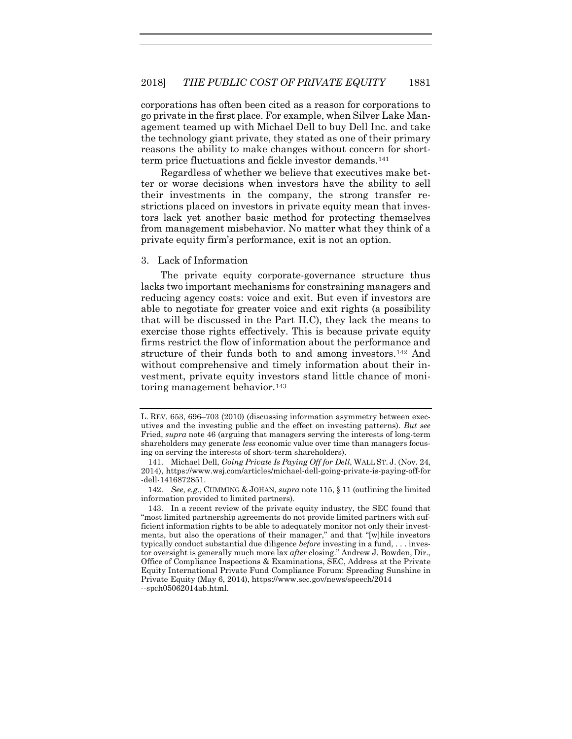corporations has often been cited as a reason for corporations to go private in the first place. For example, when Silver Lake Management teamed up with Michael Dell to buy Dell Inc. and take the technology giant private, they stated as one of their primary reasons the ability to make changes without concern for shortterm price fluctuations and fickle investor demands.[141](#page-35-0)

Regardless of whether we believe that executives make better or worse decisions when investors have the ability to sell their investments in the company, the strong transfer restrictions placed on investors in private equity mean that investors lack yet another basic method for protecting themselves from management misbehavior. No matter what they think of a private equity firm's performance, exit is not an option.

#### 3. Lack of Information

The private equity corporate-governance structure thus lacks two important mechanisms for constraining managers and reducing agency costs: voice and exit. But even if investors are able to negotiate for greater voice and exit rights (a possibility that will be discussed in the Part II.C), they lack the means to exercise those rights effectively. This is because private equity firms restrict the flow of information about the performance and structure of their funds both to and among investors[.142](#page-35-1) And without comprehensive and timely information about their investment, private equity investors stand little chance of monitoring management behavior.[143](#page-35-2)

L. REV. 653, 696–703 (2010) (discussing information asymmetry between executives and the investing public and the effect on investing patterns). *But see*  Fried, *supra* not[e 46](#page-12-4) (arguing that managers serving the interests of long-term shareholders may generate *less* economic value over time than managers focusing on serving the interests of short-term shareholders).

<span id="page-35-0"></span><sup>141.</sup> Michael Dell, *Going Private Is Paying Off for Dell*, WALL ST. J. (Nov. 24, 2014), https://www.wsj.com/articles/michael-dell-going-private-is-paying-off-for -dell-1416872851.

<span id="page-35-1"></span><sup>142.</sup> *See, e.g.*, CUMMING & JOHAN, *supra* not[e 115,](#page-29-0) § 11 (outlining the limited information provided to limited partners).

<span id="page-35-2"></span><sup>143.</sup> In a recent review of the private equity industry, the SEC found that "most limited partnership agreements do not provide limited partners with sufficient information rights to be able to adequately monitor not only their investments, but also the operations of their manager," and that "[w]hile investors typically conduct substantial due diligence *before* investing in a fund, . . . investor oversight is generally much more lax *after* closing." Andrew J. Bowden, Dir., Office of Compliance Inspections & Examinations, SEC, Address at the Private Equity International Private Fund Compliance Forum: Spreading Sunshine in Private Equity (May 6, 2014), https://www.sec.gov/news/speech/2014 --spch05062014ab.html.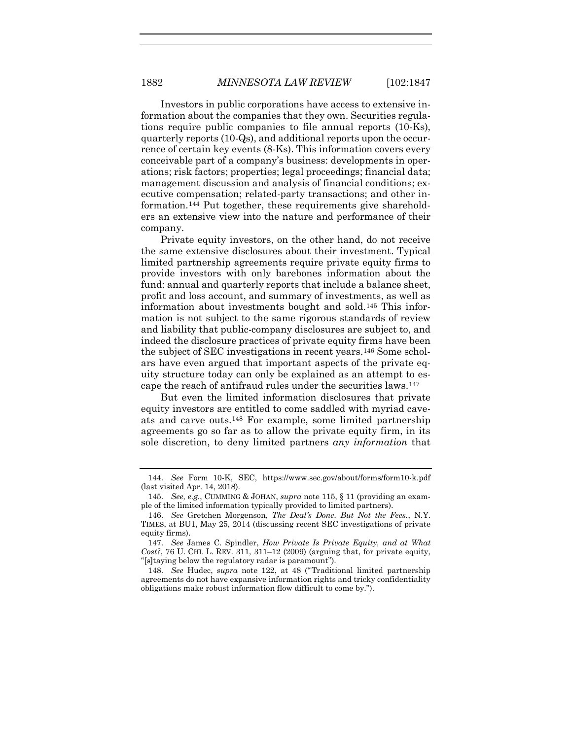Investors in public corporations have access to extensive information about the companies that they own. Securities regulations require public companies to file annual reports (10-Ks), quarterly reports (10-Qs), and additional reports upon the occurrence of certain key events (8-Ks). This information covers every conceivable part of a company's business: developments in operations; risk factors; properties; legal proceedings; financial data; management discussion and analysis of financial conditions; executive compensation; related-party transactions; and other information.[144](#page-36-0) Put together, these requirements give shareholders an extensive view into the nature and performance of their company.

Private equity investors, on the other hand, do not receive the same extensive disclosures about their investment. Typical limited partnership agreements require private equity firms to provide investors with only barebones information about the fund: annual and quarterly reports that include a balance sheet, profit and loss account, and summary of investments, as well as information about investments bought and sold.[145](#page-36-1) This information is not subject to the same rigorous standards of review and liability that public-company disclosures are subject to, and indeed the disclosure practices of private equity firms have been the subject of SEC investigations in recent years.[146](#page-36-2) Some scholars have even argued that important aspects of the private equity structure today can only be explained as an attempt to escape the reach of antifraud rules under the securities laws.[147](#page-36-3)

But even the limited information disclosures that private equity investors are entitled to come saddled with myriad caveats and carve outs.[148](#page-36-4) For example, some limited partnership agreements go so far as to allow the private equity firm, in its sole discretion, to deny limited partners *any information* that

<span id="page-36-0"></span><sup>144.</sup> *See* Form 10-K, SEC, https://www.sec.gov/about/forms/form10-k.pdf (last visited Apr. 14, 2018).

<span id="page-36-1"></span><sup>145.</sup> *See, e.g.*, CUMMING & JOHAN, *supra* not[e 115,](#page-29-0) § 11 (providing an example of the limited information typically provided to limited partners).

<span id="page-36-2"></span><sup>146.</sup> *See* Gretchen Morgenson, *The Deal's Done. But Not the Fees.*, N.Y. TIMES, at BU1, May 25, 2014 (discussing recent SEC investigations of private equity firms).

<span id="page-36-3"></span><sup>147.</sup> *See* James C. Spindler, *How Private Is Private Equity, and at What Cost?*, 76 U. CHI. L. REV. 311, 311–12  $(2009)$  (arguing that, for private equity, "[s]taying below the regulatory radar is paramount").

<span id="page-36-4"></span><sup>148.</sup> *See* Hudec, *supra* note [122,](#page-30-4) at 48 ("Traditional limited partnership agreements do not have expansive information rights and tricky confidentiality obligations make robust information flow difficult to come by.").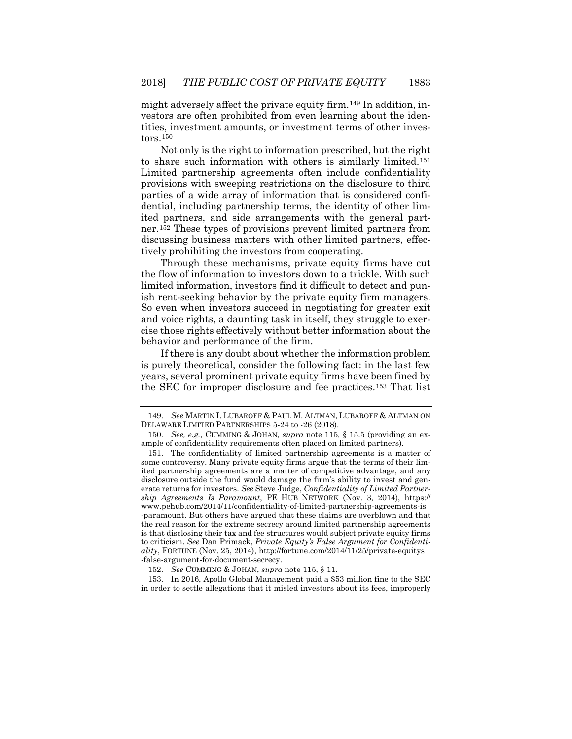might adversely affect the private equity firm.[149](#page-37-0) In addition, investors are often prohibited from even learning about the identities, investment amounts, or investment terms of other investors.[150](#page-37-1)

Not only is the right to information prescribed, but the right to share such information with others is similarly limited.[151](#page-37-2) Limited partnership agreements often include confidentiality provisions with sweeping restrictions on the disclosure to third parties of a wide array of information that is considered confidential, including partnership terms, the identity of other limited partners, and side arrangements with the general partner.[152](#page-37-3) These types of provisions prevent limited partners from discussing business matters with other limited partners, effectively prohibiting the investors from cooperating.

Through these mechanisms, private equity firms have cut the flow of information to investors down to a trickle. With such limited information, investors find it difficult to detect and punish rent-seeking behavior by the private equity firm managers. So even when investors succeed in negotiating for greater exit and voice rights, a daunting task in itself, they struggle to exercise those rights effectively without better information about the behavior and performance of the firm.

<span id="page-37-5"></span>If there is any doubt about whether the information problem is purely theoretical, consider the following fact: in the last few years, several prominent private equity firms have been fined by the SEC for improper disclosure and fee practices.[153](#page-37-4) That list

<span id="page-37-4"></span><span id="page-37-3"></span>153. In 2016, Apollo Global Management paid a \$53 million fine to the SEC in order to settle allegations that it misled investors about its fees, improperly

<span id="page-37-0"></span><sup>149.</sup> *See* MARTIN I. LUBAROFF & PAUL M. ALTMAN, LUBAROFF & ALTMAN ON DELAWARE LIMITED PARTNERSHIPS 5-24 to -26 (2018).

<span id="page-37-1"></span><sup>150.</sup> *See, e.g.*, CUMMING & JOHAN, *supra* note [115,](#page-29-0) § 15.5 (providing an example of confidentiality requirements often placed on limited partners).

<span id="page-37-2"></span><sup>151.</sup> The confidentiality of limited partnership agreements is a matter of some controversy. Many private equity firms argue that the terms of their limited partnership agreements are a matter of competitive advantage, and any disclosure outside the fund would damage the firm's ability to invest and generate returns for investors. *See* Steve Judge, *Confidentiality of Limited Partnership Agreements Is Paramount*, PE HUB NETWORK (Nov. 3, 2014), https:// www.pehub.com/2014/11/confidentiality-of-limited-partnership-agreements-is -paramount. But others have argued that these claims are overblown and that the real reason for the extreme secrecy around limited partnership agreements is that disclosing their tax and fee structures would subject private equity firms to criticism. *See* Dan Primack, *Private Equity's False Argument for Confidentiality*, FORTUNE (Nov. 25, 2014), http://fortune.com/2014/11/25/private-equitys -false-argument-for-document-secrecy.

<sup>152.</sup> *See* CUMMING & JOHAN, *supra* note [115,](#page-29-0) § 11.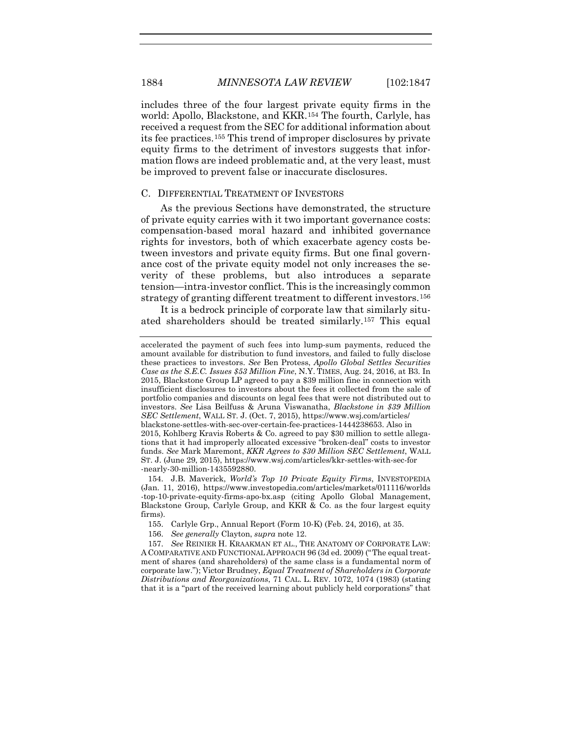includes three of the four largest private equity firms in the world: Apollo, Blackstone, and KKR.[154](#page-38-0) The fourth, Carlyle, has received a request from the SEC for additional information about its fee practices[.155](#page-38-1) This trend of improper disclosures by private equity firms to the detriment of investors suggests that information flows are indeed problematic and, at the very least, must be improved to prevent false or inaccurate disclosures.

#### C. DIFFERENTIAL TREATMENT OF INVESTORS

As the previous Sections have demonstrated, the structure of private equity carries with it two important governance costs: compensation-based moral hazard and inhibited governance rights for investors, both of which exacerbate agency costs between investors and private equity firms. But one final governance cost of the private equity model not only increases the severity of these problems, but also introduces a separate tension—intra-investor conflict. This is the increasingly common strategy of granting different treatment to different investors.[156](#page-38-2)

It is a bedrock principle of corporate law that similarly situated shareholders should be treated similarly[.157](#page-38-3) This equal

<span id="page-38-0"></span>154. J.B. Maverick, *World's Top 10 Private Equity Firms*, INVESTOPEDIA (Jan. 11, 2016), https://www.investopedia.com/articles/markets/011116/worlds -top-10-private-equity-firms-apo-bx.asp (citing Apollo Global Management, Blackstone Group, Carlyle Group, and KKR & Co. as the four largest equity firms).

155. Carlyle Grp., Annual Report (Form 10-K) (Feb. 24, 2016), at 35.

156. *See generally* Clayton, *supra* not[e 12.](#page-5-3)

<span id="page-38-3"></span><span id="page-38-2"></span><span id="page-38-1"></span>157. *See* REINIER H. KRAAKMAN ET AL., THE ANATOMY OF CORPORATE LAW: A COMPARATIVE AND FUNCTIONAL APPROACH 96 (3d ed. 2009) ("The equal treatment of shares (and shareholders) of the same class is a fundamental norm of corporate law."); Victor Brudney, *Equal Treatment of Shareholders in Corporate Distributions and Reorganizations*, 71 CAL. L. REV. 1072, 1074 (1983) (stating that it is a "part of the received learning about publicly held corporations" that

accelerated the payment of such fees into lump-sum payments, reduced the amount available for distribution to fund investors, and failed to fully disclose these practices to investors. *See* Ben Protess, *Apollo Global Settles Securities Case as the S.E.C. Issues \$53 Million Fine*, N.Y. TIMES, Aug. 24, 2016, at B3. In 2015, Blackstone Group LP agreed to pay a \$39 million fine in connection with insufficient disclosures to investors about the fees it collected from the sale of portfolio companies and discounts on legal fees that were not distributed out to investors. *See* Lisa Beilfuss & Aruna Viswanatha, *Blackstone in \$39 Million SEC Settlement*, WALL ST. J. (Oct. 7, 2015), https://www.wsj.com/articles/ blackstone-settles-with-sec-over-certain-fee-practices-1444238653. Also in 2015, Kohlberg Kravis Roberts & Co. agreed to pay \$30 million to settle allegations that it had improperly allocated excessive "broken-deal" costs to investor funds. *See* Mark Maremont, *KKR Agrees to \$30 Million SEC Settlement*, WALL ST. J. (June 29, 2015), https://www.wsj.com/articles/kkr-settles-with-sec-for -nearly-30-million-1435592880.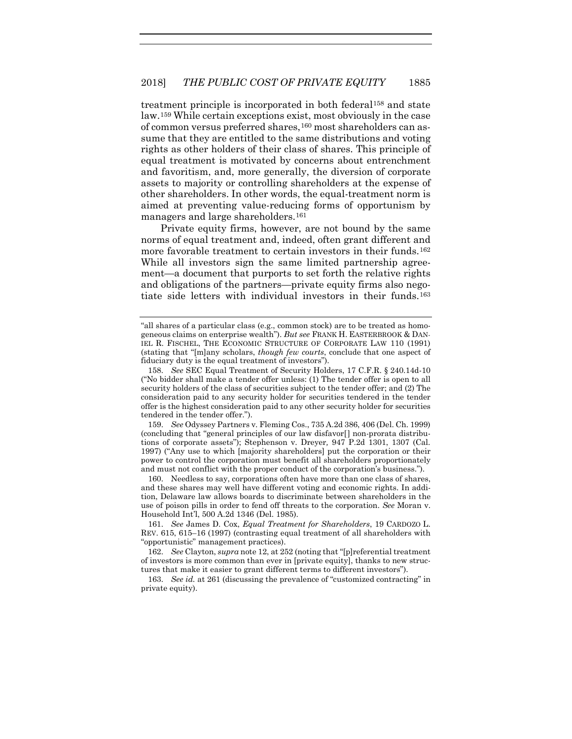treatment principle is incorporated in both federal[158](#page-39-0) and state law.[159](#page-39-1) While certain exceptions exist, most obviously in the case of common versus preferred shares,[160](#page-39-2) most shareholders can assume that they are entitled to the same distributions and voting rights as other holders of their class of shares. This principle of equal treatment is motivated by concerns about entrenchment and favoritism, and, more generally, the diversion of corporate assets to majority or controlling shareholders at the expense of other shareholders. In other words, the equal-treatment norm is aimed at preventing value-reducing forms of opportunism by managers and large shareholders.[161](#page-39-3)

Private equity firms, however, are not bound by the same norms of equal treatment and, indeed, often grant different and more favorable treatment to certain investors in their funds.[162](#page-39-4) While all investors sign the same limited partnership agreement—a document that purports to set forth the relative rights and obligations of the partners—private equity firms also negotiate side letters with individual investors in their funds.[163](#page-39-5)

<span id="page-39-1"></span>159. *See* Odyssey Partners v. Fleming Cos., 735 A.2d 386, 406 (Del. Ch. 1999) (concluding that "general principles of our law disfavor[] non-prorata distributions of corporate assets"); Stephenson v. Dreyer*,* 947 P.2d 1301, 1307 (Cal. 1997) ("Any use to which [majority shareholders] put the corporation or their power to control the corporation must benefit all shareholders proportionately and must not conflict with the proper conduct of the corporation's business.").

<span id="page-39-2"></span>160. Needless to say, corporations often have more than one class of shares, and these shares may well have different voting and economic rights. In addition, Delaware law allows boards to discriminate between shareholders in the use of poison pills in order to fend off threats to the corporation. *See* Moran v. Household Int'l, 500 A.2d 1346 (Del. 1985).

<span id="page-39-3"></span>161. *See* James D. Cox, *Equal Treatment for Shareholders*, 19 CARDOZO L. REV. 615, 615–16 (1997) (contrasting equal treatment of all shareholders with "opportunistic" management practices).

<span id="page-39-4"></span>162. *See* Clayton, *supra* not[e 12,](#page-5-3) at 252 (noting that "[p]referential treatment of investors is more common than ever in [private equity], thanks to new structures that make it easier to grant different terms to different investors").

<span id="page-39-5"></span>163. *See id.* at 261 (discussing the prevalence of "customized contracting" in private equity).

<sup>&</sup>quot;all shares of a particular class (e.g., common stock) are to be treated as homogeneous claims on enterprise wealth"). *But see* FRANK H. EASTERBROOK & DAN-IEL R. FISCHEL, THE ECONOMIC STRUCTURE OF CORPORATE LAW 110 (1991) (stating that "[m]any scholars, *though few courts*, conclude that one aspect of fiduciary duty is the equal treatment of investors").

<span id="page-39-0"></span><sup>158.</sup> *See* SEC Equal Treatment of Security Holders, 17 C.F.R. § 240.14d-10 ("No bidder shall make a tender offer unless: (1) The tender offer is open to all security holders of the class of securities subject to the tender offer; and (2) The consideration paid to any security holder for securities tendered in the tender offer is the highest consideration paid to any other security holder for securities tendered in the tender offer.").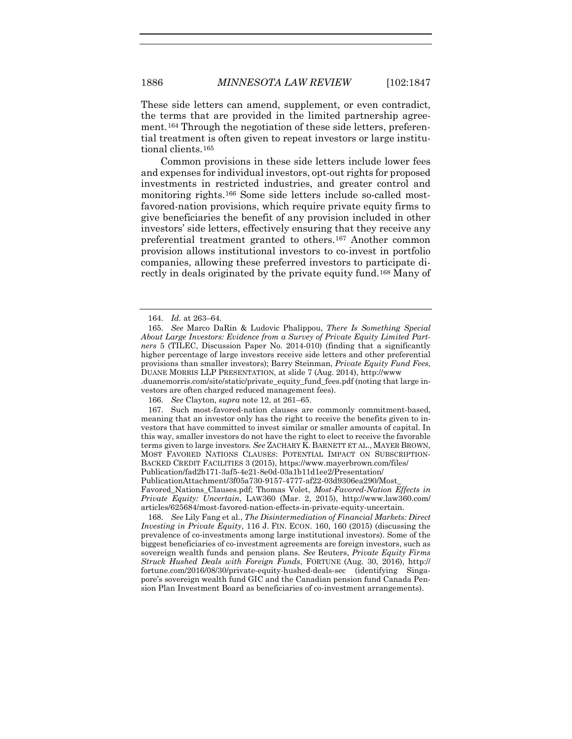These side letters can amend, supplement, or even contradict, the terms that are provided in the limited partnership agreement.[164](#page-40-0) Through the negotiation of these side letters, preferential treatment is often given to repeat investors or large institutional clients[.165](#page-40-1)

Common provisions in these side letters include lower fees and expenses for individual investors, opt-out rights for proposed investments in restricted industries, and greater control and monitoring rights[.166](#page-40-2) Some side letters include so-called mostfavored-nation provisions, which require private equity firms to give beneficiaries the benefit of any provision included in other investors' side letters, effectively ensuring that they receive any preferential treatment granted to others.[167](#page-40-3) Another common provision allows institutional investors to co-invest in portfolio companies, allowing these preferred investors to participate directly in deals originated by the private equity fund[.168](#page-40-4) Many of

<span id="page-40-3"></span><span id="page-40-2"></span>167. Such most-favored-nation clauses are commonly commitment-based, meaning that an investor only has the right to receive the benefits given to investors that have committed to invest similar or smaller amounts of capital. In this way, smaller investors do not have the right to elect to receive the favorable terms given to large investors. *See* ZACHARY K. BARNETT ET AL., MAYER BROWN, MOST FAVORED NATIONS CLAUSES: POTENTIAL IMPACT ON SUBSCRIPTION-BACKED CREDIT FACILITIES 3 (2015), https://www.mayerbrown.com/files/ Publication/fad2b171-3af5-4e21-8e0d-03a1b11d1ee2/Presentation/

Favored\_Nations\_Clauses.pdf; Thomas Volet, *Most-Favored-Nation Effects in Private Equity: Uncertain*, LAW360 (Mar. 2, 2015), http://www.law360.com/ articles/625684/most-favored-nation-effects-in-private-equity-uncertain.

<span id="page-40-4"></span>168. *See* Lily Fang et al., *The Disintermediation of Financial Markets: Direct Investing in Private Equity*, 116 J. FIN. ECON. 160, 160 (2015) (discussing the prevalence of co-investments among large institutional investors). Some of the biggest beneficiaries of co-investment agreements are foreign investors, such as sovereign wealth funds and pension plans. *See* Reuters, *Private Equity Firms Struck Hushed Deals with Foreign Funds*, FORTUNE (Aug. 30, 2016), http:// fortune.com/2016/08/30/private-equity-hushed-deals-sec (identifying Singapore's sovereign wealth fund GIC and the Canadian pension fund Canada Pension Plan Investment Board as beneficiaries of co-investment arrangements).

<span id="page-40-6"></span><span id="page-40-5"></span><sup>164.</sup> *Id.* at 263–64.

<span id="page-40-1"></span><span id="page-40-0"></span><sup>165.</sup> *See* Marco DaRin & Ludovic Phalippou, *There Is Something Special About Large Investors: Evidence from a Survey of Private Equity Limited Partners* 5 (TILEC, Discussion Paper No. 2014-010) (finding that a significantly higher percentage of large investors receive side letters and other preferential provisions than smaller investors); Barry Steinman, *Private Equity Fund Fees*, DUANE MORRIS LLP PRESENTATION, at slide 7 (Aug. 2014), http://www .duanemorris.com/site/static/private\_equity\_fund\_fees.pdf (noting that large investors are often charged reduced management fees).

<sup>166.</sup> *See* Clayton, *supra* not[e 12,](#page-5-3) at 261–65.

PublicationAttachment/3f05a730-9157-4777-af22-03d9306ea290/Most\_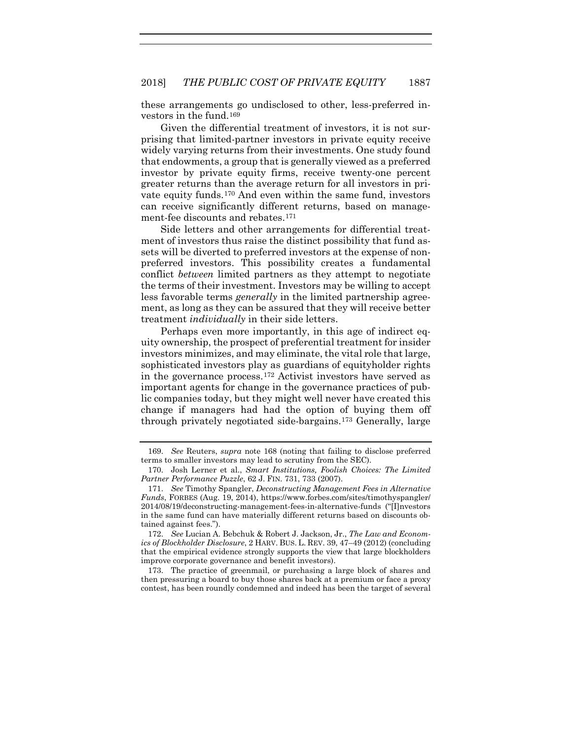these arrangements go undisclosed to other, less-preferred investors in the fund.[169](#page-41-0)

Given the differential treatment of investors, it is not surprising that limited-partner investors in private equity receive widely varying returns from their investments. One study found that endowments, a group that is generally viewed as a preferred investor by private equity firms, receive twenty-one percent greater returns than the average return for all investors in private equity funds.[170](#page-41-1) And even within the same fund, investors can receive significantly different returns, based on management-fee discounts and rebates.[171](#page-41-2)

Side letters and other arrangements for differential treatment of investors thus raise the distinct possibility that fund assets will be diverted to preferred investors at the expense of nonpreferred investors. This possibility creates a fundamental conflict *between* limited partners as they attempt to negotiate the terms of their investment. Investors may be willing to accept less favorable terms *generally* in the limited partnership agreement, as long as they can be assured that they will receive better treatment *individually* in their side letters.

Perhaps even more importantly, in this age of indirect equity ownership, the prospect of preferential treatment for insider investors minimizes, and may eliminate, the vital role that large, sophisticated investors play as guardians of equityholder rights in the governance process.[172](#page-41-3) Activist investors have served as important agents for change in the governance practices of public companies today, but they might well never have created this change if managers had had the option of buying them off through privately negotiated side-bargains.[173](#page-41-4) Generally, large

<span id="page-41-3"></span>172. *See* Lucian A. Bebchuk & Robert J. Jackson, Jr., *The Law and Economics of Blockholder Disclosure*, 2 HARV. BUS. L. REV. 39, 47–49 (2012) (concluding that the empirical evidence strongly supports the view that large blockholders improve corporate governance and benefit investors).

<span id="page-41-4"></span>173. The practice of greenmail, or purchasing a large block of shares and then pressuring a board to buy those shares back at a premium or face a proxy contest, has been roundly condemned and indeed has been the target of several

<span id="page-41-0"></span><sup>169.</sup> *See* Reuters, *supra* note [168](#page-40-5) (noting that failing to disclose preferred terms to smaller investors may lead to scrutiny from the SEC).

<span id="page-41-1"></span><sup>170.</sup> Josh Lerner et al., *Smart Institutions, Foolish Choices: The Limited Partner Performance Puzzle*, 62 J. FIN. 731, 733 (2007).

<span id="page-41-2"></span><sup>171.</sup> *See* Timothy Spangler, *Deconstructing Management Fees in Alternative Funds*, FORBES (Aug. 19, 2014), https://www.forbes.com/sites/timothyspangler/ 2014/08/19/deconstructing-management-fees-in-alternative-funds ("[I]nvestors in the same fund can have materially different returns based on discounts obtained against fees.").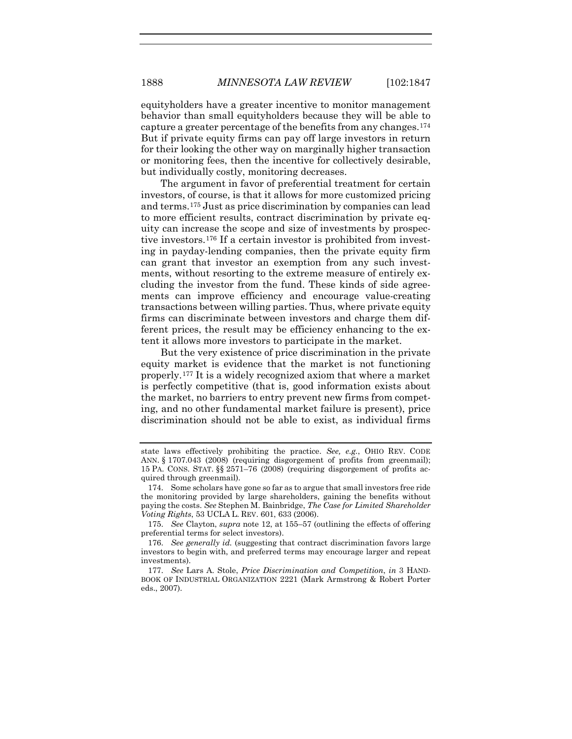equityholders have a greater incentive to monitor management behavior than small equityholders because they will be able to capture a greater percentage of the benefits from any changes[.174](#page-42-0) But if private equity firms can pay off large investors in return for their looking the other way on marginally higher transaction or monitoring fees, then the incentive for collectively desirable, but individually costly, monitoring decreases.

The argument in favor of preferential treatment for certain investors, of course, is that it allows for more customized pricing and terms.[175](#page-42-1) Just as price discrimination by companies can lead to more efficient results, contract discrimination by private equity can increase the scope and size of investments by prospective investors[.176](#page-42-2) If a certain investor is prohibited from investing in payday-lending companies, then the private equity firm can grant that investor an exemption from any such investments, without resorting to the extreme measure of entirely excluding the investor from the fund. These kinds of side agreements can improve efficiency and encourage value-creating transactions between willing parties. Thus, where private equity firms can discriminate between investors and charge them different prices, the result may be efficiency enhancing to the extent it allows more investors to participate in the market.

But the very existence of price discrimination in the private equity market is evidence that the market is not functioning properly.[177](#page-42-3) It is a widely recognized axiom that where a market is perfectly competitive (that is, good information exists about the market, no barriers to entry prevent new firms from competing, and no other fundamental market failure is present), price discrimination should not be able to exist, as individual firms

state laws effectively prohibiting the practice. *See, e.g.*, OHIO REV. CODE ANN. § 1707.043 (2008) (requiring disgorgement of profits from greenmail); 15 PA. CONS. STAT. §§ 2571–76 (2008) (requiring disgorgement of profits acquired through greenmail).

<span id="page-42-0"></span><sup>174.</sup> Some scholars have gone so far as to argue that small investors free ride the monitoring provided by large shareholders, gaining the benefits without paying the costs. *See* Stephen M. Bainbridge, *The Case for Limited Shareholder Voting Rights*, 53 UCLA L. REV. 601, 633 (2006).

<span id="page-42-1"></span><sup>175.</sup> *See* Clayton, *supra* note [12,](#page-5-3) at 155–57 (outlining the effects of offering preferential terms for select investors).

<span id="page-42-2"></span><sup>176.</sup> *See generally id.* (suggesting that contract discrimination favors large investors to begin with, and preferred terms may encourage larger and repeat investments).

<span id="page-42-3"></span><sup>177.</sup> *See* Lars A. Stole, *Price Discrimination and Competition*, *in* 3 HAND-BOOK OF INDUSTRIAL ORGANIZATION 2221 (Mark Armstrong & Robert Porter eds., 2007).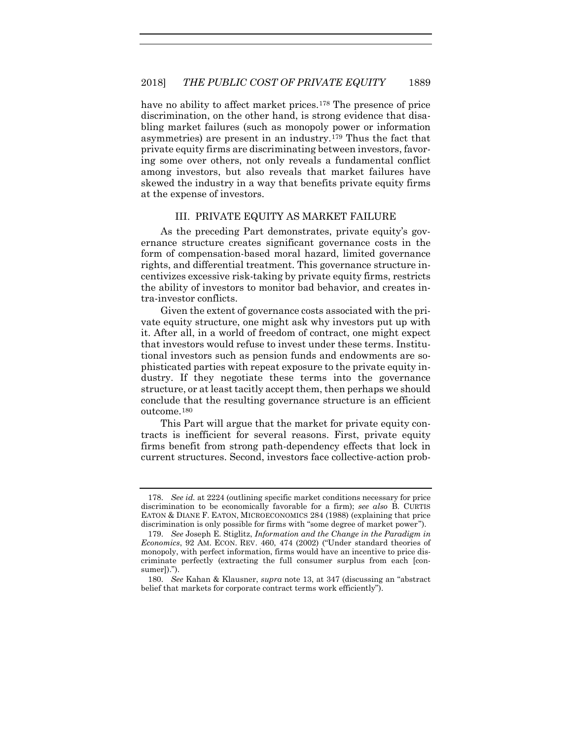have no ability to affect market prices.<sup>[178](#page-43-0)</sup> The presence of price discrimination, on the other hand, is strong evidence that disabling market failures (such as monopoly power or information asymmetries) are present in an industry.[179](#page-43-1) Thus the fact that private equity firms are discriminating between investors, favoring some over others, not only reveals a fundamental conflict among investors, but also reveals that market failures have skewed the industry in a way that benefits private equity firms at the expense of investors.

#### III. PRIVATE EQUITY AS MARKET FAILURE

As the preceding Part demonstrates, private equity's governance structure creates significant governance costs in the form of compensation-based moral hazard, limited governance rights, and differential treatment. This governance structure incentivizes excessive risk-taking by private equity firms, restricts the ability of investors to monitor bad behavior, and creates intra-investor conflicts.

Given the extent of governance costs associated with the private equity structure, one might ask why investors put up with it. After all, in a world of freedom of contract, one might expect that investors would refuse to invest under these terms. Institutional investors such as pension funds and endowments are sophisticated parties with repeat exposure to the private equity industry. If they negotiate these terms into the governance structure, or at least tacitly accept them, then perhaps we should conclude that the resulting governance structure is an efficient outcome.[180](#page-43-2)

This Part will argue that the market for private equity contracts is inefficient for several reasons. First, private equity firms benefit from strong path-dependency effects that lock in current structures. Second, investors face collective-action prob-

<span id="page-43-0"></span><sup>178.</sup> *See id.* at 2224 (outlining specific market conditions necessary for price discrimination to be economically favorable for a firm); *see also* B. CURTIS EATON & DIANE F. EATON, MICROECONOMICS 284 (1988) (explaining that price discrimination is only possible for firms with "some degree of market power").

<span id="page-43-1"></span><sup>179.</sup> *See* Joseph E. Stiglitz, *Information and the Change in the Paradigm in Economics*, 92 AM. ECON. REV. 460, 474 (2002) ("Under standard theories of monopoly, with perfect information, firms would have an incentive to price discriminate perfectly (extracting the full consumer surplus from each [consumer]).").

<span id="page-43-2"></span><sup>180.</sup> *See* Kahan & Klausner, *supra* note [13,](#page-5-4) at 347 (discussing an "abstract belief that markets for corporate contract terms work efficiently").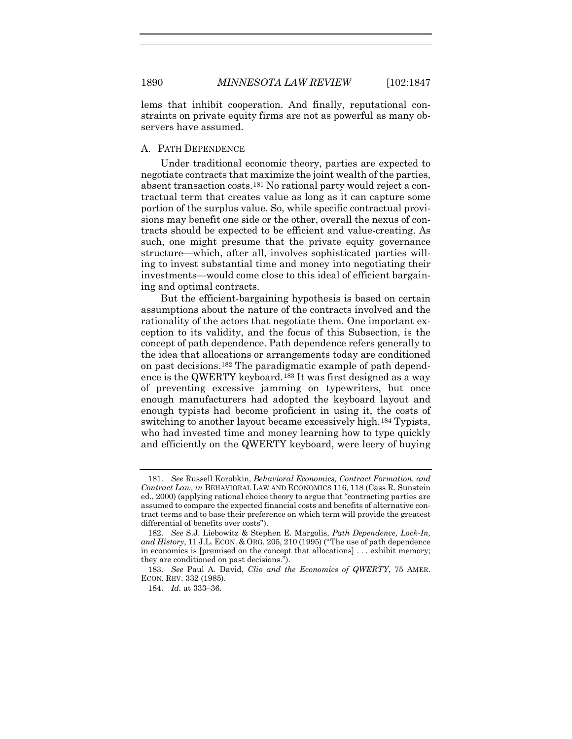lems that inhibit cooperation. And finally, reputational constraints on private equity firms are not as powerful as many observers have assumed.

#### A. PATH DEPENDENCE

<span id="page-44-4"></span>Under traditional economic theory, parties are expected to negotiate contracts that maximize the joint wealth of the parties, absent transaction costs.[181](#page-44-0) No rational party would reject a contractual term that creates value as long as it can capture some portion of the surplus value. So, while specific contractual provisions may benefit one side or the other, overall the nexus of contracts should be expected to be efficient and value-creating. As such, one might presume that the private equity governance structure—which, after all, involves sophisticated parties willing to invest substantial time and money into negotiating their investments—would come close to this ideal of efficient bargaining and optimal contracts.

But the efficient-bargaining hypothesis is based on certain assumptions about the nature of the contracts involved and the rationality of the actors that negotiate them. One important exception to its validity, and the focus of this Subsection, is the concept of path dependence. Path dependence refers generally to the idea that allocations or arrangements today are conditioned on past decisions.[182](#page-44-1) The paradigmatic example of path dependence is the QWERTY keyboard.[183](#page-44-2) It was first designed as a way of preventing excessive jamming on typewriters, but once enough manufacturers had adopted the keyboard layout and enough typists had become proficient in using it, the costs of switching to another layout became excessively high.<sup>[184](#page-44-3)</sup> Typists, who had invested time and money learning how to type quickly and efficiently on the QWERTY keyboard, were leery of buying

<span id="page-44-0"></span><sup>181.</sup> *See* Russell Korobkin, *Behavioral Economics, Contract Formation, and Contract Law*, *in* BEHAVIORAL LAW AND ECONOMICS 116, 118 (Cass R. Sunstein ed., 2000) (applying rational choice theory to argue that "contracting parties are assumed to compare the expected financial costs and benefits of alternative contract terms and to base their preference on which term will provide the greatest differential of benefits over costs").

<span id="page-44-1"></span><sup>182.</sup> *See* S.J. Liebowitz & Stephen E. Margolis, *Path Dependence, Lock-In, and History*, 11 J.L. ECON. & ORG. 205, 210 (1995) ("The use of path dependence in economics is [premised on the concept that allocations] . . . exhibit memory; they are conditioned on past decisions.").

<span id="page-44-3"></span><span id="page-44-2"></span><sup>183.</sup> *See* Paul A. David, *Clio and the Economics of QWERTY*, 75 AMER. ECON. REV. 332 (1985).

<sup>184.</sup> *Id.* at 333–36.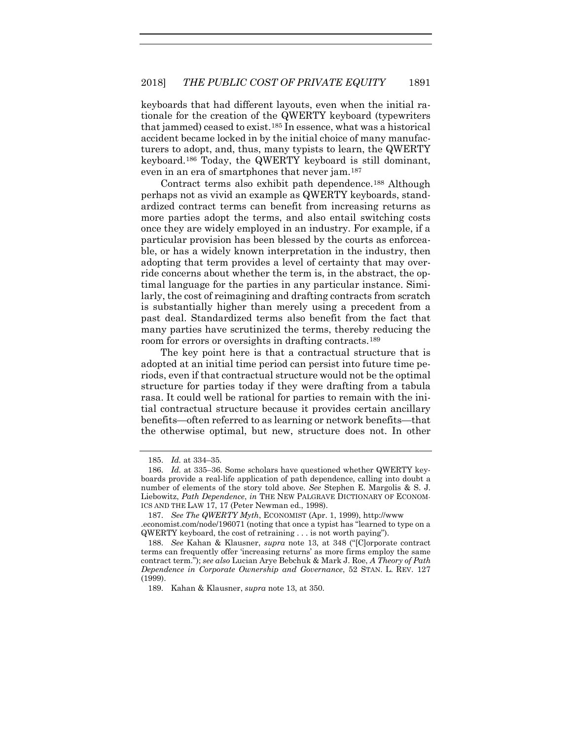keyboards that had different layouts, even when the initial rationale for the creation of the QWERTY keyboard (typewriters that jammed) ceased to exist.[185](#page-45-0) In essence, what was a historical accident became locked in by the initial choice of many manufacturers to adopt, and, thus, many typists to learn, the QWERTY keyboard.[186](#page-45-1) Today, the QWERTY keyboard is still dominant, even in an era of smartphones that never jam.[187](#page-45-2)

Contract terms also exhibit path dependence.[188](#page-45-3) Although perhaps not as vivid an example as QWERTY keyboards, standardized contract terms can benefit from increasing returns as more parties adopt the terms, and also entail switching costs once they are widely employed in an industry. For example, if a particular provision has been blessed by the courts as enforceable, or has a widely known interpretation in the industry, then adopting that term provides a level of certainty that may override concerns about whether the term is, in the abstract, the optimal language for the parties in any particular instance. Similarly, the cost of reimagining and drafting contracts from scratch is substantially higher than merely using a precedent from a past deal. Standardized terms also benefit from the fact that many parties have scrutinized the terms, thereby reducing the room for errors or oversights in drafting contracts.[189](#page-45-4)

The key point here is that a contractual structure that is adopted at an initial time period can persist into future time periods, even if that contractual structure would not be the optimal structure for parties today if they were drafting from a tabula rasa. It could well be rational for parties to remain with the initial contractual structure because it provides certain ancillary benefits—often referred to as learning or network benefits—that the otherwise optimal, but new, structure does not. In other

<sup>185.</sup> *Id.* at 334–35.

<span id="page-45-1"></span><span id="page-45-0"></span><sup>186.</sup> *Id.* at 335–36. Some scholars have questioned whether QWERTY keyboards provide a real-life application of path dependence, calling into doubt a number of elements of the story told above. *See* Stephen E. Margolis & S. J. Liebowitz, *Path Dependence*, *in* THE NEW PALGRAVE DICTIONARY OF ECONOM-ICS AND THE LAW 17, 17 (Peter Newman ed., 1998).

<span id="page-45-2"></span><sup>187.</sup> *See The QWERTY Myth*, ECONOMIST (Apr. 1, 1999), http://www .economist.com/node/196071 (noting that once a typist has "learned to type on a QWERTY keyboard, the cost of retraining . . . is not worth paying").

<span id="page-45-3"></span><sup>188.</sup> *See* Kahan & Klausner, *supra* note [13,](#page-5-4) at 348 ("[C]orporate contract terms can frequently offer 'increasing returns' as more firms employ the same contract term."); *see also* Lucian Arye Bebchuk & Mark J. Roe, *A Theory of Path Dependence in Corporate Ownership and Governance*, 52 STAN. L. REV. 127 (1999).

<span id="page-45-4"></span><sup>189.</sup> Kahan & Klausner, *supra* not[e 13,](#page-5-4) at 350.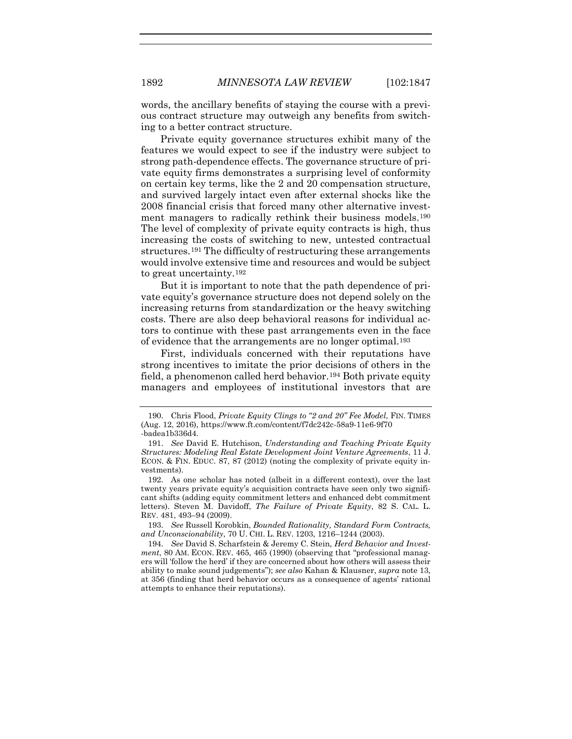words, the ancillary benefits of staying the course with a previous contract structure may outweigh any benefits from switching to a better contract structure.

Private equity governance structures exhibit many of the features we would expect to see if the industry were subject to strong path-dependence effects. The governance structure of private equity firms demonstrates a surprising level of conformity on certain key terms, like the 2 and 20 compensation structure, and survived largely intact even after external shocks like the 2008 financial crisis that forced many other alternative invest-ment managers to radically rethink their business models.<sup>[190](#page-46-0)</sup> The level of complexity of private equity contracts is high, thus increasing the costs of switching to new, untested contractual structures.<sup>[191](#page-46-1)</sup> The difficulty of restructuring these arrangements would involve extensive time and resources and would be subject to great uncertainty.[192](#page-46-2)

But it is important to note that the path dependence of private equity's governance structure does not depend solely on the increasing returns from standardization or the heavy switching costs. There are also deep behavioral reasons for individual actors to continue with these past arrangements even in the face of evidence that the arrangements are no longer optimal.[193](#page-46-3)

<span id="page-46-5"></span>First, individuals concerned with their reputations have strong incentives to imitate the prior decisions of others in the field, a phenomenon called herd behavior.[194](#page-46-4) Both private equity managers and employees of institutional investors that are

<span id="page-46-0"></span><sup>190.</sup> Chris Flood, *Private Equity Clings to "2 and 20" Fee Model*, FIN. TIMES (Aug. 12, 2016), https://www.ft.com/content/f7dc242c-58a9-11e6-9f70 -badea1b336d4.

<span id="page-46-1"></span><sup>191.</sup> *See* David E. Hutchison, *Understanding and Teaching Private Equity Structures: Modeling Real Estate Development Joint Venture Agreements*, 11 J. ECON. & FIN. EDUC. 87, 87 (2012) (noting the complexity of private equity investments).

<span id="page-46-2"></span><sup>192.</sup> As one scholar has noted (albeit in a different context), over the last twenty years private equity's acquisition contracts have seen only two significant shifts (adding equity commitment letters and enhanced debt commitment letters). Steven M. Davidoff, *The Failure of Private Equity*, 82 S. CAL. L. REV. 481, 493–94 (2009).

<span id="page-46-3"></span><sup>193.</sup> *See* Russell Korobkin, *Bounded Rationality, Standard Form Contracts, and Unconscionability*, 70 U. CHI. L. REV. 1203, 1216–1244 (2003).

<span id="page-46-4"></span><sup>194.</sup> *See* David S. Scharfstein & Jeremy C. Stein, *Herd Behavior and Investment*, 80 AM. ECON. REV. 465, 465 (1990) (observing that "professional managers will 'follow the herd' if they are concerned about how others will assess their ability to make sound judgements"); *see also* Kahan & Klausner, *supra* not[e 13,](#page-5-4)  at 356 (finding that herd behavior occurs as a consequence of agents' rational attempts to enhance their reputations).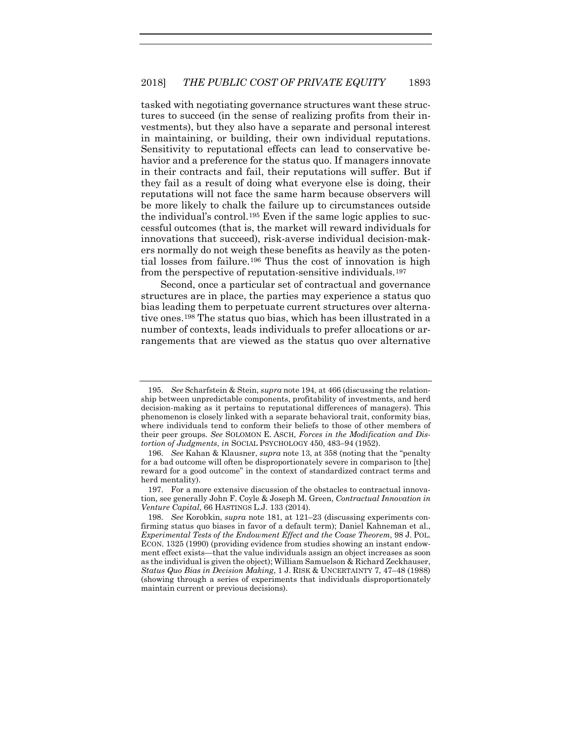tasked with negotiating governance structures want these structures to succeed (in the sense of realizing profits from their investments), but they also have a separate and personal interest in maintaining, or building, their own individual reputations. Sensitivity to reputational effects can lead to conservative behavior and a preference for the status quo. If managers innovate in their contracts and fail, their reputations will suffer. But if they fail as a result of doing what everyone else is doing, their reputations will not face the same harm because observers will be more likely to chalk the failure up to circumstances outside the individual's control.[195](#page-47-0) Even if the same logic applies to successful outcomes (that is, the market will reward individuals for innovations that succeed), risk-averse individual decision-makers normally do not weigh these benefits as heavily as the potential losses from failure.[196](#page-47-1) Thus the cost of innovation is high from the perspective of reputation-sensitive individuals[.197](#page-47-2)

Second, once a particular set of contractual and governance structures are in place, the parties may experience a status quo bias leading them to perpetuate current structures over alternative ones.[198](#page-47-3) The status quo bias, which has been illustrated in a number of contexts, leads individuals to prefer allocations or arrangements that are viewed as the status quo over alternative

<span id="page-47-0"></span><sup>195.</sup> *See* Scharfstein & Stein, *supra* not[e 194,](#page-46-5) at 466 (discussing the relationship between unpredictable components, profitability of investments, and herd decision-making as it pertains to reputational differences of managers). This phenomenon is closely linked with a separate behavioral trait, conformity bias, where individuals tend to conform their beliefs to those of other members of their peer groups. *See* SOLOMON E. ASCH, *Forces in the Modification and Distortion of Judgments*, *in* SOCIAL PSYCHOLOGY 450, 483–94 (1952).

<span id="page-47-1"></span><sup>196.</sup> *See* Kahan & Klausner, *supra* note [13,](#page-5-4) at 358 (noting that the "penalty for a bad outcome will often be disproportionately severe in comparison to [the] reward for a good outcome" in the context of standardized contract terms and herd mentality).

<span id="page-47-2"></span><sup>197.</sup> For a more extensive discussion of the obstacles to contractual innovation, see generally John F. Coyle & Joseph M. Green, *Contractual Innovation in Venture Capital*, 66 HASTINGS L.J. 133 (2014).

<span id="page-47-3"></span><sup>198.</sup> *See* Korobkin, *supra* note [181,](#page-44-4) at 121–23 (discussing experiments confirming status quo biases in favor of a default term); Daniel Kahneman et al., *Experimental Tests of the Endowment Effect and the Coase Theorem*, 98 J. POL. ECON. 1325 (1990) (providing evidence from studies showing an instant endowment effect exists—that the value individuals assign an object increases as soon as the individual is given the object); William Samuelson & Richard Zeckhauser, *Status Quo Bias in Decision Making*, 1 J. RISK & UNCERTAINTY 7, 47–48 (1988) (showing through a series of experiments that individuals disproportionately maintain current or previous decisions).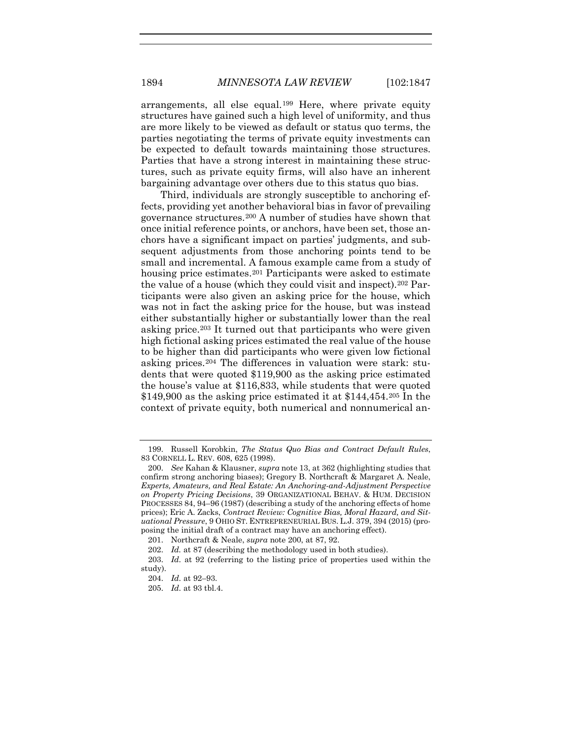arrangements, all else equal.[199](#page-48-1) Here, where private equity structures have gained such a high level of uniformity, and thus are more likely to be viewed as default or status quo terms, the parties negotiating the terms of private equity investments can be expected to default towards maintaining those structures. Parties that have a strong interest in maintaining these structures, such as private equity firms, will also have an inherent bargaining advantage over others due to this status quo bias.

<span id="page-48-0"></span>Third, individuals are strongly susceptible to anchoring effects, providing yet another behavioral bias in favor of prevailing governance structures.[200](#page-48-2) A number of studies have shown that once initial reference points, or anchors, have been set, those anchors have a significant impact on parties' judgments, and subsequent adjustments from those anchoring points tend to be small and incremental. A famous example came from a study of housing price estimates.<sup>[201](#page-48-3)</sup> Participants were asked to estimate the value of a house (which they could visit and inspect)[.202](#page-48-4) Participants were also given an asking price for the house, which was not in fact the asking price for the house, but was instead either substantially higher or substantially lower than the real asking price.[203](#page-48-5) It turned out that participants who were given high fictional asking prices estimated the real value of the house to be higher than did participants who were given low fictional asking prices.[204](#page-48-6) The differences in valuation were stark: students that were quoted \$119,900 as the asking price estimated the house's value at \$116,833, while students that were quoted  $$149,900$  as the asking price estimated it at  $$144,454$ .<sup>[205](#page-48-7)</sup> In the context of private equity, both numerical and nonnumerical an-

<span id="page-48-1"></span><sup>199.</sup> Russell Korobkin, *The Status Quo Bias and Contract Default Rules*, 83 CORNELL L. REV. 608, 625 (1998).

<span id="page-48-2"></span><sup>200.</sup> *See* Kahan & Klausner, *supra* not[e 13,](#page-5-4) at 362 (highlighting studies that confirm strong anchoring biases); Gregory B. Northcraft & Margaret A. Neale, *Experts, Amateurs, and Real Estate: An Anchoring-and-Adjustment Perspective on Property Pricing Decisions*, 39 ORGANIZATIONAL BEHAV. & HUM. DECISION PROCESSES 84, 94–96 (1987) (describing a study of the anchoring effects of home prices); Eric A. Zacks, *Contract Review: Cognitive Bias, Moral Hazard, and Situational Pressure*, 9 OHIO ST. ENTREPRENEURIAL BUS. L.J. 379, 394 (2015) (proposing the initial draft of a contract may have an anchoring effect).

<sup>201.</sup> Northcraft & Neale, *supra* note [200,](#page-48-0) at 87, 92.

<sup>202.</sup> *Id.* at 87 (describing the methodology used in both studies).

<span id="page-48-7"></span><span id="page-48-6"></span><span id="page-48-5"></span><span id="page-48-4"></span><span id="page-48-3"></span><sup>203.</sup> *Id.* at 92 (referring to the listing price of properties used within the study).

<sup>204.</sup> *Id.* at 92–93.

<sup>205.</sup> *Id.* at 93 tbl.4.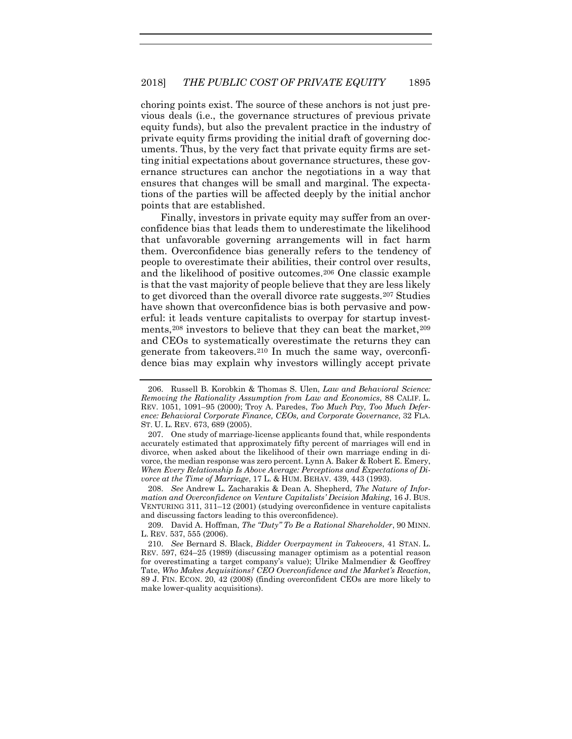choring points exist. The source of these anchors is not just previous deals (i.e., the governance structures of previous private equity funds), but also the prevalent practice in the industry of private equity firms providing the initial draft of governing documents. Thus, by the very fact that private equity firms are setting initial expectations about governance structures, these governance structures can anchor the negotiations in a way that ensures that changes will be small and marginal. The expectations of the parties will be affected deeply by the initial anchor points that are established.

Finally, investors in private equity may suffer from an overconfidence bias that leads them to underestimate the likelihood that unfavorable governing arrangements will in fact harm them. Overconfidence bias generally refers to the tendency of people to overestimate their abilities, their control over results, and the likelihood of positive outcomes.[206](#page-49-0) One classic example is that the vast majority of people believe that they are less likely to get divorced than the overall divorce rate suggests.[207](#page-49-1) Studies have shown that overconfidence bias is both pervasive and powerful: it leads venture capitalists to overpay for startup investments,  $208$  investors to believe that they can beat the market,  $209$ and CEOs to systematically overestimate the returns they can generate from takeovers.[210](#page-49-4) In much the same way, overconfidence bias may explain why investors willingly accept private

<span id="page-49-0"></span><sup>206.</sup> Russell B. Korobkin & Thomas S. Ulen, *Law and Behavioral Science: Removing the Rationality Assumption from Law and Economics*, 88 CALIF. L. REV. 1051, 1091–95 (2000); Troy A. Paredes, *Too Much Pay, Too Much Deference: Behavioral Corporate Finance, CEOs, and Corporate Governance*, 32 FLA. ST. U. L. REV. 673, 689 (2005).

<span id="page-49-1"></span><sup>207.</sup> One study of marriage-license applicants found that, while respondents accurately estimated that approximately fifty percent of marriages will end in divorce, when asked about the likelihood of their own marriage ending in divorce, the median response was zero percent. Lynn A. Baker & Robert E. Emery, *When Every Relationship Is Above Average: Perceptions and Expectations of Divorce at the Time of Marriage*, 17 L. & HUM. BEHAV. 439, 443 (1993).

<span id="page-49-2"></span><sup>208.</sup> *See* Andrew L. Zacharakis & Dean A. Shepherd, *The Nature of Information and Overconfidence on Venture Capitalists' Decision Making*, 16 J. BUS. VENTURING 311, 311–12 (2001) (studying overconfidence in venture capitalists and discussing factors leading to this overconfidence).

<span id="page-49-3"></span><sup>209.</sup> David A. Hoffman, *The "Duty" To Be a Rational Shareholder*, 90 MINN. L. REV. 537, 555 (2006).

<span id="page-49-4"></span><sup>210.</sup> *See* Bernard S. Black, *Bidder Overpayment in Takeovers*, 41 STAN. L. REV. 597, 624–25 (1989) (discussing manager optimism as a potential reason for overestimating a target company's value); Ulrike Malmendier & Geoffrey Tate, *Who Makes Acquisitions? CEO Overconfidence and the Market's Reaction*, 89 J. FIN. ECON. 20, 42 (2008) (finding overconfident CEOs are more likely to make lower-quality acquisitions).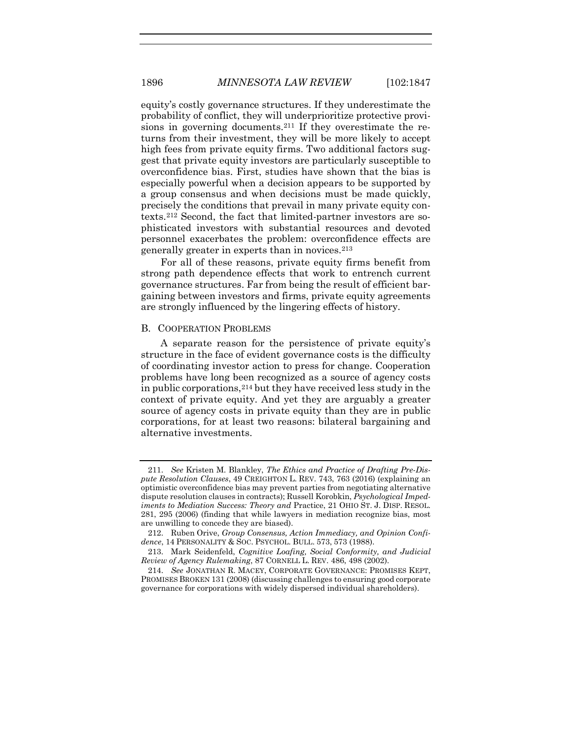equity's costly governance structures. If they underestimate the probability of conflict, they will underprioritize protective provisions in governing documents.[211](#page-50-0) If they overestimate the returns from their investment, they will be more likely to accept high fees from private equity firms. Two additional factors suggest that private equity investors are particularly susceptible to overconfidence bias. First, studies have shown that the bias is especially powerful when a decision appears to be supported by a group consensus and when decisions must be made quickly, precisely the conditions that prevail in many private equity contexts.[212](#page-50-1) Second, the fact that limited-partner investors are sophisticated investors with substantial resources and devoted personnel exacerbates the problem: overconfidence effects are generally greater in experts than in novices.[213](#page-50-2)

For all of these reasons, private equity firms benefit from strong path dependence effects that work to entrench current governance structures. Far from being the result of efficient bargaining between investors and firms, private equity agreements are strongly influenced by the lingering effects of history.

#### B. COOPERATION PROBLEMS

A separate reason for the persistence of private equity's structure in the face of evident governance costs is the difficulty of coordinating investor action to press for change. Cooperation problems have long been recognized as a source of agency costs in public corporations,[214](#page-50-3) but they have received less study in the context of private equity. And yet they are arguably a greater source of agency costs in private equity than they are in public corporations, for at least two reasons: bilateral bargaining and alternative investments.

<span id="page-50-0"></span><sup>211.</sup> *See* Kristen M. Blankley, *The Ethics and Practice of Drafting Pre-Dispute Resolution Clauses*, 49 CREIGHTON L. REV. 743, 763 (2016) (explaining an optimistic overconfidence bias may prevent parties from negotiating alternative dispute resolution clauses in contracts); Russell Korobkin, *Psychological Impediments to Mediation Success: Theory and* Practice, 21 OHIO ST. J. DISP. RESOL. 281, 295 (2006) (finding that while lawyers in mediation recognize bias, most are unwilling to concede they are biased).

<span id="page-50-1"></span><sup>212.</sup> Ruben Orive, *Group Consensus, Action Immediacy, and Opinion Confidence*, 14 PERSONALITY & SOC. PSYCHOL. BULL. 573, 573 (1988).

<span id="page-50-2"></span><sup>213.</sup> Mark Seidenfeld, *Cognitive Loafing, Social Conformity, and Judicial Review of Agency Rulemaking*, 87 CORNELL L. REV. 486, 498 (2002).

<span id="page-50-3"></span><sup>214.</sup> *See* JONATHAN R. MACEY, CORPORATE GOVERNANCE: PROMISES KEPT, PROMISES BROKEN 131 (2008) (discussing challenges to ensuring good corporate governance for corporations with widely dispersed individual shareholders).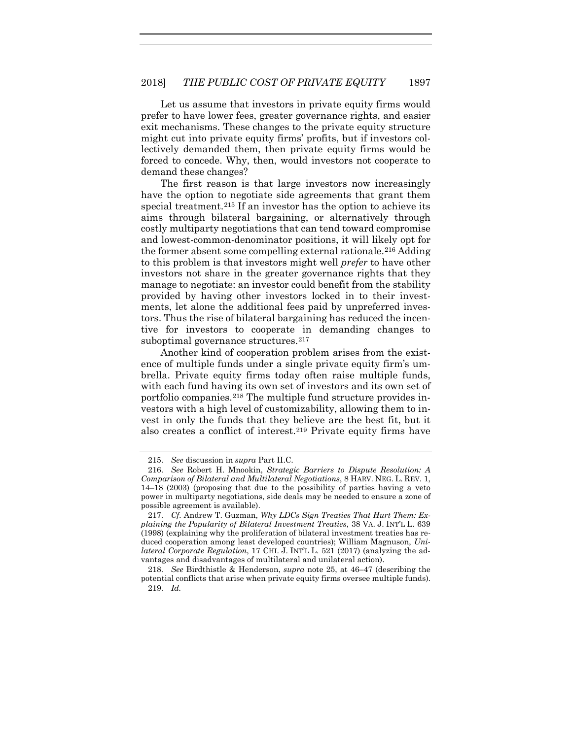Let us assume that investors in private equity firms would prefer to have lower fees, greater governance rights, and easier exit mechanisms. These changes to the private equity structure might cut into private equity firms' profits, but if investors collectively demanded them, then private equity firms would be forced to concede. Why, then, would investors not cooperate to demand these changes?

The first reason is that large investors now increasingly have the option to negotiate side agreements that grant them special treatment.<sup>[215](#page-51-0)</sup> If an investor has the option to achieve its aims through bilateral bargaining, or alternatively through costly multiparty negotiations that can tend toward compromise and lowest-common-denominator positions, it will likely opt for the former absent some compelling external rationale.[216](#page-51-1) Adding to this problem is that investors might well *prefer* to have other investors not share in the greater governance rights that they manage to negotiate: an investor could benefit from the stability provided by having other investors locked in to their investments, let alone the additional fees paid by unpreferred investors. Thus the rise of bilateral bargaining has reduced the incentive for investors to cooperate in demanding changes to suboptimal governance structures.<sup>217</sup>

Another kind of cooperation problem arises from the existence of multiple funds under a single private equity firm's umbrella. Private equity firms today often raise multiple funds, with each fund having its own set of investors and its own set of portfolio companies.[218](#page-51-3) The multiple fund structure provides investors with a high level of customizability, allowing them to invest in only the funds that they believe are the best fit, but it also creates a conflict of interest.[219](#page-51-4) Private equity firms have

<sup>215.</sup> *See* discussion in *supra* Part II.C.

<span id="page-51-1"></span><span id="page-51-0"></span><sup>216.</sup> *See* Robert H. Mnookin, *Strategic Barriers to Dispute Resolution: A Comparison of Bilateral and Multilateral Negotiations*, 8 HARV. NEG. L. REV. 1, 14–18 (2003) (proposing that due to the possibility of parties having a veto power in multiparty negotiations, side deals may be needed to ensure a zone of possible agreement is available).

<span id="page-51-2"></span><sup>217.</sup> *Cf.* Andrew T. Guzman, *Why LDCs Sign Treaties That Hurt Them: Explaining the Popularity of Bilateral Investment Treaties*, 38 VA. J. INT'L L. 639 (1998) (explaining why the proliferation of bilateral investment treaties has reduced cooperation among least developed countries); William Magnuson, *Unilateral Corporate Regulation*, 17 CHI. J. INT'L L. 521 (2017) (analyzing the advantages and disadvantages of multilateral and unilateral action).

<span id="page-51-4"></span><span id="page-51-3"></span><sup>218.</sup> *See* Birdthistle & Henderson, *supra* note [25,](#page-8-3) at 46–47 (describing the potential conflicts that arise when private equity firms oversee multiple funds). 219. *Id.*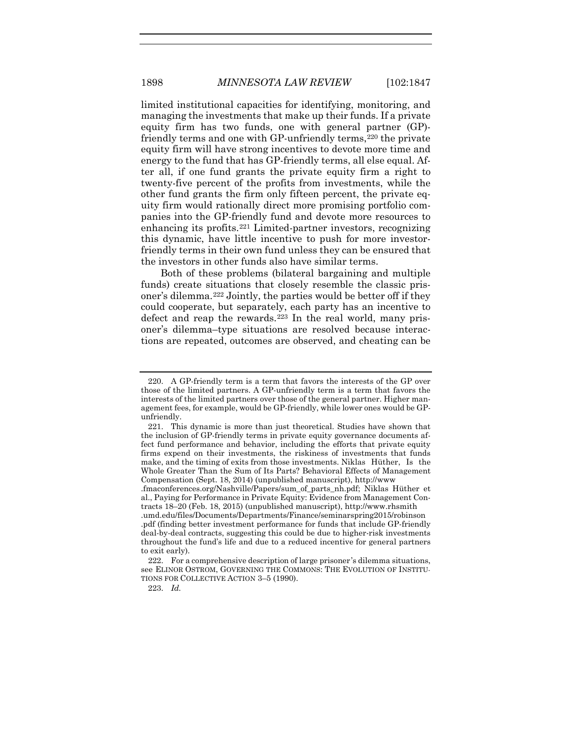limited institutional capacities for identifying, monitoring, and managing the investments that make up their funds. If a private equity firm has two funds, one with general partner (GP)- friendly terms and one with GP-unfriendly terms,<sup>[220](#page-52-0)</sup> the private equity firm will have strong incentives to devote more time and energy to the fund that has GP-friendly terms, all else equal. After all, if one fund grants the private equity firm a right to twenty-five percent of the profits from investments, while the other fund grants the firm only fifteen percent, the private equity firm would rationally direct more promising portfolio companies into the GP-friendly fund and devote more resources to enhancing its profits.[221](#page-52-1) Limited-partner investors, recognizing this dynamic, have little incentive to push for more investorfriendly terms in their own fund unless they can be ensured that the investors in other funds also have similar terms.

Both of these problems (bilateral bargaining and multiple funds) create situations that closely resemble the classic prisoner's dilemma.[222](#page-52-2) Jointly, the parties would be better off if they could cooperate, but separately, each party has an incentive to defect and reap the rewards.<sup>[223](#page-52-3)</sup> In the real world, many prisoner's dilemma–type situations are resolved because interactions are repeated, outcomes are observed, and cheating can be

<span id="page-52-0"></span><sup>220.</sup> A GP-friendly term is a term that favors the interests of the GP over those of the limited partners. A GP-unfriendly term is a term that favors the interests of the limited partners over those of the general partner. Higher management fees, for example, would be GP-friendly, while lower ones would be GPunfriendly.

<span id="page-52-1"></span><sup>221.</sup> This dynamic is more than just theoretical. Studies have shown that the inclusion of GP-friendly terms in private equity governance documents affect fund performance and behavior, including the efforts that private equity firms expend on their investments, the riskiness of investments that funds make, and the timing of exits from those investments. Niklas Hüther, Is the Whole Greater Than the Sum of Its Parts? Behavioral Effects of Management Compensation (Sept. 18, 2014) (unpublished manuscript), http://www

<sup>.</sup>fmaconferences.org/Nashville/Papers/sum\_of\_parts\_nh.pdf; Niklas Hüther et al., Paying for Performance in Private Equity: Evidence from Management Contracts 18–20 (Feb. 18, 2015) (unpublished manuscript), http://www.rhsmith

<sup>.</sup>umd.edu/files/Documents/Departments/Finance/seminarspring2015/robinson .pdf (finding better investment performance for funds that include GP-friendly deal-by-deal contracts, suggesting this could be due to higher-risk investments throughout the fund's life and due to a reduced incentive for general partners to exit early).

<span id="page-52-3"></span><span id="page-52-2"></span><sup>222.</sup> For a comprehensive description of large prisoner 's dilemma situations, see ELINOR OSTROM, GOVERNING THE COMMONS: THE EVOLUTION OF INSTITU-TIONS FOR COLLECTIVE ACTION 3–5 (1990).

<sup>223.</sup> *Id.*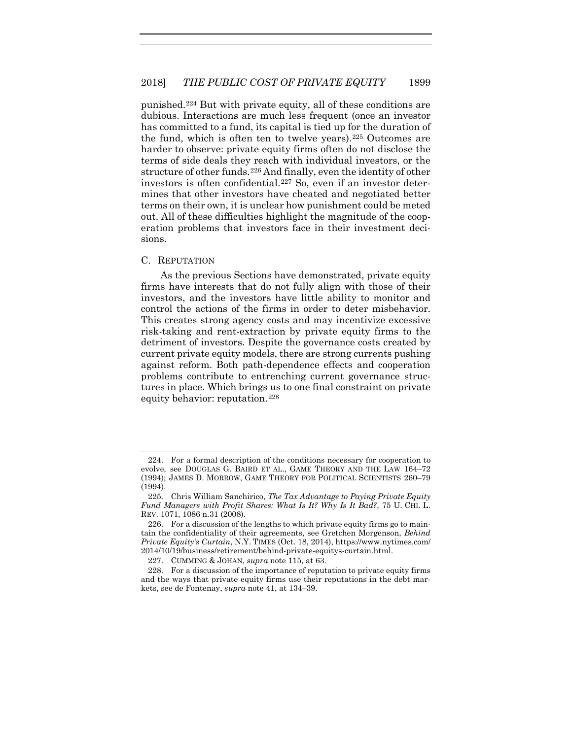punished.[224](#page-53-0) But with private equity, all of these conditions are dubious. Interactions are much less frequent (once an investor has committed to a fund, its capital is tied up for the duration of the fund, which is often ten to twelve years).[225](#page-53-1) Outcomes are harder to observe: private equity firms often do not disclose the terms of side deals they reach with individual investors, or the structure of other funds.[226](#page-53-2) And finally, even the identity of other investors is often confidential.[227](#page-53-3) So, even if an investor determines that other investors have cheated and negotiated better terms on their own, it is unclear how punishment could be meted out. All of these difficulties highlight the magnitude of the cooperation problems that investors face in their investment decisions.

#### C. REPUTATION

As the previous Sections have demonstrated, private equity firms have interests that do not fully align with those of their investors, and the investors have little ability to monitor and control the actions of the firms in order to deter misbehavior. This creates strong agency costs and may incentivize excessive risk-taking and rent-extraction by private equity firms to the detriment of investors. Despite the governance costs created by current private equity models, there are strong currents pushing against reform. Both path-dependence effects and cooperation problems contribute to entrenching current governance structures in place. Which brings us to one final constraint on private equity behavior: reputation.[228](#page-53-4)

<span id="page-53-0"></span><sup>224.</sup> For a formal description of the conditions necessary for cooperation to evolve, see DOUGLAS G. BAIRD ET AL., GAME THEORY AND THE LAW 164–72 (1994); JAMES D. MORROW, GAME THEORY FOR POLITICAL SCIENTISTS 260–79 (1994).

<span id="page-53-1"></span><sup>225.</sup> Chris William Sanchirico, *The Tax Advantage to Paying Private Equity Fund Managers with Profit Shares: What Is It? Why Is It Bad?*, 75 U. CHI. L. REV. 1071, 1086 n.31 (2008).

<span id="page-53-2"></span><sup>226.</sup> For a discussion of the lengths to which private equity firms go to maintain the confidentiality of their agreements, see Gretchen Morgenson, *Behind Private Equity's Curtain*, N.Y. TIMES (Oct. 18, 2014), https://www.nytimes.com/ 2014/10/19/business/retirement/behind-private-equitys-curtain.html.

<sup>227.</sup> CUMMING & JOHAN, *supra* not[e 115,](#page-29-0) at 63.

<span id="page-53-4"></span><span id="page-53-3"></span><sup>228.</sup> For a discussion of the importance of reputation to private equity firms and the ways that private equity firms use their reputations in the debt markets, see de Fontenay, *supra* not[e 41,](#page-11-4) at 134–39.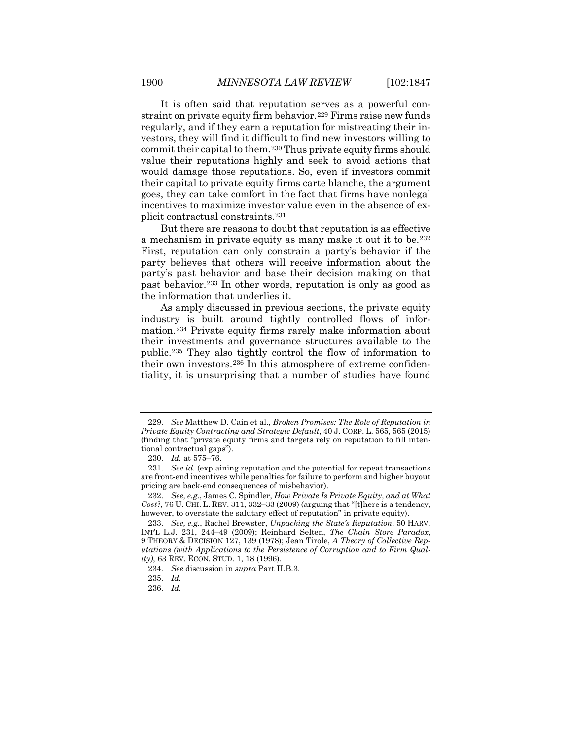<span id="page-54-8"></span>It is often said that reputation serves as a powerful con-straint on private equity firm behavior.<sup>[229](#page-54-0)</sup> Firms raise new funds regularly, and if they earn a reputation for mistreating their investors, they will find it difficult to find new investors willing to commit their capital to them.[230](#page-54-1) Thus private equity firms should value their reputations highly and seek to avoid actions that would damage those reputations. So, even if investors commit their capital to private equity firms carte blanche, the argument goes, they can take comfort in the fact that firms have nonlegal incentives to maximize investor value even in the absence of explicit contractual constraints.[231](#page-54-2)

But there are reasons to doubt that reputation is as effective a mechanism in private equity as many make it out it to be.[232](#page-54-3) First, reputation can only constrain a party's behavior if the party believes that others will receive information about the party's past behavior and base their decision making on that past behavior.[233](#page-54-4) In other words, reputation is only as good as the information that underlies it.

As amply discussed in previous sections, the private equity industry is built around tightly controlled flows of information.[234](#page-54-5) Private equity firms rarely make information about their investments and governance structures available to the public.[235](#page-54-6) They also tightly control the flow of information to their own investors.[236](#page-54-7) In this atmosphere of extreme confidentiality, it is unsurprising that a number of studies have found

<span id="page-54-0"></span><sup>229.</sup> *See* Matthew D. Cain et al., *Broken Promises: The Role of Reputation in Private Equity Contracting and Strategic Default*, 40 J. CORP. L. 565, 565 (2015) (finding that "private equity firms and targets rely on reputation to fill intentional contractual gaps").

<sup>230.</sup> *Id.* at 575–76.

<span id="page-54-2"></span><span id="page-54-1"></span><sup>231.</sup> *See id.* (explaining reputation and the potential for repeat transactions are front-end incentives while penalties for failure to perform and higher buyout pricing are back-end consequences of misbehavior).

<span id="page-54-3"></span><sup>232.</sup> *See, e.g.*, James C. Spindler, *How Private Is Private Equity, and at What Cost?*, 76 U. CHI. L. REV. 311, 332–33 (2009) (arguing that "[t]here is a tendency, however, to overstate the salutary effect of reputation" in private equity).

<span id="page-54-5"></span><span id="page-54-4"></span><sup>233.</sup> *See, e.g.*, Rachel Brewster, *Unpacking the State's Reputation*, 50 HARV. INT'L L.J. 231, 244–49 (2009); Reinhard Selten, *The Chain Store Paradox*, 9 THEORY & DECISION 127, 139 (1978); Jean Tirole, *A Theory of Collective Reputations (with Applications to the Persistence of Corruption and to Firm Quality)*, 63 REV. ECON. STUD. 1, 18 (1996).

<sup>234.</sup> *See* discussion in *supra* Part II.B.3.

<span id="page-54-6"></span><sup>235.</sup> *Id.*

<span id="page-54-7"></span><sup>236.</sup> *Id.*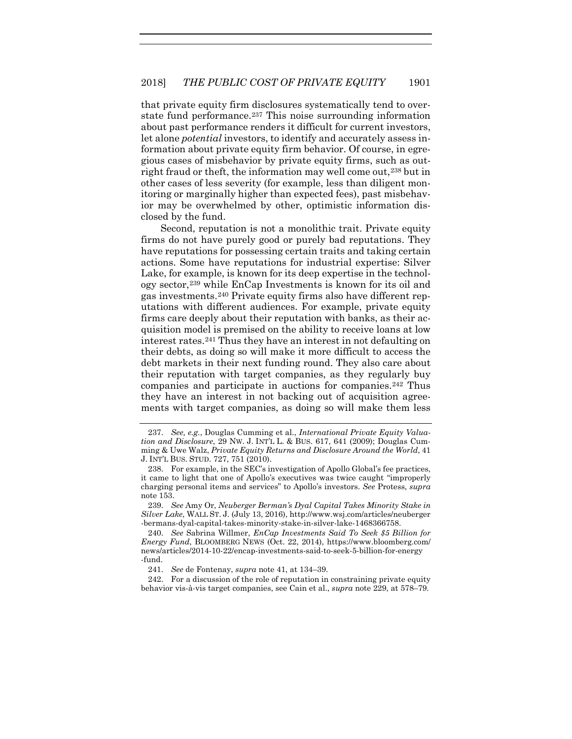that private equity firm disclosures systematically tend to overstate fund performance.[237](#page-55-0) This noise surrounding information about past performance renders it difficult for current investors, let alone *potential* investors, to identify and accurately assess information about private equity firm behavior. Of course, in egregious cases of misbehavior by private equity firms, such as outright fraud or theft, the information may well come out,[238](#page-55-1) but in other cases of less severity (for example, less than diligent monitoring or marginally higher than expected fees), past misbehavior may be overwhelmed by other, optimistic information disclosed by the fund.

Second, reputation is not a monolithic trait. Private equity firms do not have purely good or purely bad reputations. They have reputations for possessing certain traits and taking certain actions. Some have reputations for industrial expertise: Silver Lake, for example, is known for its deep expertise in the technology sector,[239](#page-55-2) while EnCap Investments is known for its oil and gas investments.[240](#page-55-3) Private equity firms also have different reputations with different audiences. For example, private equity firms care deeply about their reputation with banks, as their acquisition model is premised on the ability to receive loans at low interest rates.[241](#page-55-4) Thus they have an interest in not defaulting on their debts, as doing so will make it more difficult to access the debt markets in their next funding round. They also care about their reputation with target companies, as they regularly buy companies and participate in auctions for companies.[242](#page-55-5) Thus they have an interest in not backing out of acquisition agreements with target companies, as doing so will make them less

<span id="page-55-2"></span>239. *See* Amy Or, *Neuberger Berman's Dyal Capital Takes Minority Stake in Silver Lake*, WALL ST. J. (July 13, 2016), http://www.wsj.com/articles/neuberger -bermans-dyal-capital-takes-minority-stake-in-silver-lake-1468366758.

<span id="page-55-3"></span>240. *See* Sabrina Willmer, *EnCap Investments Said To Seek \$5 Billion for Energy Fund*, BLOOMBERG NEWS (Oct. 22, 2014), https://www.bloomberg.com/ news/articles/2014-10-22/encap-investments-said-to-seek-5-billion-for-energy -fund.

<span id="page-55-5"></span><span id="page-55-4"></span>242. For a discussion of the role of reputation in constraining private equity behavior vis-à-vis target companies, see Cain et al., *supra* not[e 229,](#page-54-8) at 578–79.

<span id="page-55-0"></span><sup>237.</sup> *See, e.g.*, Douglas Cumming et al., *International Private Equity Valuation and Disclosure*, 29 NW. J. INT'L L. & BUS. 617, 641 (2009); Douglas Cumming & Uwe Walz, *Private Equity Returns and Disclosure Around the World*, 41 J. INT'L BUS. STUD. 727, 751 (2010).

<span id="page-55-1"></span><sup>238.</sup> For example, in the SEC's investigation of Apollo Global's fee practices, it came to light that one of Apollo's executives was twice caught "improperly charging personal items and services" to Apollo's investors. *See* Protess, *supra* not[e 153.](#page-37-5) 

<sup>241.</sup> *See* de Fontenay, *supra* note [41,](#page-11-4) at 134–39.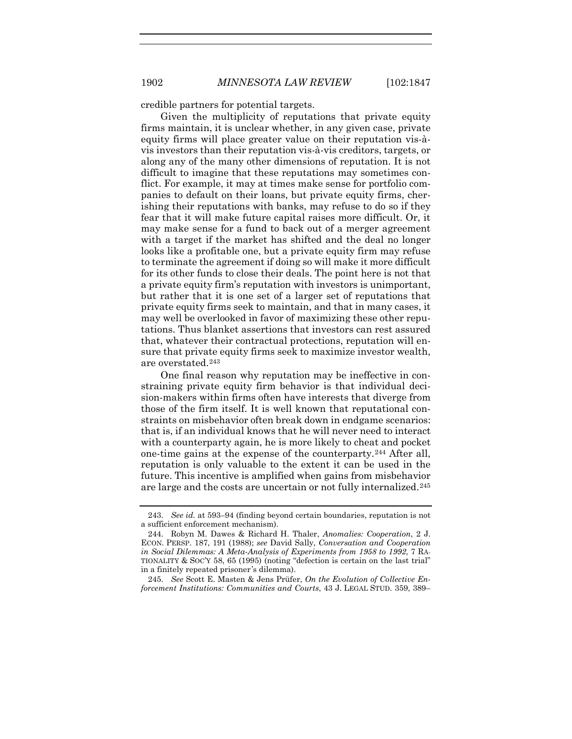credible partners for potential targets.

Given the multiplicity of reputations that private equity firms maintain, it is unclear whether, in any given case, private equity firms will place greater value on their reputation vis-àvis investors than their reputation vis-à-vis creditors, targets, or along any of the many other dimensions of reputation. It is not difficult to imagine that these reputations may sometimes conflict. For example, it may at times make sense for portfolio companies to default on their loans, but private equity firms, cherishing their reputations with banks, may refuse to do so if they fear that it will make future capital raises more difficult. Or, it may make sense for a fund to back out of a merger agreement with a target if the market has shifted and the deal no longer looks like a profitable one, but a private equity firm may refuse to terminate the agreement if doing so will make it more difficult for its other funds to close their deals. The point here is not that a private equity firm's reputation with investors is unimportant, but rather that it is one set of a larger set of reputations that private equity firms seek to maintain, and that in many cases, it may well be overlooked in favor of maximizing these other reputations. Thus blanket assertions that investors can rest assured that, whatever their contractual protections, reputation will ensure that private equity firms seek to maximize investor wealth, are overstated.[243](#page-56-0)

One final reason why reputation may be ineffective in constraining private equity firm behavior is that individual decision-makers within firms often have interests that diverge from those of the firm itself. It is well known that reputational constraints on misbehavior often break down in endgame scenarios: that is, if an individual knows that he will never need to interact with a counterparty again, he is more likely to cheat and pocket one-time gains at the expense of the counterparty.[244](#page-56-1) After all, reputation is only valuable to the extent it can be used in the future. This incentive is amplified when gains from misbehavior are large and the costs are uncertain or not fully internalized.[245](#page-56-2)

<span id="page-56-0"></span><sup>243.</sup> *See id.* at 593–94 (finding beyond certain boundaries, reputation is not a sufficient enforcement mechanism).

<span id="page-56-1"></span><sup>244.</sup> Robyn M. Dawes & Richard H. Thaler, *Anomalies: Cooperation*, 2 J. ECON. PERSP. 187, 191 (1988); *see* David Sally, *Conversation and Cooperation in Social Dilemmas: A Meta-Analysis of Experiments from 1958 to 1992*, 7 RA-TIONALITY & SOC'Y 58, 65 (1995) (noting "defection is certain on the last trial" in a finitely repeated prisoner 's dilemma).

<span id="page-56-2"></span><sup>245.</sup> *See* Scott E. Masten & Jens Prüfer, *On the Evolution of Collective Enforcement Institutions: Communities and Courts*, 43 J. LEGAL STUD. 359, 389–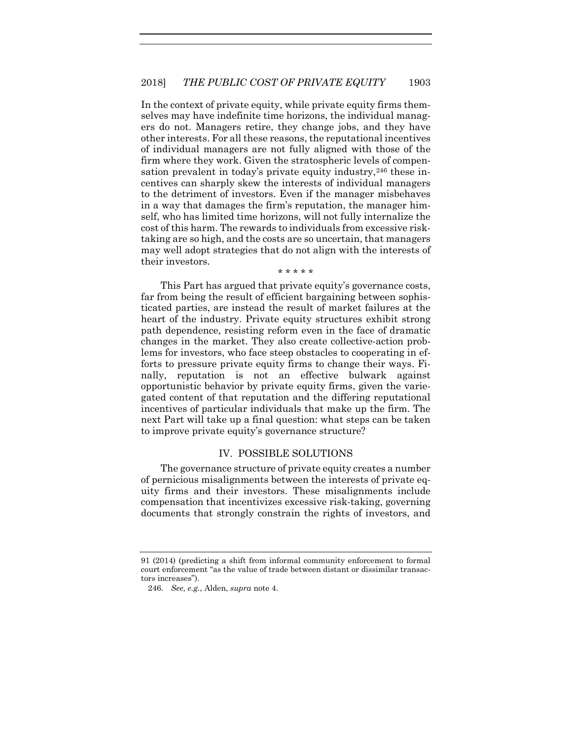In the context of private equity, while private equity firms themselves may have indefinite time horizons, the individual managers do not. Managers retire, they change jobs, and they have other interests. For all these reasons, the reputational incentives of individual managers are not fully aligned with those of the firm where they work. Given the stratospheric levels of compen-sation prevalent in today's private equity industry,<sup>[246](#page-57-0)</sup> these incentives can sharply skew the interests of individual managers to the detriment of investors. Even if the manager misbehaves in a way that damages the firm's reputation, the manager himself, who has limited time horizons, will not fully internalize the cost of this harm. The rewards to individuals from excessive risktaking are so high, and the costs are so uncertain, that managers may well adopt strategies that do not align with the interests of their investors.

\* \* \* \* \*

This Part has argued that private equity's governance costs, far from being the result of efficient bargaining between sophisticated parties, are instead the result of market failures at the heart of the industry. Private equity structures exhibit strong path dependence, resisting reform even in the face of dramatic changes in the market. They also create collective-action problems for investors, who face steep obstacles to cooperating in efforts to pressure private equity firms to change their ways. Finally, reputation is not an effective bulwark against opportunistic behavior by private equity firms, given the variegated content of that reputation and the differing reputational incentives of particular individuals that make up the firm. The next Part will take up a final question: what steps can be taken to improve private equity's governance structure?

#### IV. POSSIBLE SOLUTIONS

The governance structure of private equity creates a number of pernicious misalignments between the interests of private equity firms and their investors. These misalignments include compensation that incentivizes excessive risk-taking, governing documents that strongly constrain the rights of investors, and

<span id="page-57-0"></span><sup>91 (2014) (</sup>predicting a shift from informal community enforcement to formal court enforcement "as the value of trade between distant or dissimilar transactors increases").

<sup>246.</sup> *See, e.g.*, Alden, *supra* note [4.](#page-2-3)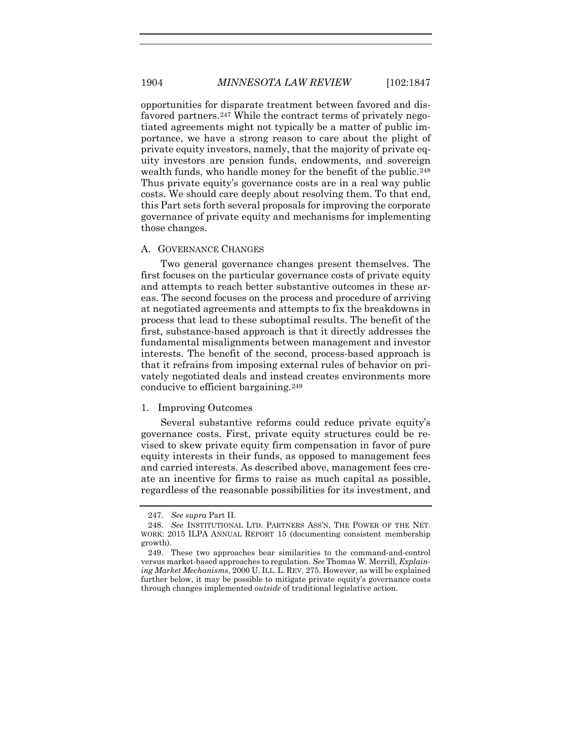opportunities for disparate treatment between favored and disfavored partners.[247](#page-58-0) While the contract terms of privately negotiated agreements might not typically be a matter of public importance, we have a strong reason to care about the plight of private equity investors, namely, that the majority of private equity investors are pension funds, endowments, and sovereign wealth funds, who handle money for the benefit of the public.<sup>[248](#page-58-1)</sup> Thus private equity's governance costs are in a real way public costs. We should care deeply about resolving them. To that end, this Part sets forth several proposals for improving the corporate governance of private equity and mechanisms for implementing those changes.

#### A. GOVERNANCE CHANGES

Two general governance changes present themselves. The first focuses on the particular governance costs of private equity and attempts to reach better substantive outcomes in these areas. The second focuses on the process and procedure of arriving at negotiated agreements and attempts to fix the breakdowns in process that lead to these suboptimal results. The benefit of the first, substance-based approach is that it directly addresses the fundamental misalignments between management and investor interests. The benefit of the second, process-based approach is that it refrains from imposing external rules of behavior on privately negotiated deals and instead creates environments more conducive to efficient bargaining.[249](#page-58-2)

#### 1. Improving Outcomes

Several substantive reforms could reduce private equity's governance costs. First, private equity structures could be revised to skew private equity firm compensation in favor of pure equity interests in their funds, as opposed to management fees and carried interests. As described above, management fees create an incentive for firms to raise as much capital as possible, regardless of the reasonable possibilities for its investment, and

<sup>247.</sup> *See supra* Part II.

<span id="page-58-1"></span><span id="page-58-0"></span><sup>248.</sup> *See* INSTITUTIONAL LTD. PARTNERS ASS'N, THE POWER OF THE NET-WORK: 2015 ILPA ANNUAL REPORT 15 (documenting consistent membership growth).

<span id="page-58-2"></span><sup>249.</sup> These two approaches bear similarities to the command-and-control versus market-based approaches to regulation. *See* Thomas W. Merrill, *Explaining Market Mechanisms*, 2000 U. ILL. L. REV. 275. However, as will be explained further below, it may be possible to mitigate private equity's governance costs through changes implemented *outside* of traditional legislative action.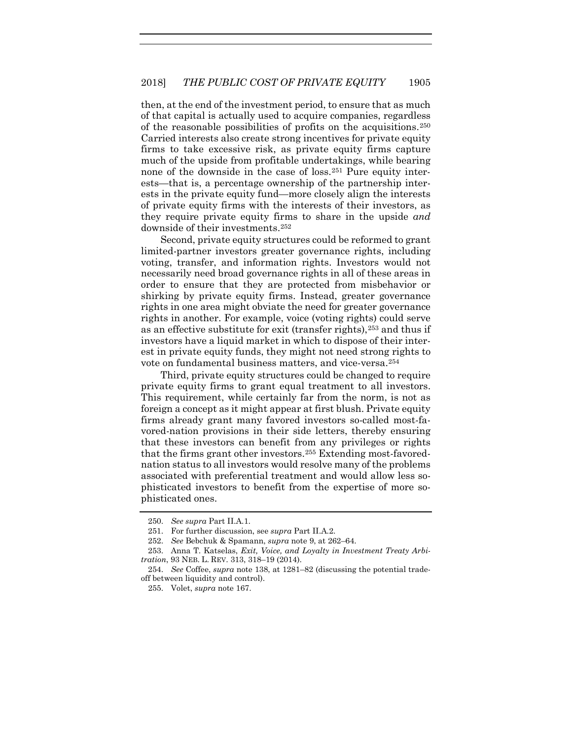then, at the end of the investment period, to ensure that as much of that capital is actually used to acquire companies, regardless of the reasonable possibilities of profits on the acquisitions.[250](#page-59-0) Carried interests also create strong incentives for private equity firms to take excessive risk, as private equity firms capture much of the upside from profitable undertakings, while bearing none of the downside in the case of loss.[251](#page-59-1) Pure equity interests—that is, a percentage ownership of the partnership interests in the private equity fund—more closely align the interests of private equity firms with the interests of their investors, as they require private equity firms to share in the upside *and* downside of their investments[.252](#page-59-2)

Second, private equity structures could be reformed to grant limited-partner investors greater governance rights, including voting, transfer, and information rights. Investors would not necessarily need broad governance rights in all of these areas in order to ensure that they are protected from misbehavior or shirking by private equity firms. Instead, greater governance rights in one area might obviate the need for greater governance rights in another. For example, voice (voting rights) could serve as an effective substitute for exit (transfer rights),[253](#page-59-3) and thus if investors have a liquid market in which to dispose of their interest in private equity funds, they might not need strong rights to vote on fundamental business matters, and vice-versa.[254](#page-59-4)

Third, private equity structures could be changed to require private equity firms to grant equal treatment to all investors. This requirement, while certainly far from the norm, is not as foreign a concept as it might appear at first blush. Private equity firms already grant many favored investors so-called most-favored-nation provisions in their side letters, thereby ensuring that these investors can benefit from any privileges or rights that the firms grant other investors.[255](#page-59-5) Extending most-favorednation status to all investors would resolve many of the problems associated with preferential treatment and would allow less sophisticated investors to benefit from the expertise of more sophisticated ones.

<sup>250.</sup> *See supra* Part II.A.1.

<sup>251.</sup> For further discussion, see *supra* Part II.A.2.

<sup>252.</sup> *See* Bebchuk & Spamann, *supra* note [9,](#page-4-0) at 262–64.

<span id="page-59-3"></span><span id="page-59-2"></span><span id="page-59-1"></span><span id="page-59-0"></span><sup>253.</sup> Anna T. Katselas, *Exit, Voice, and Loyalty in Investment Treaty Arbitration*, 93 NEB. L. REV. 313, 318–19 (2014).

<span id="page-59-5"></span><span id="page-59-4"></span><sup>254.</sup> *See* Coffee, *supra* note [138,](#page-34-4) at 1281–82 (discussing the potential tradeoff between liquidity and control).

<sup>255.</sup> Volet, *supra* not[e 167.](#page-40-6)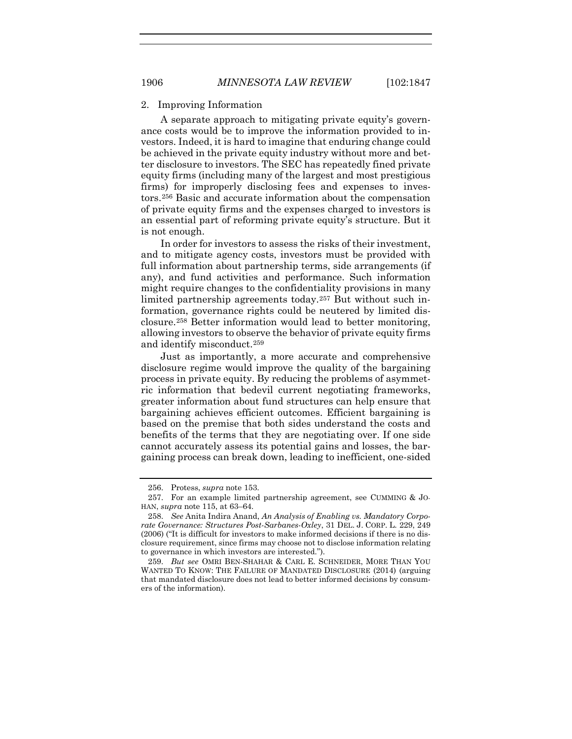A separate approach to mitigating private equity's governance costs would be to improve the information provided to investors. Indeed, it is hard to imagine that enduring change could be achieved in the private equity industry without more and better disclosure to investors. The SEC has repeatedly fined private equity firms (including many of the largest and most prestigious firms) for improperly disclosing fees and expenses to investors.[256](#page-60-0) Basic and accurate information about the compensation of private equity firms and the expenses charged to investors is an essential part of reforming private equity's structure. But it is not enough.

In order for investors to assess the risks of their investment, and to mitigate agency costs, investors must be provided with full information about partnership terms, side arrangements (if any), and fund activities and performance. Such information might require changes to the confidentiality provisions in many limited partnership agreements today.[257](#page-60-1) But without such information, governance rights could be neutered by limited disclosure.[258](#page-60-2) Better information would lead to better monitoring, allowing investors to observe the behavior of private equity firms and identify misconduct.[259](#page-60-3)

Just as importantly, a more accurate and comprehensive disclosure regime would improve the quality of the bargaining process in private equity. By reducing the problems of asymmetric information that bedevil current negotiating frameworks, greater information about fund structures can help ensure that bargaining achieves efficient outcomes. Efficient bargaining is based on the premise that both sides understand the costs and benefits of the terms that they are negotiating over. If one side cannot accurately assess its potential gains and losses, the bargaining process can break down, leading to inefficient, one-sided

<sup>256.</sup> Protess, *supra* note [153.](#page-37-5)

<span id="page-60-1"></span><span id="page-60-0"></span><sup>257.</sup> For an example limited partnership agreement, see CUMMING & JO-HAN, *supra* not[e 115,](#page-29-0) at 63–64.

<span id="page-60-2"></span><sup>258.</sup> *See* Anita Indira Anand, *An Analysis of Enabling vs. Mandatory Corporate Governance: Structures Post-Sarbanes-Oxley*, 31 DEL. J. CORP. L. 229, 249 (2006) ("It is difficult for investors to make informed decisions if there is no disclosure requirement, since firms may choose not to disclose information relating to governance in which investors are interested.").

<span id="page-60-3"></span><sup>259.</sup> *But see* OMRI BEN-SHAHAR & CARL E. SCHNEIDER, MORE THAN YOU WANTED TO KNOW: THE FAILURE OF MANDATED DISCLOSURE (2014) (arguing that mandated disclosure does not lead to better informed decisions by consumers of the information).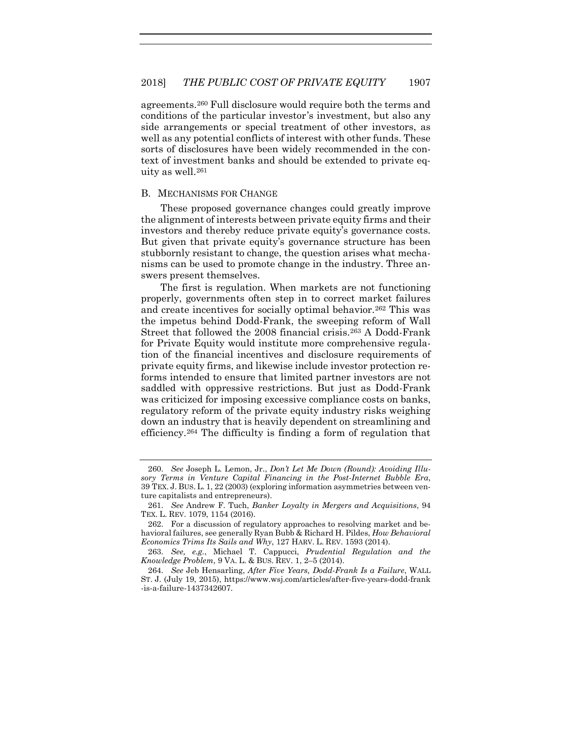agreements.[260](#page-61-0) Full disclosure would require both the terms and conditions of the particular investor's investment, but also any side arrangements or special treatment of other investors, as well as any potential conflicts of interest with other funds. These sorts of disclosures have been widely recommended in the context of investment banks and should be extended to private equity as well[.261](#page-61-1)

#### B. MECHANISMS FOR CHANGE

These proposed governance changes could greatly improve the alignment of interests between private equity firms and their investors and thereby reduce private equity's governance costs. But given that private equity's governance structure has been stubbornly resistant to change, the question arises what mechanisms can be used to promote change in the industry. Three answers present themselves.

The first is regulation. When markets are not functioning properly, governments often step in to correct market failures and create incentives for socially optimal behavior.[262](#page-61-2) This was the impetus behind Dodd-Frank, the sweeping reform of Wall Street that followed the 2008 financial crisis.[263](#page-61-3) A Dodd-Frank for Private Equity would institute more comprehensive regulation of the financial incentives and disclosure requirements of private equity firms, and likewise include investor protection reforms intended to ensure that limited partner investors are not saddled with oppressive restrictions. But just as Dodd-Frank was criticized for imposing excessive compliance costs on banks, regulatory reform of the private equity industry risks weighing down an industry that is heavily dependent on streamlining and efficiency.[264](#page-61-4) The difficulty is finding a form of regulation that

<span id="page-61-0"></span><sup>260.</sup> *See* Joseph L. Lemon, Jr., *Don't Let Me Down (Round): Avoiding Illusory Terms in Venture Capital Financing in the Post-Internet Bubble Era*, 39 TEX. J. BUS. L. 1, 22 (2003) (exploring information asymmetries between venture capitalists and entrepreneurs).

<span id="page-61-1"></span><sup>261.</sup> *See* Andrew F. Tuch, *Banker Loyalty in Mergers and Acquisitions*, 94 TEX. L. REV. 1079, 1154 (2016).

<span id="page-61-2"></span><sup>262.</sup> For a discussion of regulatory approaches to resolving market and behavioral failures, see generally Ryan Bubb & Richard H. Pildes, *How Behavioral Economics Trims Its Sails and Why*, 127 HARV. L. REV. 1593 (2014).

<span id="page-61-3"></span><sup>263.</sup> *See, e.g.*, Michael T. Cappucci, *Prudential Regulation and the Knowledge Problem*, 9 VA. L. & BUS. REV. 1, 2–5 (2014).

<span id="page-61-4"></span><sup>264.</sup> *See* Jeb Hensarling, *After Five Years, Dodd-Frank Is a Failure*, WALL ST. J. (July 19, 2015), https://www.wsj.com/articles/after-five-years-dodd-frank -is-a-failure-1437342607.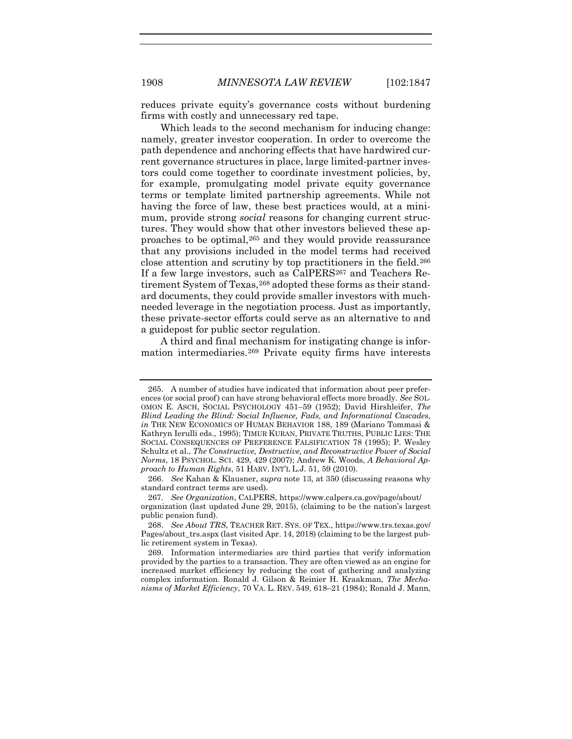reduces private equity's governance costs without burdening firms with costly and unnecessary red tape.

Which leads to the second mechanism for inducing change: namely, greater investor cooperation. In order to overcome the path dependence and anchoring effects that have hardwired current governance structures in place, large limited-partner investors could come together to coordinate investment policies, by, for example, promulgating model private equity governance terms or template limited partnership agreements. While not having the force of law, these best practices would, at a minimum, provide strong *social* reasons for changing current structures. They would show that other investors believed these approaches to be optimal[,265](#page-62-0) and they would provide reassurance that any provisions included in the model terms had received close attention and scrutiny by top practitioners in the field.[266](#page-62-1) If a few large investors, such as CalPERS<sup>[267](#page-62-2)</sup> and Teachers Re-tirement System of Texas, <sup>[268](#page-62-3)</sup> adopted these forms as their standard documents, they could provide smaller investors with muchneeded leverage in the negotiation process. Just as importantly, these private-sector efforts could serve as an alternative to and a guidepost for public sector regulation.

A third and final mechanism for instigating change is information intermediaries[.269](#page-62-4) Private equity firms have interests

<span id="page-62-0"></span><sup>265.</sup> A number of studies have indicated that information about peer preferences (or social proof) can have strong behavioral effects more broadly. *See* SOL-OMON E. ASCH, SOCIAL PSYCHOLOGY 451–59 (1952); David Hirshleifer, *The Blind Leading the Blind: Social Influence, Fads, and Informational Cascades*, *in* THE NEW ECONOMICS OF HUMAN BEHAVIOR 188, 189 (Mariano Tommasi & Kathryn Ierulli eds., 1995); TIMUR KURAN, PRIVATE TRUTHS, PUBLIC LIES: THE SOCIAL CONSEQUENCES OF PREFERENCE FALSIFICATION 78 (1995); P. Wesley Schultz et al., *The Constructive, Destructive, and Reconstructive Power of Social Norms*, 18 PSYCHOL. SCI. 429, 429 (2007); Andrew K. Woods, *A Behavioral Approach to Human Rights*, 51 HARV. INT'L L.J. 51, 59 (2010).

<span id="page-62-1"></span><sup>266.</sup> *See* Kahan & Klausner, *supra* not[e 13,](#page-5-4) at 350 (discussing reasons why standard contract terms are used).

<span id="page-62-2"></span><sup>267.</sup> *See Organization*, CALPERS, https://www.calpers.ca.gov/page/about/ organization (last updated June 29, 2015), (claiming to be the nation's largest

public pension fund). 268. *See About TRS*, TEACHER RET. SYS. OF TEX., https://www.trs.texas.gov/

<span id="page-62-3"></span>Pages/about\_trs.aspx (last visited Apr. 14, 2018) (claiming to be the largest public retirement system in Texas).

<span id="page-62-4"></span><sup>269.</sup> Information intermediaries are third parties that verify information provided by the parties to a transaction. They are often viewed as an engine for increased market efficiency by reducing the cost of gathering and analyzing complex information. Ronald J. Gilson & Reinier H. Kraakman, *The Mechanisms of Market Efficiency*, 70 VA. L. REV. 549, 618–21 (1984); Ronald J. Mann,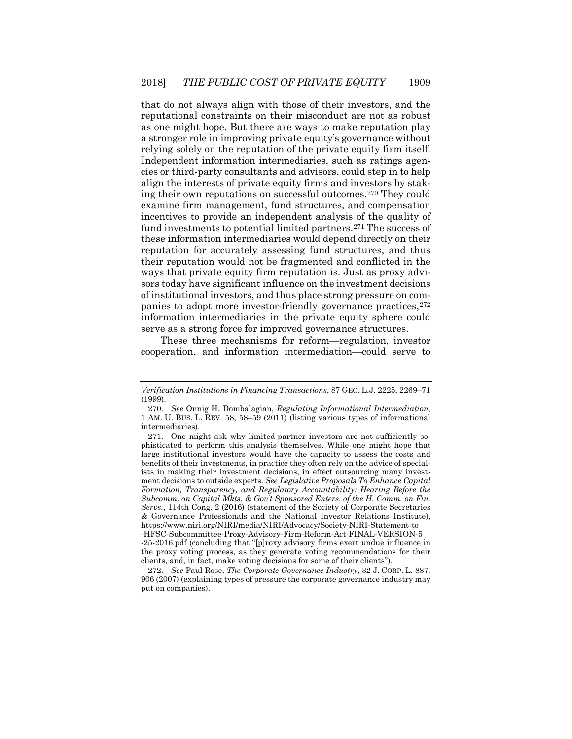that do not always align with those of their investors, and the reputational constraints on their misconduct are not as robust as one might hope. But there are ways to make reputation play a stronger role in improving private equity's governance without relying solely on the reputation of the private equity firm itself. Independent information intermediaries, such as ratings agencies or third-party consultants and advisors, could step in to help align the interests of private equity firms and investors by staking their own reputations on successful outcomes.[270](#page-63-0) They could examine firm management, fund structures, and compensation incentives to provide an independent analysis of the quality of fund investments to potential limited partners.[271](#page-63-1) The success of these information intermediaries would depend directly on their reputation for accurately assessing fund structures, and thus their reputation would not be fragmented and conflicted in the ways that private equity firm reputation is. Just as proxy advisors today have significant influence on the investment decisions of institutional investors, and thus place strong pressure on companies to adopt more investor-friendly governance practices,  $272$ information intermediaries in the private equity sphere could serve as a strong force for improved governance structures.

These three mechanisms for reform—regulation, investor cooperation, and information intermediation—could serve to

*Verification Institutions in Financing Transactions*, 87 GEO. L.J. 2225, 2269–71 (1999).

<span id="page-63-0"></span><sup>270.</sup> *See* Onnig H. Dombalagian, *Regulating Informational Intermediation*, 1 AM. U. BUS. L. REV. 58, 58–59 (2011) (listing various types of informational intermediaries).

<span id="page-63-1"></span><sup>271.</sup> One might ask why limited-partner investors are not sufficiently sophisticated to perform this analysis themselves. While one might hope that large institutional investors would have the capacity to assess the costs and benefits of their investments, in practice they often rely on the advice of specialists in making their investment decisions, in effect outsourcing many investment decisions to outside experts. *See Legislative Proposals To Enhance Capital Formation, Transparency, and Regulatory Accountability: Hearing Before the Subcomm. on Capital Mkts. & Gov't Sponsored Enters. of the H. Comm. on Fin. Servs.*, 114th Cong. 2 (2016) (statement of the Society of Corporate Secretaries & Governance Professionals and the National Investor Relations Institute), https://www.niri.org/NIRI/media/NIRI/Advocacy/Society-NIRI-Statement-to -HFSC-Subcommittee-Proxy-Advisory-Firm-Reform-Act-FINAL-VERSION-5 -25-2016.pdf (concluding that "[p]roxy advisory firms exert undue influence in the proxy voting process, as they generate voting recommendations for their clients, and, in fact, make voting decisions for some of their clients").

<span id="page-63-2"></span><sup>272.</sup> *See* Paul Rose, *The Corporate Governance Industry*, 32 J. CORP. L. 887, 906 (2007) (explaining types of pressure the corporate governance industry may put on companies).